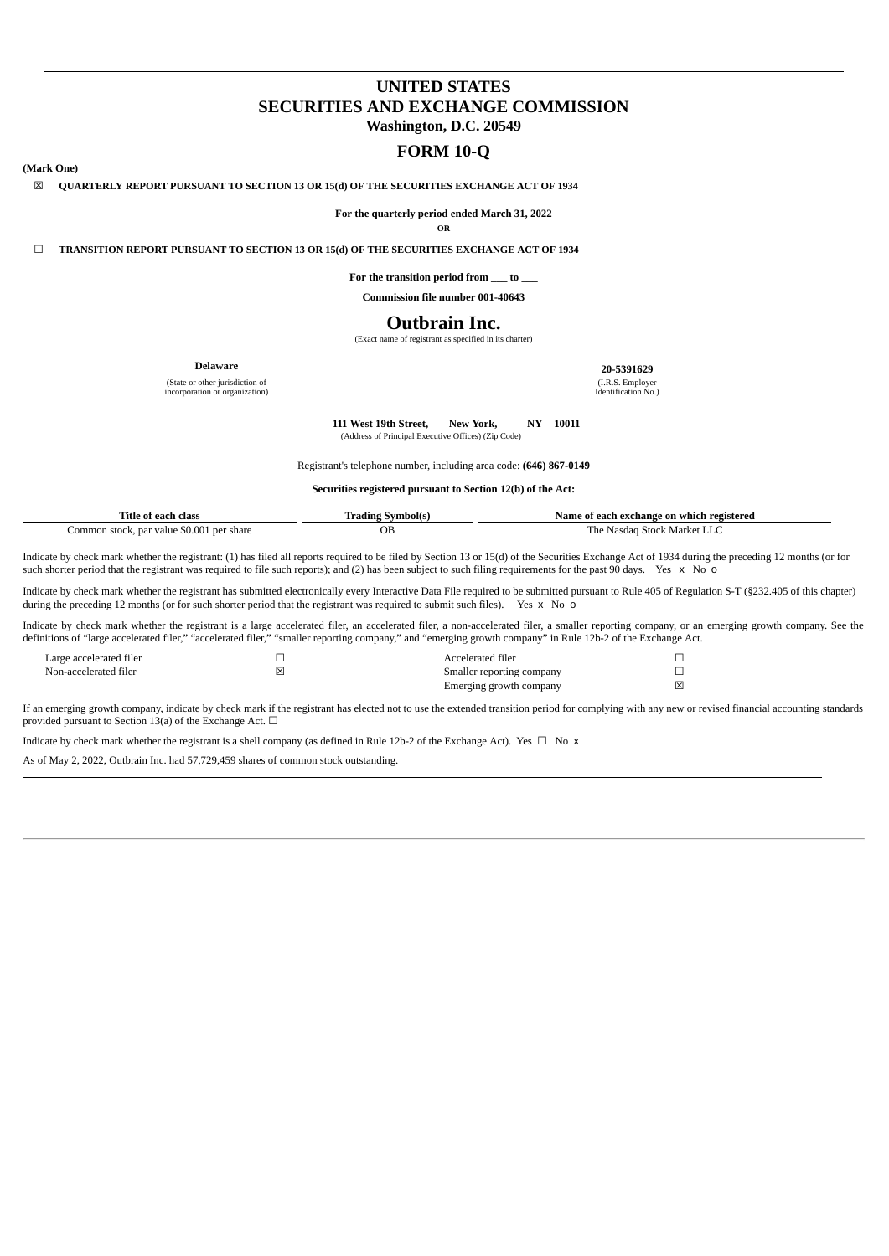## **UNITED STATES SECURITIES AND EXCHANGE COMMISSION Washington, D.C. 20549**

## **FORM 10-Q**

**(Mark One)**

☒ **QUARTERLY REPORT PURSUANT TO SECTION 13 OR 15(d) OF THE SECURITIES EXCHANGE ACT OF 1934**

**For the quarterly period ended March 31, 2022**

**OR**

☐ **TRANSITION REPORT PURSUANT TO SECTION 13 OR 15(d) OF THE SECURITIES EXCHANGE ACT OF 1934**

**For the transition period from \_\_\_ to \_\_\_**

**Commission file number 001-40643**

## **Outbrain Inc.**

(Exact name of registrant as specified in its charter)

(State or other jurisdiction of incorporation or organization)

**Delaware 20-5391629** (I.R.S. Employer Identification No.)

**111 West 19th Street, New York, NY 10011** (Address of Principal Executive Offices) (Zip Code)

Registrant's telephone number, including area code: **(646) 867-0149**

**Securities registered pursuant to Section 12(b) of the Act:**

| Fitle of each class                       | : Symbol(s)<br>Trading | Name of each exchange on which registered  |
|-------------------------------------------|------------------------|--------------------------------------------|
| Common stock, par value \$0.001 per share | UΕ                     | i Stock Market '<br>I'he Nasdad i<br>' LLA |

Indicate by check mark whether the registrant: (1) has filed all reports required to be filed by Section 13 or 15(d) of the Securities Exchange Act of 1934 during the preceding 12 months (or for such shorter period that the registrant was required to file such reports); and (2) has been subject to such filing requirements for the past  $90$  days. Yes  $\times$  No  $\overline{0}$ 

Indicate by check mark whether the registrant has submitted electronically every Interactive Data File required to be submitted pursuant to Rule 405 of Regulation S-T (§232.405 of this chapter) during the preceding 12 months (or for such shorter period that the registrant was required to submit such files). Yes x No o

Indicate by check mark whether the registrant is a large accelerated filer, an accelerated filer, a non-accelerated filer, a smaller reporting company, or an emerging growth company. See the definitions of "large accelerated filer," "accelerated filer," "smaller reporting company," and "emerging growth company" in Rule 12b-2 of the Exchange Act.

| Large accelerated filer | Accelerated filer         |          |
|-------------------------|---------------------------|----------|
| Non-accelerated filer   | Smaller reporting company |          |
|                         | Emerging growth company   | <b>X</b> |

If an emerging growth company, indicate by check mark if the registrant has elected not to use the extended transition period for complying with any new or revised financial accounting standards provided pursuant to Section 13(a) of the Exchange Act.  $\Box$ 

Indicate by check mark whether the registrant is a shell company (as defined in Rule 12b-2 of the Exchange Act). Yes  $\Box$  No  $\times$ 

<span id="page-0-0"></span>As of May 2, 2022, Outbrain Inc. had 57,729,459 shares of common stock outstanding.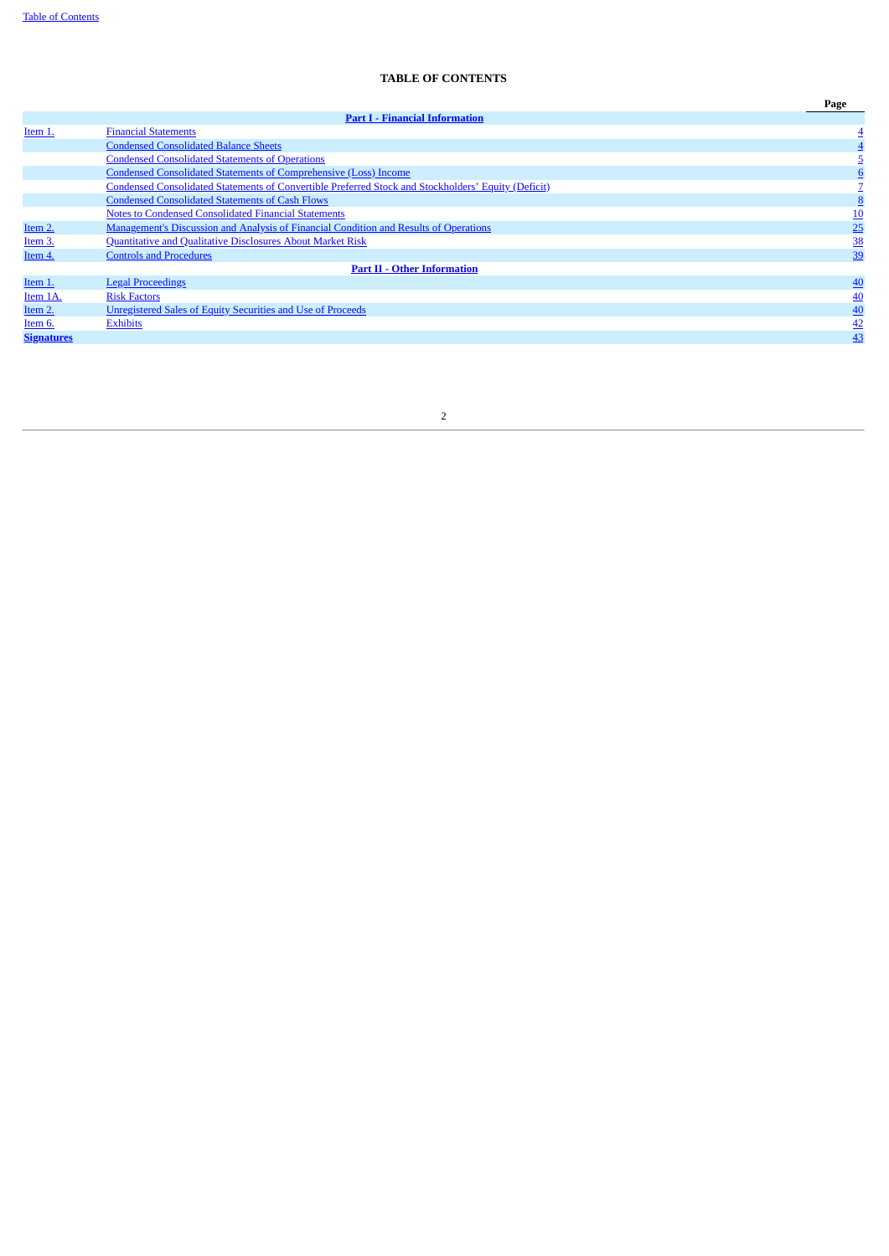## **TABLE OF CONTENTS**

|                   |                                                                                                     | Page            |
|-------------------|-----------------------------------------------------------------------------------------------------|-----------------|
|                   | <b>Part I - Financial Information</b>                                                               |                 |
| Item 1.           | <b>Financial Statements</b>                                                                         |                 |
|                   | <b>Condensed Consolidated Balance Sheets</b>                                                        |                 |
|                   | <b>Condensed Consolidated Statements of Operations</b>                                              |                 |
|                   | <b>Condensed Consolidated Statements of Comprehensive (Loss) Income</b>                             |                 |
|                   | Condensed Consolidated Statements of Convertible Preferred Stock and Stockholders' Equity (Deficit) |                 |
|                   | <b>Condensed Consolidated Statements of Cash Flows</b>                                              |                 |
|                   | <b>Notes to Condensed Consolidated Financial Statements</b>                                         | $\overline{10}$ |
| Item 2.           | <b>Management's Discussion and Analysis of Financial Condition and Results of Operations</b>        | 25              |
| Item 3.           | Quantitative and Qualitative Disclosures About Market Risk                                          | 38              |
| Item 4.           | <b>Controls and Procedures</b>                                                                      | 39              |
|                   | <b>Part II - Other Information</b>                                                                  |                 |
| Item 1.           | <b>Legal Proceedings</b>                                                                            | 40              |
| Item 1A.          | <b>Risk Factors</b>                                                                                 | 40              |
| Item 2.           | Unregistered Sales of Equity Securities and Use of Proceeds                                         | 40              |
| Item 6.           | <b>Exhibits</b>                                                                                     |                 |
| <b>Signatures</b> |                                                                                                     | $\frac{42}{43}$ |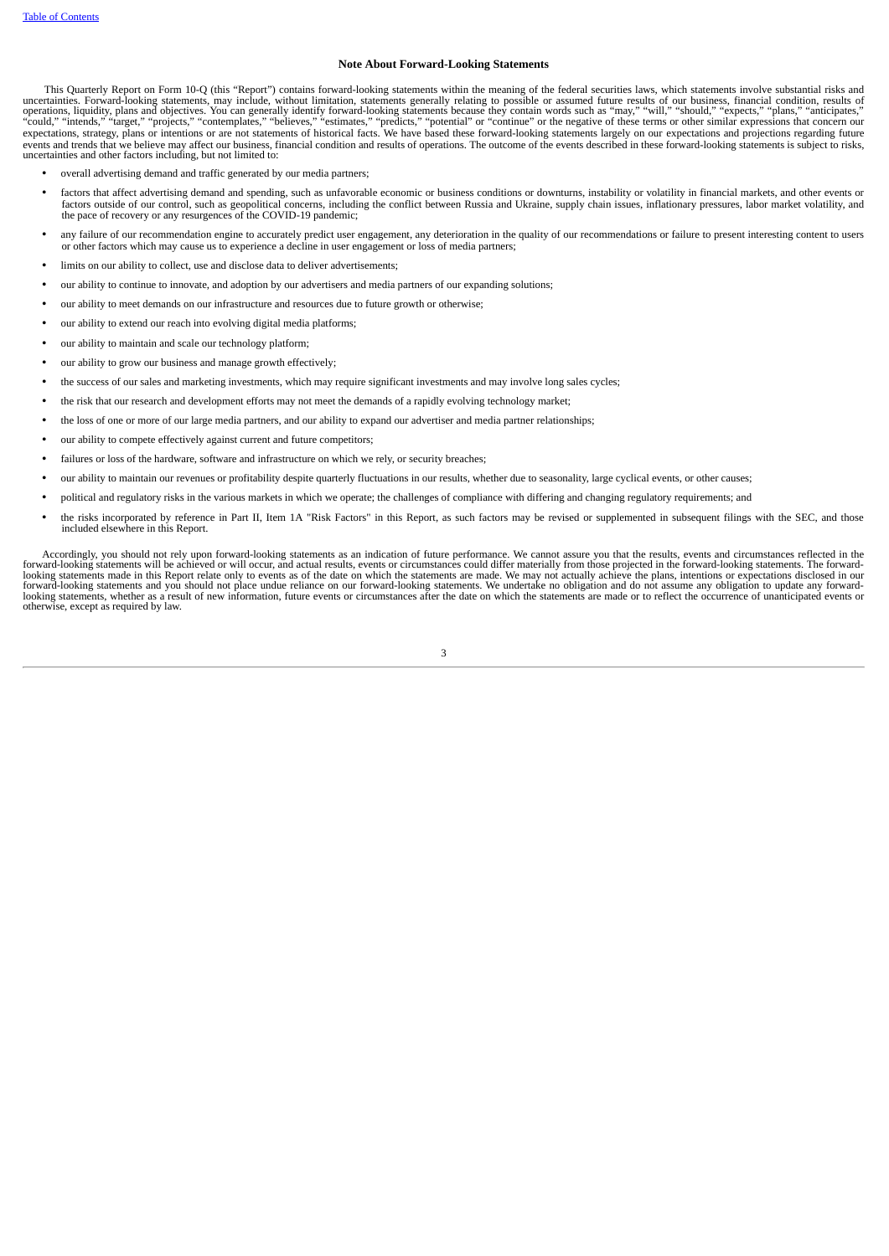#### **Note About Forward-Looking Statements**

This Quarterly Report on Form 10-Q (this "Report") contains forward-looking statements within the meaning of the federal securities laws, which statements involve substantial risks and uncertainties. Forward-looking statem expectations, strategy, plans or intentions or are not statements of historical facts. We have based these forward-looking statements largely on our expectations and projections regarding future events and trends that we believe may affect our business, financial condition and results of operations. The outcome of the events described in these forward-looking statements is subject to risks, uncertainties and other

- overall advertising demand and traffic generated by our media partners;
- factors that affect advertising demand and spending, such as unfavorable economic or business conditions or downturns, instability or volatility in financial markets, and other events or factors outside of our control, such as geopolitical concerns, including the conflict between Russia and Ukraine, supply chain issues, inflationary pressures, labor market volatility, and the pace of recovery or any resurgences of the COVID-19 pandemic;
- any failure of our recommendation engine to accurately predict user engagement, any deterioration in the quality of our recommendations or failure to present interesting content to users or other factors which may cause us to experience a decline in user engagement or loss of media partners;
- limits on our ability to collect, use and disclose data to deliver advertisements;
- our ability to continue to innovate, and adoption by our advertisers and media partners of our expanding solutions;
- our ability to meet demands on our infrastructure and resources due to future growth or otherwise;
- our ability to extend our reach into evolving digital media platforms;
- our ability to maintain and scale our technology platform;
- our ability to grow our business and manage growth effectively;
- the success of our sales and marketing investments, which may require significant investments and may involve long sales cycles;
- the risk that our research and development efforts may not meet the demands of a rapidly evolving technology market;
- the loss of one or more of our large media partners, and our ability to expand our advertiser and media partner relationships;
- our ability to compete effectively against current and future competitors;
- failures or loss of the hardware, software and infrastructure on which we rely, or security breaches;
- our ability to maintain our revenues or profitability despite quarterly fluctuations in our results, whether due to seasonality, large cyclical events, or other causes;
- political and regulatory risks in the various markets in which we operate; the challenges of compliance with differing and changing regulatory requirements; and
- the risks incorporated by reference in Part II, Item 1A "Risk Factors" in this Report, as such factors may be revised or supplemented in subsequent filings with the SEC, and those included elsewhere in this Report.

<span id="page-2-0"></span>Accordingly, you should not rely upon forward-looking statements as an indication of future performance. We cannot assure you that the results, events and circumstances reflected in the forward-looking statements will be a looking statements made in this Report relate only to events as of the date on which the statements are made. We may not actually achieve the plans, intentions or expectations disclosed in our forward-fooking statements an otherwise, except as required by law.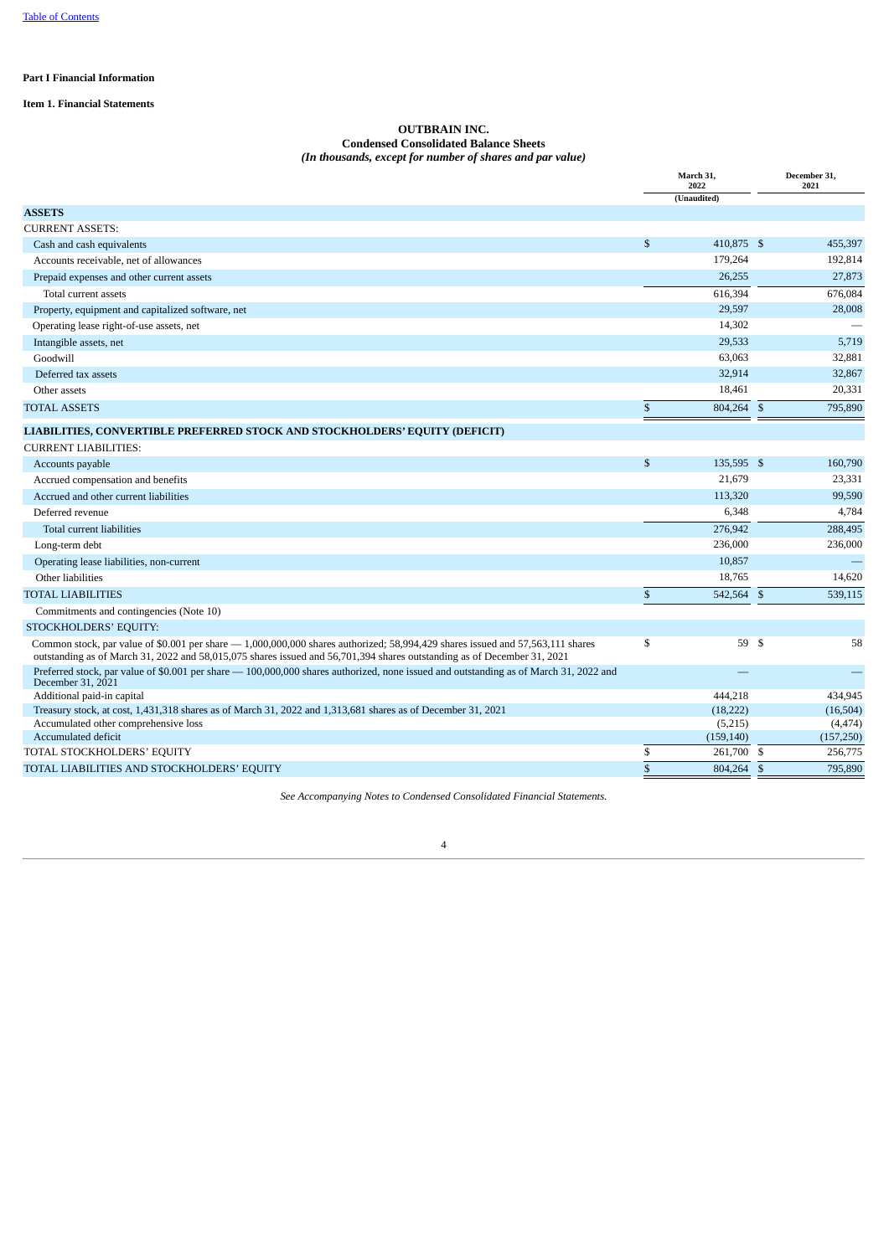## **Part I Financial Information**

## <span id="page-3-1"></span><span id="page-3-0"></span>**Item 1. Financial Statements**

#### **OUTBRAIN INC. Condensed Consolidated Balance Sheets** *(In thousands, except for number of shares and par value)*

|                                                                                                                                                                                                                                                           |              | March 31,<br>2022 |              | December 31,<br>2021     |  |
|-----------------------------------------------------------------------------------------------------------------------------------------------------------------------------------------------------------------------------------------------------------|--------------|-------------------|--------------|--------------------------|--|
|                                                                                                                                                                                                                                                           |              | (Unaudited)       |              |                          |  |
| <b>ASSETS</b>                                                                                                                                                                                                                                             |              |                   |              |                          |  |
| <b>CURRENT ASSETS:</b>                                                                                                                                                                                                                                    |              |                   |              |                          |  |
| Cash and cash equivalents                                                                                                                                                                                                                                 | \$           | 410.875 \$        |              | 455,397                  |  |
| Accounts receivable, net of allowances                                                                                                                                                                                                                    |              | 179,264           |              | 192,814                  |  |
| Prepaid expenses and other current assets                                                                                                                                                                                                                 |              | 26,255            |              | 27,873                   |  |
| Total current assets                                                                                                                                                                                                                                      |              | 616,394           |              | 676,084                  |  |
| Property, equipment and capitalized software, net                                                                                                                                                                                                         |              | 29,597            |              | 28,008                   |  |
| Operating lease right-of-use assets, net                                                                                                                                                                                                                  |              | 14,302            |              |                          |  |
| Intangible assets, net                                                                                                                                                                                                                                    |              | 29,533            |              | 5,719                    |  |
| Goodwill                                                                                                                                                                                                                                                  |              | 63,063            |              | 32,881                   |  |
| Deferred tax assets                                                                                                                                                                                                                                       |              | 32,914            |              | 32,867                   |  |
| Other assets                                                                                                                                                                                                                                              |              | 18,461            |              | 20,331                   |  |
| <b>TOTAL ASSETS</b>                                                                                                                                                                                                                                       | $\mathbb{S}$ | 804,264 \$        |              | 795,890                  |  |
| LIABILITIES, CONVERTIBLE PREFERRED STOCK AND STOCKHOLDERS' EQUITY (DEFICIT)                                                                                                                                                                               |              |                   |              |                          |  |
| <b>CURRENT LIABILITIES:</b>                                                                                                                                                                                                                               |              |                   |              |                          |  |
| Accounts payable                                                                                                                                                                                                                                          | \$           | 135,595 \$        |              | 160,790                  |  |
| Accrued compensation and benefits                                                                                                                                                                                                                         |              | 21,679            |              | 23,331                   |  |
| Accrued and other current liabilities                                                                                                                                                                                                                     |              | 113,320           |              | 99,590                   |  |
| Deferred revenue                                                                                                                                                                                                                                          |              | 6,348             |              | 4,784                    |  |
| Total current liabilities                                                                                                                                                                                                                                 |              | 276,942           |              | 288,495                  |  |
| Long-term debt                                                                                                                                                                                                                                            |              | 236,000           |              | 236,000                  |  |
| Operating lease liabilities, non-current                                                                                                                                                                                                                  |              | 10,857            |              | $\overline{\phantom{0}}$ |  |
| Other liabilities                                                                                                                                                                                                                                         |              | 18,765            |              | 14,620                   |  |
| <b>TOTAL LIABILITIES</b>                                                                                                                                                                                                                                  | \$           | 542,564 \$        |              | 539,115                  |  |
| Commitments and contingencies (Note 10)                                                                                                                                                                                                                   |              |                   |              |                          |  |
| STOCKHOLDERS' EQUITY:                                                                                                                                                                                                                                     |              |                   |              |                          |  |
| Common stock, par value of \$0.001 per share - 1,000,000,000 shares authorized; 58,994,429 shares issued and 57,563,111 shares<br>outstanding as of March 31, 2022 and 58,015,075 shares issued and 56,701,394 shares outstanding as of December 31, 2021 | \$           | 59 \$             |              | 58                       |  |
| Preferred stock, par value of \$0.001 per share - 100,000,000 shares authorized, none issued and outstanding as of March 31, 2022 and<br>December 31, 2021                                                                                                |              |                   |              |                          |  |
| Additional paid-in capital                                                                                                                                                                                                                                |              | 444,218           |              | 434,945                  |  |
| Treasury stock, at cost, 1,431,318 shares as of March 31, 2022 and 1,313,681 shares as of December 31, 2021                                                                                                                                               |              | (18, 222)         |              | (16,504)                 |  |
| Accumulated other comprehensive loss                                                                                                                                                                                                                      |              | (5,215)           |              | (4, 474)                 |  |
| Accumulated deficit                                                                                                                                                                                                                                       |              | (159, 140)        |              | (157, 250)               |  |
| TOTAL STOCKHOLDERS' EQUITY                                                                                                                                                                                                                                | \$           | 261,700           | $\mathbb{S}$ | 256,775                  |  |
| TOTAL LIABILITIES AND STOCKHOLDERS' EQUITY                                                                                                                                                                                                                | $\mathbb{S}$ | 804.264 \$        |              | 795,890                  |  |

<span id="page-3-2"></span>*See Accompanying Notes to Condensed Consolidated Financial Statements.*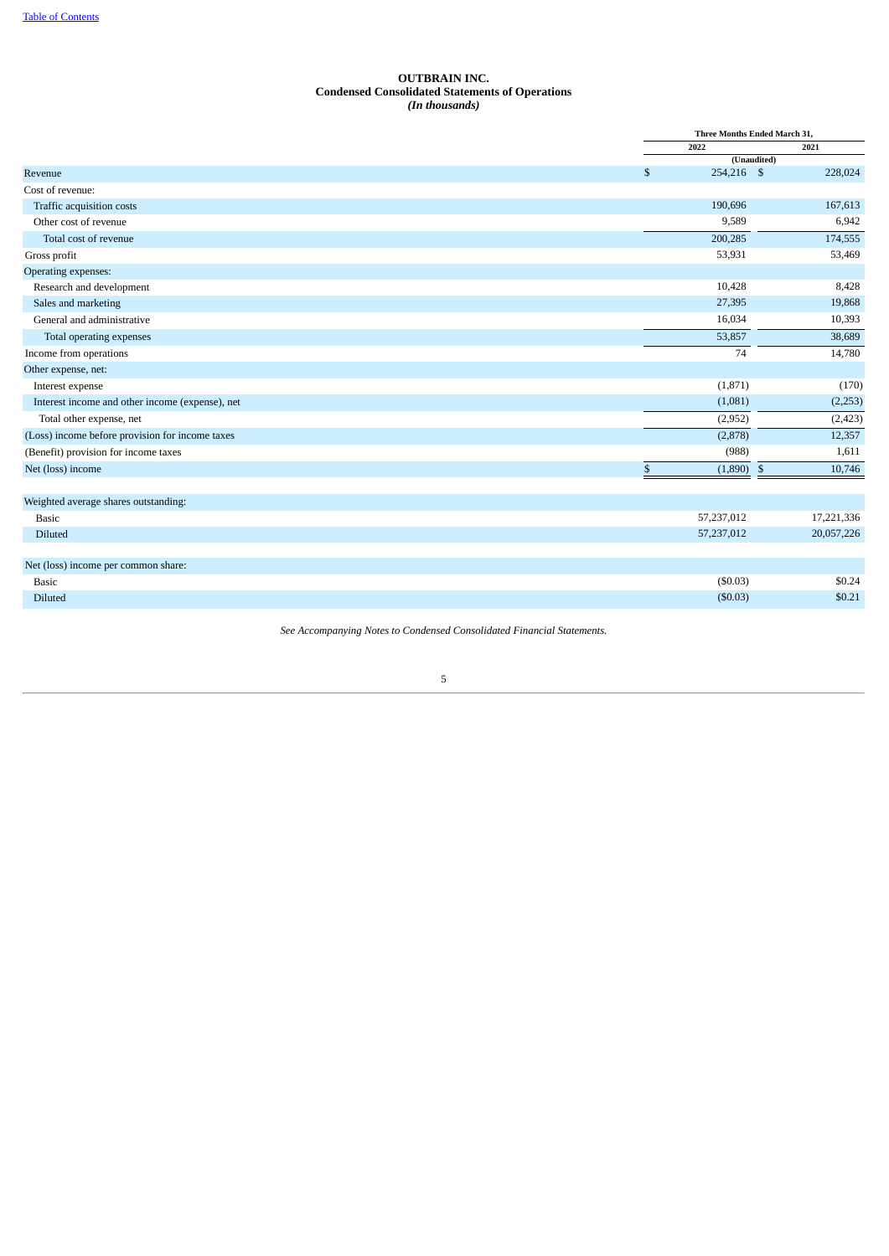#### **OUTBRAIN INC. Condensed Consolidated Statements of Operations** *(In thousands)*

|                                                 |              | Three Months Ended March 31, |            |  |
|-------------------------------------------------|--------------|------------------------------|------------|--|
|                                                 | 2022         |                              | 2021       |  |
|                                                 |              | (Unaudited)                  |            |  |
| Revenue                                         | \$           | 254,216 \$                   | 228,024    |  |
| Cost of revenue:                                |              |                              |            |  |
| Traffic acquisition costs                       | 190,696      |                              | 167,613    |  |
| Other cost of revenue                           |              | 9,589                        | 6,942      |  |
| Total cost of revenue                           | 200,285      |                              | 174,555    |  |
| Gross profit                                    |              | 53,931                       | 53,469     |  |
| Operating expenses:                             |              |                              |            |  |
| Research and development                        |              | 10,428                       | 8,428      |  |
| Sales and marketing                             |              | 27,395                       | 19,868     |  |
| General and administrative                      |              | 16,034                       | 10,393     |  |
| Total operating expenses                        |              | 53,857                       | 38,689     |  |
| Income from operations                          |              | 74                           | 14,780     |  |
| Other expense, net:                             |              |                              |            |  |
| Interest expense                                |              | (1,871)                      | (170)      |  |
| Interest income and other income (expense), net |              | (1,081)                      | (2,253)    |  |
| Total other expense, net                        |              | (2,952)                      | (2, 423)   |  |
| (Loss) income before provision for income taxes |              | (2,878)                      | 12,357     |  |
| (Benefit) provision for income taxes            |              | (988)                        | 1,611      |  |
| Net (loss) income                               | $\mathbb{S}$ | $\mathfrak{s}$<br>(1,890)    | 10,746     |  |
| Weighted average shares outstanding:            |              |                              |            |  |
| <b>Basic</b>                                    | 57,237,012   |                              | 17,221,336 |  |
| Diluted                                         | 57,237,012   |                              | 20,057,226 |  |
| Net (loss) income per common share:             |              |                              |            |  |
| <b>Basic</b>                                    |              | (\$0.03)                     | \$0.24     |  |
| Diluted                                         |              | (\$0.03)                     | \$0.21     |  |
|                                                 |              |                              |            |  |

<span id="page-4-0"></span>*See Accompanying Notes to Condensed Consolidated Financial Statements.*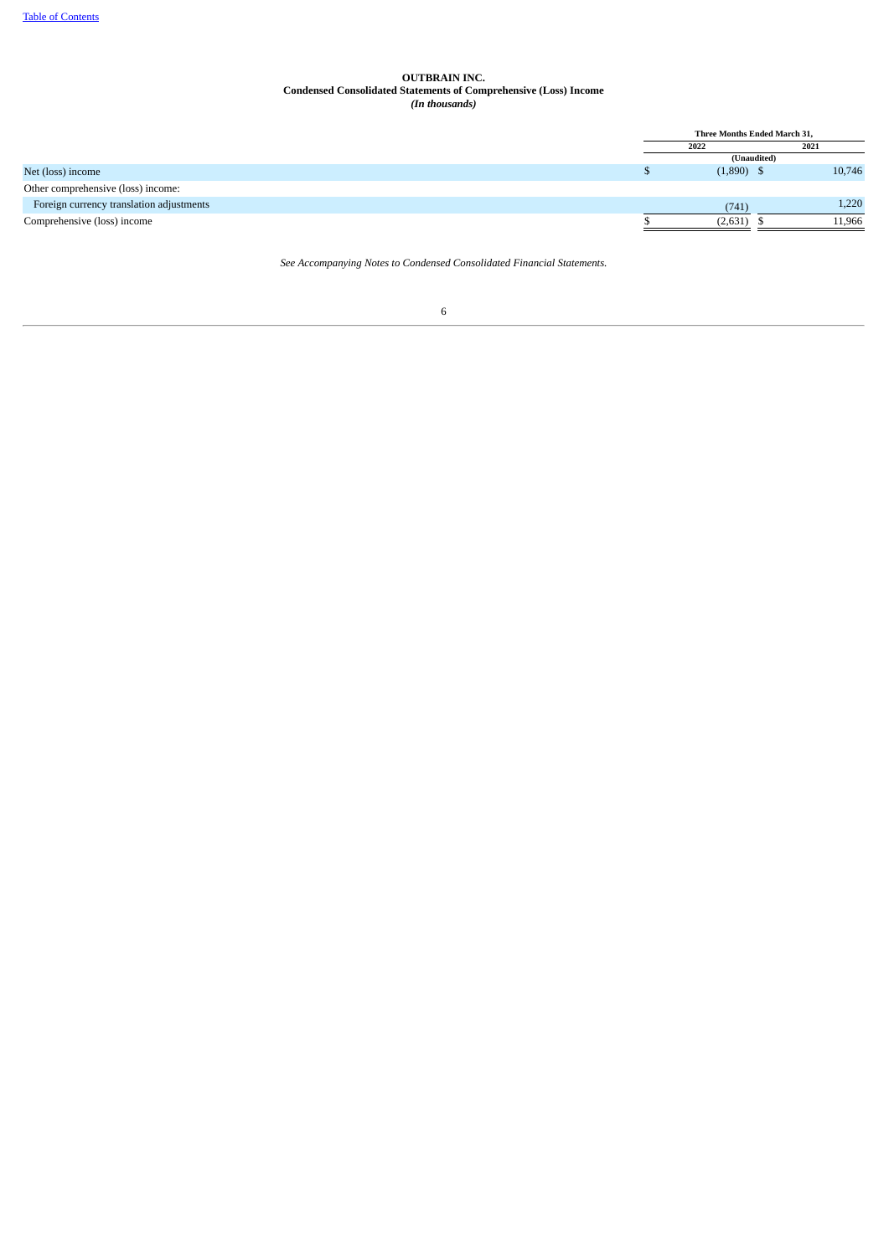#### **OUTBRAIN INC. Condensed Consolidated Statements of Comprehensive (Loss) Income** *(In thousands)*

<span id="page-5-0"></span>

|                                          | Three Months Ended March 31. |        |  |
|------------------------------------------|------------------------------|--------|--|
|                                          | 2022                         | 2021   |  |
|                                          | (Unaudited)                  |        |  |
| Net (loss) income                        | $(1,890)$ \$                 | 10,746 |  |
| Other comprehensive (loss) income:       |                              |        |  |
| Foreign currency translation adjustments | (741)                        | 1,220  |  |
| Comprehensive (loss) income              | (2,631)                      | 11.966 |  |

*See Accompanying Notes to Condensed Consolidated Financial Statements.*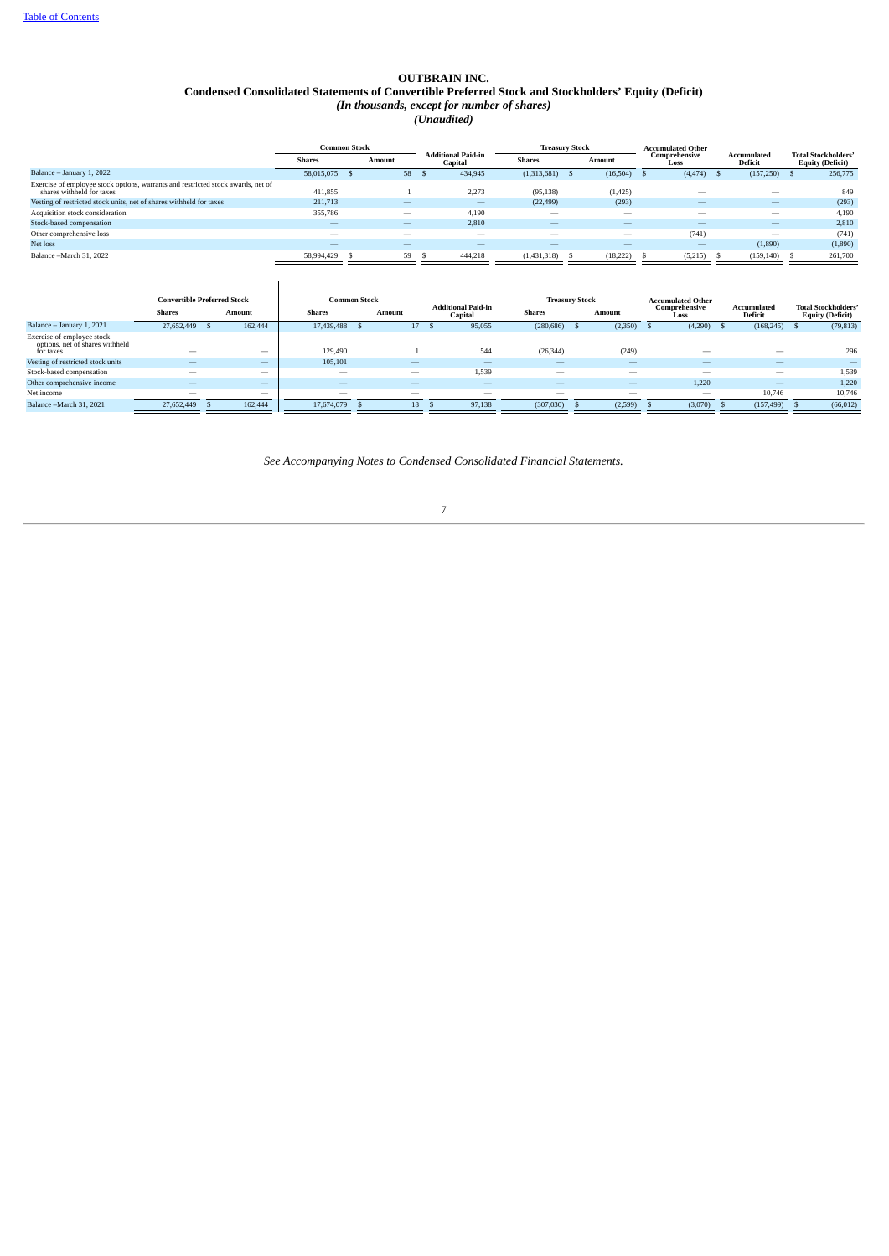#### **OUTBRAIN INC. Condensed Consolidated Statements of Convertible Preferred Stock and Stockholders' Equity (Deficit)** *(In thousands, except for number of shares) (Unaudited)*

|                                                                                                               |                          | <b>Common Stock</b> |        |                                      | <b>Treasury Stock</b>    |        |                          | <b>Accumulated Other</b> |                          |  |                                                       |
|---------------------------------------------------------------------------------------------------------------|--------------------------|---------------------|--------|--------------------------------------|--------------------------|--------|--------------------------|--------------------------|--------------------------|--|-------------------------------------------------------|
|                                                                                                               | <b>Shares</b>            |                     | Amount | <b>Additional Paid-in</b><br>Capital | <b>Shares</b>            | Amount |                          | Comprehensive<br>Loss    | Accumulated<br>Deficit   |  | <b>Total Stockholders'</b><br><b>Equity (Deficit)</b> |
| Balance - January 1, 2022                                                                                     | 58,015,075               |                     | 58 \$  | 434,945                              | (1,313,681)              |        | $(16,504)$ \$            | (4, 474)                 | (157,250)                |  | 256,775                                               |
| Exercise of employee stock options, warrants and restricted stock awards, net of<br>shares withheld for taxes | 411,855                  |                     |        | 2,273                                | (95, 138)                |        | (1, 425)                 |                          | $\overline{\phantom{0}}$ |  | 849                                                   |
| Vesting of restricted stock units, net of shares withheld for taxes                                           | 211,713                  |                     | _      |                                      | (22, 499)                |        | (293)                    |                          | —                        |  | (293)                                                 |
| Acquisition stock consideration                                                                               | 355,786                  |                     | —      | 4,190                                |                          |        | $\overline{\phantom{a}}$ |                          | $\overline{\phantom{0}}$ |  | 4,190                                                 |
| Stock-based compensation                                                                                      | $\overline{\phantom{m}}$ |                     |        | 2,810                                | $\overline{\phantom{m}}$ |        |                          |                          |                          |  | 2,810                                                 |
| Other comprehensive loss                                                                                      |                          |                     |        | $\overline{\phantom{a}}$             | _                        |        | -                        | (741)                    | $\overline{\phantom{0}}$ |  | (741)                                                 |
| Net loss                                                                                                      | $\overline{\phantom{m}}$ |                     |        | $\overline{\phantom{0}}$             |                          |        |                          |                          | (1,890)                  |  | (1,890)                                               |
| Balance -March 31, 2022                                                                                       | 58,994,429               |                     | 59     | 444.218                              | (1,431,318)              |        | (18, 222)                | (5,215)                  | (159, 140)               |  | 261,700                                               |
|                                                                                                               |                          |                     |        |                                      |                          |        |                          |                          |                          |  |                                                       |

<span id="page-6-0"></span>

|                                                                            |                          | <b>Convertible Preferred Stock</b> |               | <b>Common Stock</b> |                          |                                      |                          | <b>Treasury Stock</b> |                          | <b>Accumulated Other</b> |   |                          |                          |  |  |                        |                                                       |
|----------------------------------------------------------------------------|--------------------------|------------------------------------|---------------|---------------------|--------------------------|--------------------------------------|--------------------------|-----------------------|--------------------------|--------------------------|---|--------------------------|--------------------------|--|--|------------------------|-------------------------------------------------------|
|                                                                            | <b>Shares</b>            | Amount                             | <b>Shares</b> | Amount              |                          | <b>Additional Paid-in</b><br>Capital | <b>Shares</b>            |                       | Amount                   | Comprehensive<br>Loss    |   |                          |                          |  |  | Accumulated<br>Deficit | <b>Total Stockholders'</b><br><b>Equity (Deficit)</b> |
| Balance - January 1, 2021                                                  | 27,652,449               | 162,444                            | 17,439,488    |                     | 17                       | 95,055                               | (280, 686)               |                       | (2,350)                  | (4,290)                  |   | (168, 245)               | (79, 813)                |  |  |                        |                                                       |
| Exercise of employee stock<br>options, net of shares withheld<br>for taxes |                          |                                    | 129.490       |                     |                          | 544                                  | (26, 344)                |                       | (249)                    |                          | _ |                          | 296                      |  |  |                        |                                                       |
| Vesting of restricted stock units                                          | $\overline{\phantom{m}}$ |                                    | 105,101       |                     |                          | $\overline{\phantom{m}}$             | $\overline{\phantom{m}}$ |                       | $\overline{\phantom{m}}$ | $\overline{\phantom{m}}$ |   |                          | $\overline{\phantom{m}}$ |  |  |                        |                                                       |
| Stock-based compensation                                                   | $\overline{\phantom{0}}$ | $\overline{\phantom{0}}$           |               |                     | $\overline{\phantom{0}}$ | 1,539                                |                          |                       | $\overline{\phantom{0}}$ |                          |   | $\overline{\phantom{0}}$ | 1,539                    |  |  |                        |                                                       |
| Other comprehensive income                                                 |                          | $-$                                | –             |                     |                          | -                                    |                          |                       | $\overline{\phantom{a}}$ | 1,220                    |   |                          | 1,220                    |  |  |                        |                                                       |
| Net income                                                                 | $\overline{\phantom{0}}$ |                                    |               |                     | $\overline{\phantom{a}}$ |                                      | $\overline{\phantom{a}}$ |                       |                          |                          |   | 10,746                   | 10,746                   |  |  |                        |                                                       |
| Balance -March 31, 2021                                                    | 27,652,449               | 162,444                            | 17,674,079 \$ |                     | 18                       | 97,138                               | (307,030)                |                       | (2,599)                  | (3,070)                  |   | (157, 499)               | (66, 012)                |  |  |                        |                                                       |

*See Accompanying Notes to Condensed Consolidated Financial Statements.*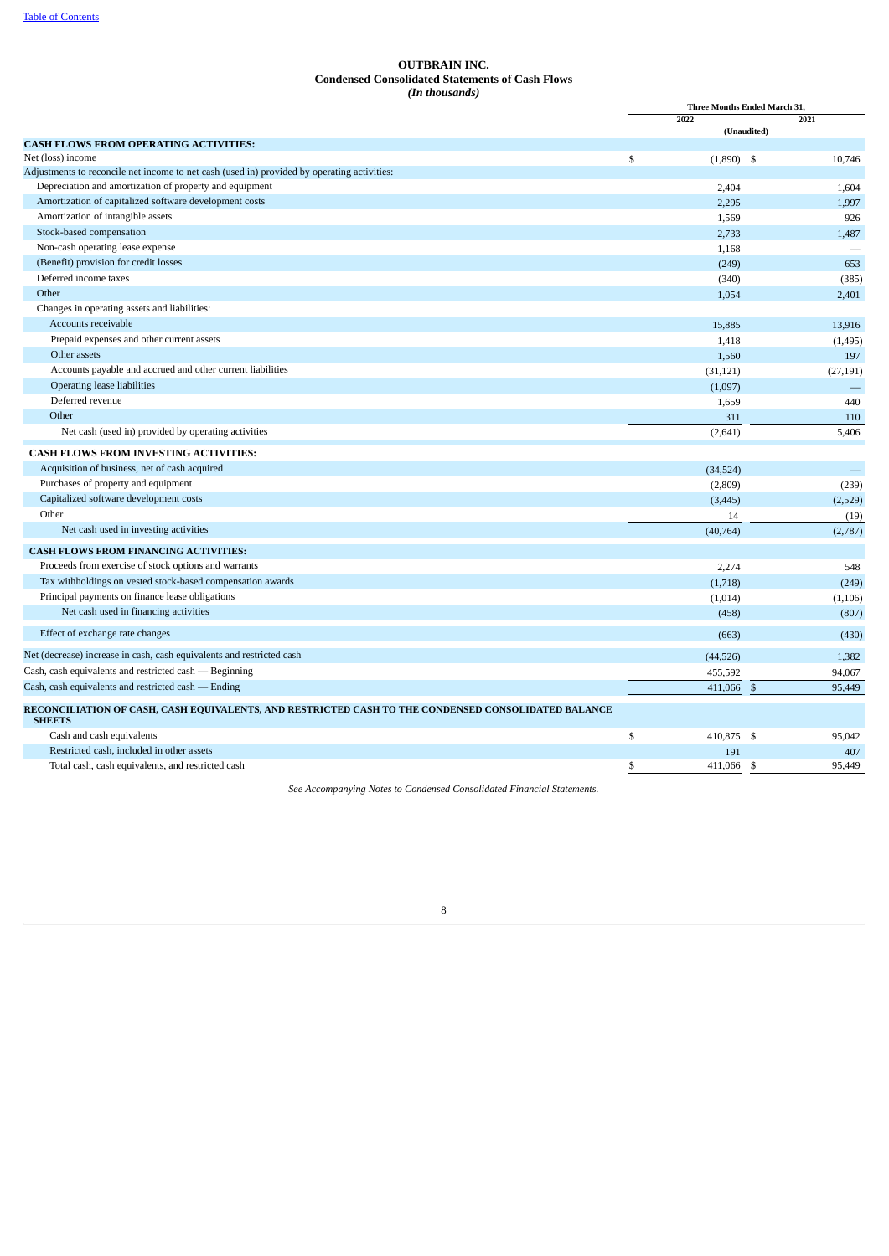## **OUTBRAIN INC. Condensed Consolidated Statements of Cash Flows** *(In thousands)*

|                                                                                                                      |      | Three Months Ended March 31, |                          |
|----------------------------------------------------------------------------------------------------------------------|------|------------------------------|--------------------------|
|                                                                                                                      | 2022 | (Unaudited)                  | 2021                     |
| <b>CASH FLOWS FROM OPERATING ACTIVITIES:</b>                                                                         |      |                              |                          |
| Net (loss) income                                                                                                    | \$   | $(1,890)$ \$                 | 10,746                   |
| Adjustments to reconcile net income to net cash (used in) provided by operating activities:                          |      |                              |                          |
| Depreciation and amortization of property and equipment                                                              |      | 2,404                        | 1,604                    |
| Amortization of capitalized software development costs                                                               |      | 2,295                        | 1,997                    |
| Amortization of intangible assets                                                                                    |      | 1,569                        | 926                      |
| Stock-based compensation                                                                                             |      | 2,733                        | 1,487                    |
| Non-cash operating lease expense                                                                                     |      | 1,168                        |                          |
| (Benefit) provision for credit losses                                                                                |      | (249)                        | 653                      |
| Deferred income taxes                                                                                                |      | (340)                        | (385)                    |
| Other                                                                                                                |      | 1,054                        | 2,401                    |
| Changes in operating assets and liabilities:                                                                         |      |                              |                          |
| Accounts receivable                                                                                                  |      | 15,885                       | 13.916                   |
| Prepaid expenses and other current assets                                                                            |      | 1,418                        | (1, 495)                 |
| Other assets                                                                                                         |      | 1,560                        | 197                      |
| Accounts payable and accrued and other current liabilities                                                           |      | (31, 121)                    | (27, 191)                |
| Operating lease liabilities                                                                                          |      | (1,097)                      |                          |
| Deferred revenue                                                                                                     |      | 1,659                        | 440                      |
| Other                                                                                                                |      | 311                          | 110                      |
| Net cash (used in) provided by operating activities                                                                  |      | (2,641)                      | 5,406                    |
| <b>CASH FLOWS FROM INVESTING ACTIVITIES:</b>                                                                         |      |                              |                          |
| Acquisition of business, net of cash acquired                                                                        |      | (34,524)                     | $\overline{\phantom{0}}$ |
| Purchases of property and equipment                                                                                  |      | (2,809)                      | (239)                    |
| Capitalized software development costs                                                                               |      | (3, 445)                     | (2,529)                  |
| Other                                                                                                                |      | 14                           | (19)                     |
| Net cash used in investing activities                                                                                |      | (40, 764)                    | (2,787)                  |
| <b>CASH FLOWS FROM FINANCING ACTIVITIES:</b>                                                                         |      |                              |                          |
| Proceeds from exercise of stock options and warrants                                                                 |      | 2,274                        | 548                      |
| Tax withholdings on vested stock-based compensation awards                                                           |      | (1,718)                      | (249)                    |
| Principal payments on finance lease obligations                                                                      |      | (1,014)                      | (1,106)                  |
| Net cash used in financing activities                                                                                |      | (458)                        | (807)                    |
| Effect of exchange rate changes                                                                                      |      | (663)                        | (430)                    |
| Net (decrease) increase in cash, cash equivalents and restricted cash                                                |      | (44, 526)                    | 1,382                    |
| Cash, cash equivalents and restricted cash - Beginning                                                               |      | 455,592                      | 94,067                   |
| Cash, cash equivalents and restricted cash — Ending                                                                  |      | 411,066<br>\$                | 95,449                   |
| RECONCILIATION OF CASH, CASH EQUIVALENTS, AND RESTRICTED CASH TO THE CONDENSED CONSOLIDATED BALANCE<br><b>SHEETS</b> |      |                              |                          |
| Cash and cash equivalents                                                                                            | \$   | 410,875 \$                   | 95,042                   |
| Restricted cash, included in other assets                                                                            |      | 191                          | 407                      |
| Total cash, cash equivalents, and restricted cash                                                                    | \$   | \$<br>411,066                | 95,449                   |
|                                                                                                                      |      |                              |                          |

*See Accompanying Notes to Condensed Consolidated Financial Statements.*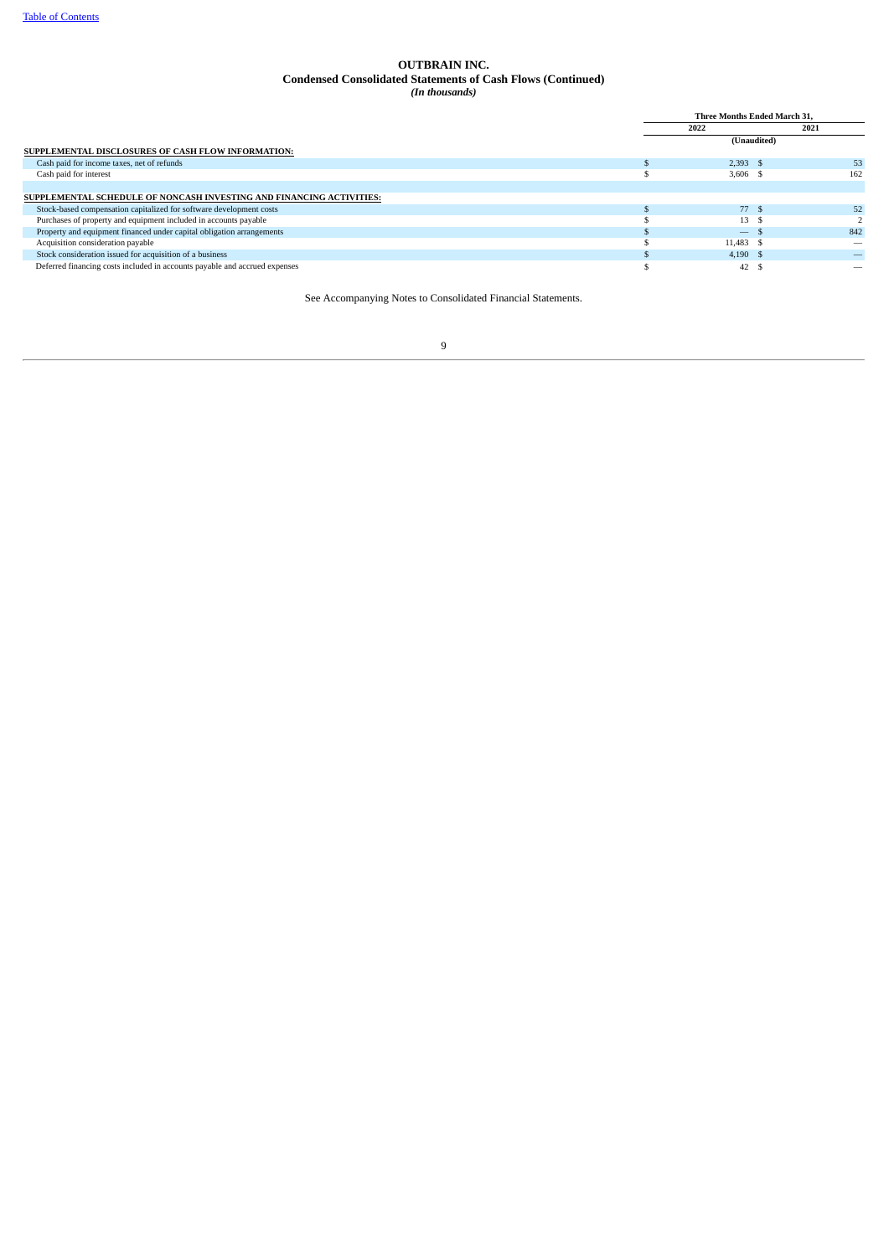#### **OUTBRAIN INC. Condensed Consolidated Statements of Cash Flows (Continued)** *(In thousands)*

<span id="page-8-0"></span>

|                                                                            | Three Months Ended March 31. |      |     |
|----------------------------------------------------------------------------|------------------------------|------|-----|
|                                                                            | 2022                         | 2021 |     |
|                                                                            | (Unaudited)                  |      |     |
| SUPPLEMENTAL DISCLOSURES OF CASH FLOW INFORMATION:                         |                              |      |     |
| Cash paid for income taxes, net of refunds                                 | 2.393S                       |      | 53  |
| Cash paid for interest                                                     | $3,606$ \$                   |      | 162 |
|                                                                            |                              |      |     |
| SUPPLEMENTAL SCHEDULE OF NONCASH INVESTING AND FINANCING ACTIVITIES:       |                              |      |     |
| Stock-based compensation capitalized for software development costs        | 77 \$                        |      | 52  |
| Purchases of property and equipment included in accounts payable           | 13                           |      |     |
| Property and equipment financed under capital obligation arrangements      | $\overline{\phantom{a}}$     |      | 842 |
| Acquisition consideration payable                                          | $11.483$ \$                  |      |     |
| Stock consideration issued for acquisition of a business                   | $4,190$ \$                   |      |     |
| Deferred financing costs included in accounts payable and accrued expenses | 42                           | - \$ |     |
|                                                                            |                              |      |     |

See Accompanying Notes to Consolidated Financial Statements.

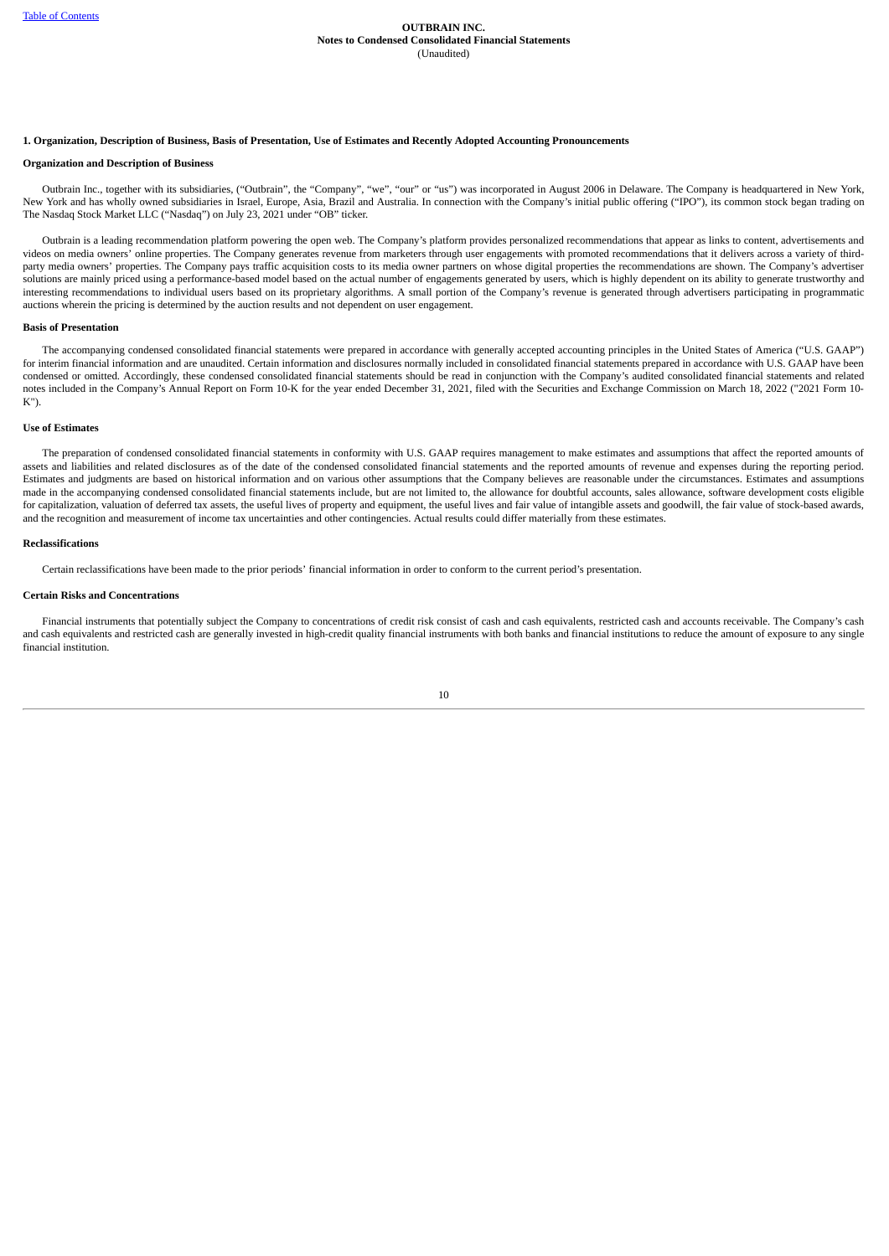#### 1. Organization, Description of Business, Basis of Presentation, Use of Estimates and Recently Adopted Accounting Pronouncements

#### **Organization and Description of Business**

Outbrain Inc., together with its subsidiaries, ("Outbrain", the "Company", "we", "our" or "us") was incorporated in August 2006 in Delaware. The Company is headquartered in New York, New York and has wholly owned subsidiaries in Israel, Europe, Asia, Brazil and Australia. In connection with the Company's initial public offering ("IPO"), its common stock began trading on The Nasdaq Stock Market LLC ("Nasdaq") on July 23, 2021 under "OB" ticker.

Outbrain is a leading recommendation platform powering the open web. The Company's platform provides personalized recommendations that appear as links to content, advertisements and videos on media owners' online properties. The Company generates revenue from marketers through user engagements with promoted recommendations that it delivers across a variety of thirdparty media owners' properties. The Company pays traffic acquisition costs to its media owner partners on whose digital properties the recommendations are shown. The Company's advertiser solutions are mainly priced using a performance-based model based on the actual number of engagements generated by users, which is highly dependent on its ability to generate trustworthy and interesting recommendations to individual users based on its proprietary algorithms. A small portion of the Company's revenue is generated through advertisers participating in programmatic auctions wherein the pricing is determined by the auction results and not dependent on user engagement.

#### **Basis of Presentation**

The accompanying condensed consolidated financial statements were prepared in accordance with generally accepted accounting principles in the United States of America ("U.S. GAAP") for interim financial information and are unaudited. Certain information and disclosures normally included in consolidated financial statements prepared in accordance with U.S. GAAP have been condensed or omitted. Accordingly, these condensed consolidated financial statements should be read in conjunction with the Company's audited consolidated financial statements and related notes included in the Company's Annual Report on Form 10-K for the year ended December 31, 2021, filed with the Securities and Exchange Commission on March 18, 2022 ("2021 Form 10- K").

#### **Use of Estimates**

The preparation of condensed consolidated financial statements in conformity with U.S. GAAP requires management to make estimates and assumptions that affect the reported amounts of assets and liabilities and related disclosures as of the date of the condensed consolidated financial statements and the reported amounts of revenue and expenses during the reporting period. Estimates and judgments are based on historical information and on various other assumptions that the Company believes are reasonable under the circumstances. Estimates and assumptions made in the accompanying condensed consolidated financial statements include, but are not limited to, the allowance for doubtful accounts, sales allowance, software development costs eligible for capitalization, valuation of deferred tax assets, the useful lives of property and equipment, the useful lives and fair value of intangible assets and goodwill, the fair value of stock-based awards, and the recognition and measurement of income tax uncertainties and other contingencies. Actual results could differ materially from these estimates.

#### **Reclassifications**

Certain reclassifications have been made to the prior periods' financial information in order to conform to the current period's presentation.

#### **Certain Risks and Concentrations**

Financial instruments that potentially subject the Company to concentrations of credit risk consist of cash and cash equivalents, restricted cash and accounts receivable. The Company's cash and cash equivalents and restricted cash are generally invested in high-credit quality financial instruments with both banks and financial institutions to reduce the amount of exposure to any single financial institution.

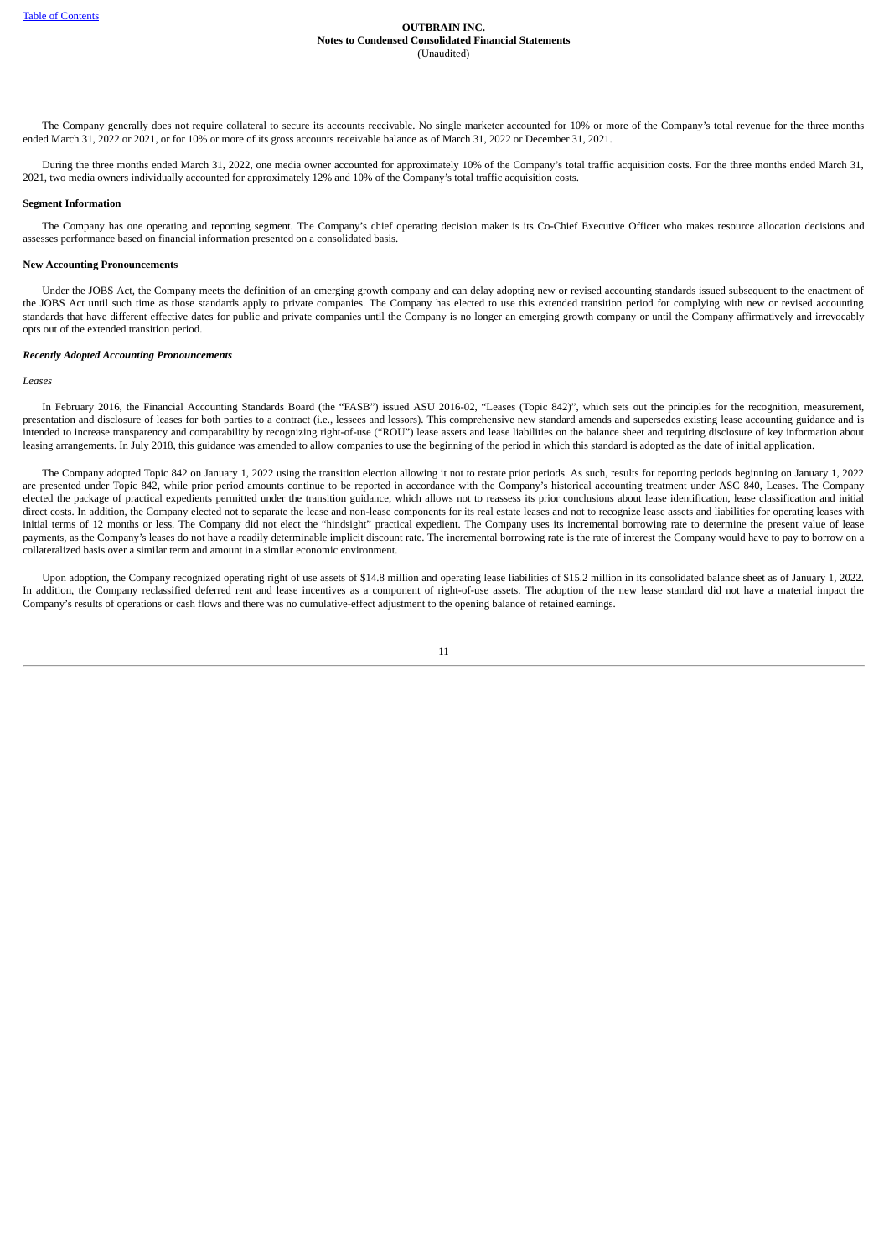The Company generally does not require collateral to secure its accounts receivable. No single marketer accounted for 10% or more of the Company's total revenue for the three months ended March 31, 2022 or 2021, or for 10% or more of its gross accounts receivable balance as of March 31, 2022 or December 31, 2021.

During the three months ended March 31, 2022, one media owner accounted for approximately 10% of the Company's total traffic acquisition costs. For the three months ended March 31, 2021, two media owners individually accounted for approximately 12% and 10% of the Company's total traffic acquisition costs.

#### **Segment Information**

The Company has one operating and reporting segment. The Company's chief operating decision maker is its Co-Chief Executive Officer who makes resource allocation decisions and assesses performance based on financial information presented on a consolidated basis.

#### **New Accounting Pronouncements**

Under the JOBS Act, the Company meets the definition of an emerging growth company and can delay adopting new or revised accounting standards issued subsequent to the enactment of the JOBS Act until such time as those standards apply to private companies. The Company has elected to use this extended transition period for complying with new or revised accounting standards that have different effective dates for public and private companies until the Company is no longer an emerging growth company or until the Company affirmatively and irrevocably opts out of the extended transition period.

## *Recently Adopted Accounting Pronouncements*

#### *Leases*

In February 2016, the Financial Accounting Standards Board (the "FASB") issued ASU 2016-02, "Leases (Topic 842)", which sets out the principles for the recognition, measurement, presentation and disclosure of leases for both parties to a contract (i.e., lessees and lessors). This comprehensive new standard amends and supersedes existing lease accounting guidance and is intended to increase transparency and comparability by recognizing right-of-use ("ROU") lease assets and lease liabilities on the balance sheet and requiring disclosure of key information about leasing arrangements. In July 2018, this guidance was amended to allow companies to use the beginning of the period in which this standard is adopted as the date of initial application.

The Company adopted Topic 842 on January 1, 2022 using the transition election allowing it not to restate prior periods. As such, results for reporting periods beginning on January 1, 2022 are presented under Topic 842, while prior period amounts continue to be reported in accordance with the Company's historical accounting treatment under ASC 840, Leases. The Company elected the package of practical expedients permitted under the transition guidance, which allows not to reassess its prior conclusions about lease identification, lease classification and initial direct costs. In addition, the Company elected not to separate the lease and non-lease components for its real estate leases and not to recognize lease assets and liabilities for operating leases with initial terms of 12 months or less. The Company did not elect the "hindsight" practical expedient. The Company uses its incremental borrowing rate to determine the present value of lease payments, as the Company's leases do not have a readily determinable implicit discount rate. The incremental borrowing rate is the rate of interest the Company would have to pay to borrow on a collateralized basis over a similar term and amount in a similar economic environment.

Upon adoption, the Company recognized operating right of use assets of \$14.8 million and operating lease liabilities of \$15.2 million in its consolidated balance sheet as of January 1, 2022. In addition, the Company reclassified deferred rent and lease incentives as a component of right-of-use assets. The adoption of the new lease standard did not have a material impact the Company's results of operations or cash flows and there was no cumulative-effect adjustment to the opening balance of retained earnings.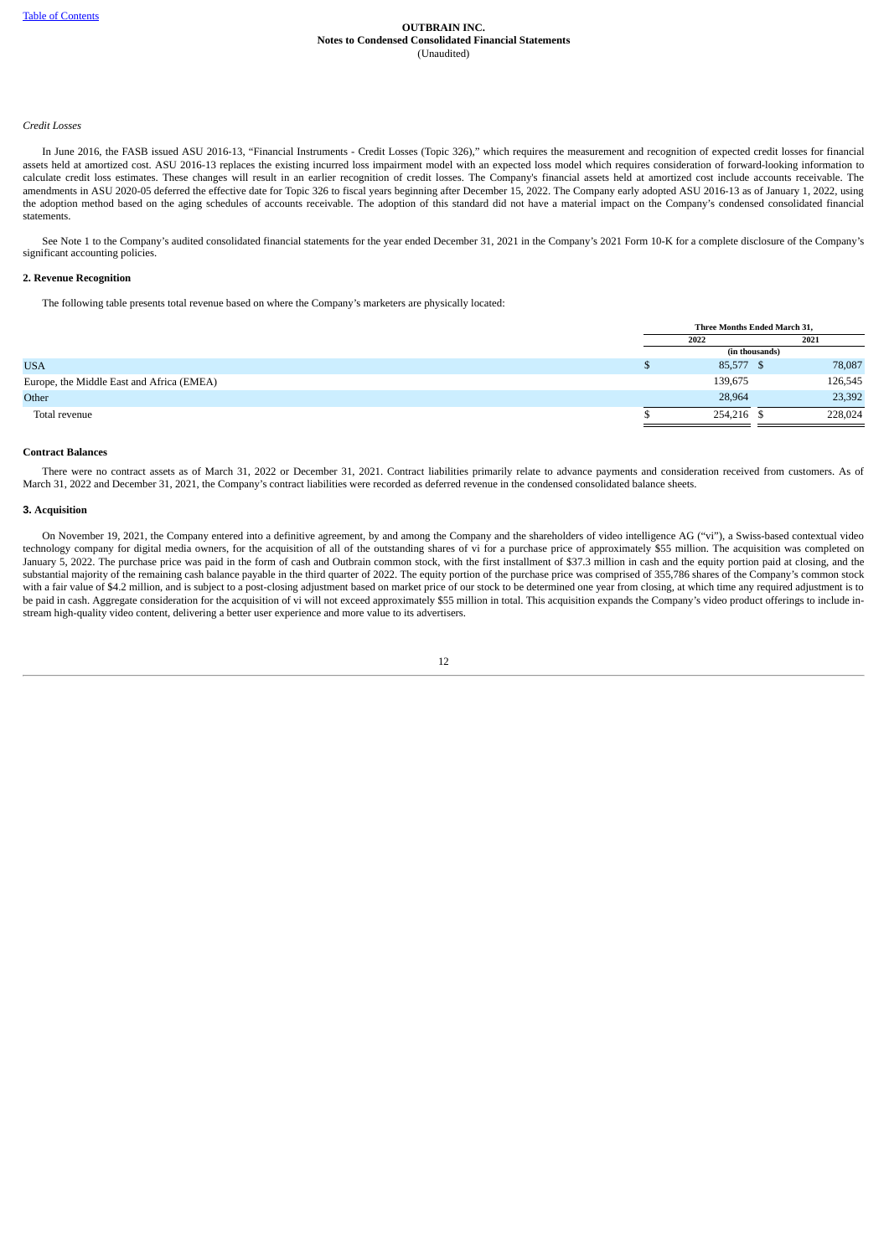## *Credit Losses*

In June 2016, the FASB issued ASU 2016-13, "Financial Instruments - Credit Losses (Topic 326)," which requires the measurement and recognition of expected credit losses for financial assets held at amortized cost. ASU 2016-13 replaces the existing incurred loss impairment model with an expected loss model which requires consideration of forward-looking information to calculate credit loss estimates. These changes will result in an earlier recognition of credit losses. The Company's financial assets held at amortized cost include accounts receivable. The amendments in ASU 2020-05 deferred the effective date for Topic 326 to fiscal years beginning after December 15, 2022. The Company early adopted ASU 2016-13 as of January 1, 2022, using the adoption method based on the aging schedules of accounts receivable. The adoption of this standard did not have a material impact on the Company's condensed consolidated financial statements.

See Note 1 to the Company's audited consolidated financial statements for the year ended December 31, 2021 in the Company's 2021 Form 10-K for a complete disclosure of the Company's significant accounting policies.

#### **2. Revenue Recognition**

The following table presents total revenue based on where the Company's marketers are physically located:

|                                           | Three Months Ended March 31, |  |         |
|-------------------------------------------|------------------------------|--|---------|
|                                           | 2022                         |  | 2021    |
|                                           | (in thousands)               |  |         |
| <b>USA</b>                                | 85,577 \$                    |  | 78,087  |
| Europe, the Middle East and Africa (EMEA) | 139,675                      |  | 126,545 |
| Other                                     | 28,964                       |  | 23,392  |
| Total revenue                             | 254,216 \$                   |  | 228,024 |
|                                           |                              |  |         |

#### **Contract Balances**

There were no contract assets as of March 31, 2022 or December 31, 2021. Contract liabilities primarily relate to advance payments and consideration received from customers. As of March 31, 2022 and December 31, 2021, the Company's contract liabilities were recorded as deferred revenue in the condensed consolidated balance sheets.

#### **3. Acquisition**

On November 19, 2021, the Company entered into a definitive agreement, by and among the Company and the shareholders of video intelligence AG ("vi"), a Swiss-based contextual video technology company for digital media owners, for the acquisition of all of the outstanding shares of vi for a purchase price of approximately \$55 million. The acquisition was completed on January 5, 2022. The purchase price was paid in the form of cash and Outbrain common stock, with the first installment of \$37.3 million in cash and the equity portion paid at closing, and the substantial majority of the remaining cash balance payable in the third quarter of 2022. The equity portion of the purchase price was comprised of 355,786 shares of the Company's common stock with a fair value of \$4.2 million, and is subject to a post-closing adjustment based on market price of our stock to be determined one year from closing, at which time any required adjustment is to be paid in cash. Aggregate consideration for the acquisition of vi will not exceed approximately \$55 million in total. This acquisition expands the Company's video product offerings to include instream high-quality video content, delivering a better user experience and more value to its advertisers.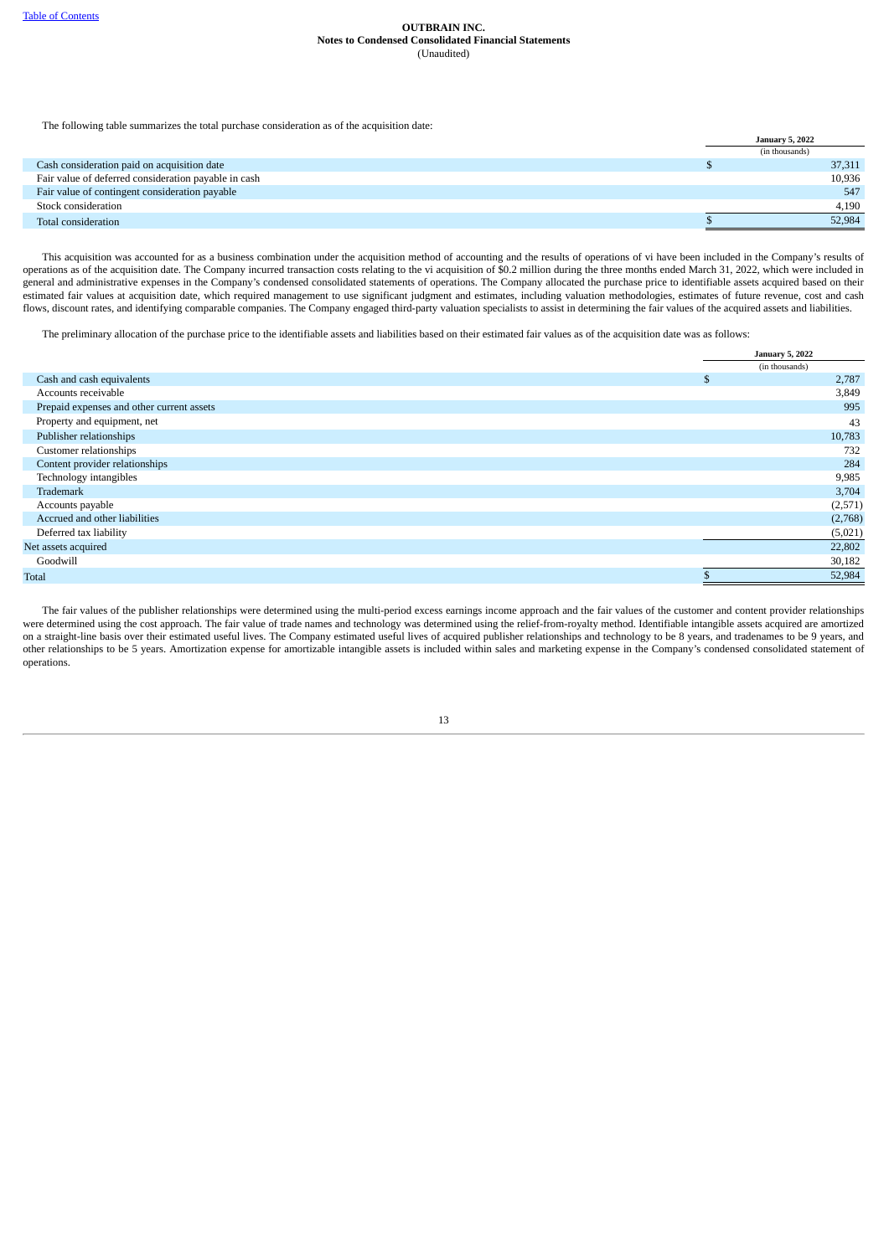The following table summarizes the total purchase consideration as of the acquisition date:

|                                                      | <b>January 5, 2022</b> |        |
|------------------------------------------------------|------------------------|--------|
|                                                      | (in thousands)         |        |
| Cash consideration paid on acquisition date          |                        | 37,311 |
| Fair value of deferred consideration payable in cash |                        | 10,936 |
| Fair value of contingent consideration payable       |                        | 547    |
| Stock consideration                                  |                        | 4,190  |
| Total consideration                                  |                        | 52,984 |

This acquisition was accounted for as a business combination under the acquisition method of accounting and the results of operations of vi have been included in the Company's results of operations as of the acquisition date. The Company incurred transaction costs relating to the vi acquisition of \$0.2 million during the three months ended March 31, 2022, which were included in general and administrative expenses in the Company's condensed consolidated statements of operations. The Company allocated the purchase price to identifiable assets acquired based on their estimated fair values at acquisition date, which required management to use significant judgment and estimates, including valuation methodologies, estimates of future revenue, cost and cash flows, discount rates, and identifying comparable companies. The Company engaged third-party valuation specialists to assist in determining the fair values of the acquired assets and liabilities.

The preliminary allocation of the purchase price to the identifiable assets and liabilities based on their estimated fair values as of the acquisition date was as follows:

|                                           | <b>January 5, 2022</b> |
|-------------------------------------------|------------------------|
|                                           | (in thousands)         |
| Cash and cash equivalents                 | \$<br>2,787            |
| Accounts receivable                       | 3,849                  |
| Prepaid expenses and other current assets | 995                    |
| Property and equipment, net               | 43                     |
| Publisher relationships                   | 10,783                 |
| Customer relationships                    | 732                    |
| Content provider relationships            | 284                    |
| Technology intangibles                    | 9,985                  |
| Trademark                                 | 3,704                  |
| Accounts payable                          | (2,571)                |
| Accrued and other liabilities             | (2,768)                |
| Deferred tax liability                    | (5,021)                |
| Net assets acquired                       | 22,802                 |
| Goodwill                                  | 30,182                 |
| <b>Total</b>                              | 52,984                 |

The fair values of the publisher relationships were determined using the multi-period excess earnings income approach and the fair values of the customer and content provider relationships were determined using the cost approach. The fair value of trade names and technology was determined using the relief-from-royalty method. Identifiable intangible assets acquired are amortized on a straight-line basis over their estimated useful lives. The Company estimated useful lives of acquired publisher relationships and technology to be 8 years, and tradenames to be 9 years, and other relationships to be 5 years. Amortization expense for amortizable intangible assets is included within sales and marketing expense in the Company's condensed consolidated statement of operations.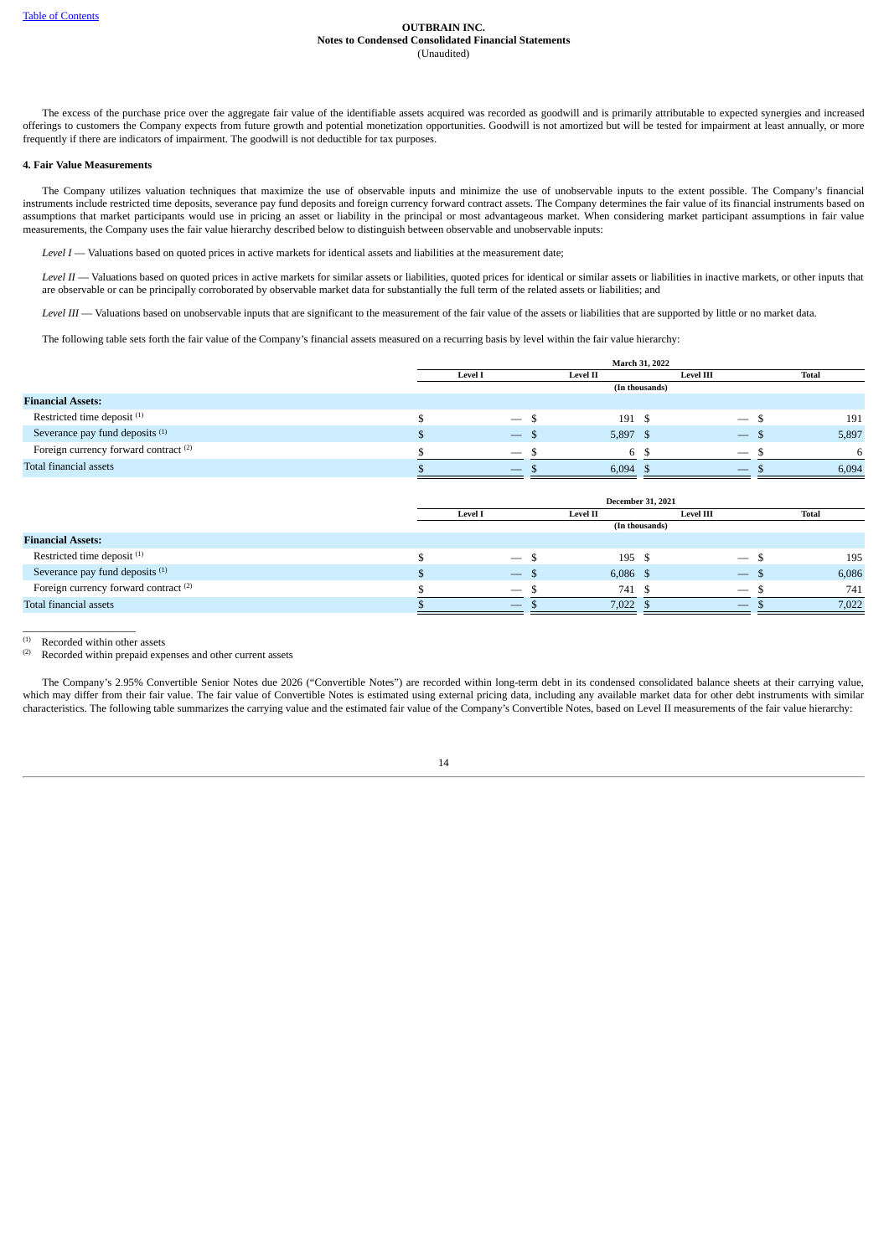The excess of the purchase price over the aggregate fair value of the identifiable assets acquired was recorded as goodwill and is primarily attributable to expected synergies and increased offerings to customers the Company expects from future growth and potential monetization opportunities. Goodwill is not amortized but will be tested for impairment at least annually, or more frequently if there are indicators of impairment. The goodwill is not deductible for tax purposes.

#### **4. Fair Value Measurements**

The Company utilizes valuation techniques that maximize the use of observable inputs and minimize the use of unobservable inputs to the extent possible. The Company's financial instruments include restricted time deposits, severance pay fund deposits and foreign currency forward contract assets. The Company determines the fair value of its financial instruments based on assumptions that market participants would use in pricing an asset or liability in the principal or most advantageous market. When considering market participant assumptions in fair value measurements, the Company uses the fair value hierarchy described below to distinguish between observable and unobservable inputs:

*Level I* — Valuations based on quoted prices in active markets for identical assets and liabilities at the measurement date;

Level *II* — Valuations based on quoted prices in active markets for similar assets or liabilities, quoted prices for identical or similar assets or liabilities in inactive markets, or other inputs that are observable or can be principally corroborated by observable market data for substantially the full term of the related assets or liabilities; and

*Level III* — Valuations based on unobservable inputs that are significant to the measurement of the fair value of the assets or liabilities that are supported by little or no market data.

The following table sets forth the fair value of the Company's financial assets measured on a recurring basis by level within the fair value hierarchy:

|                                                  | <b>March 31, 2022</b>           |                 |                |                                 |       |
|--------------------------------------------------|---------------------------------|-----------------|----------------|---------------------------------|-------|
|                                                  | <b>Level I</b>                  | <b>Level II</b> |                | <b>Level III</b>                | Total |
|                                                  |                                 |                 | (In thousands) |                                 |       |
| <b>Financial Assets:</b>                         |                                 |                 |                |                                 |       |
| Restricted time deposit <sup>(1)</sup>           | $\hspace{0.1mm}-\hspace{0.1mm}$ |                 | 191 \$         | $\hspace{0.05cm}$               | 191   |
| Severance pay fund deposits (1)                  | $\overline{\phantom{m}}$        |                 | 5,897 \$       | $\overline{\phantom{m}}$        | 5,897 |
| Foreign currency forward contract <sup>(2)</sup> | $\hspace{0.1mm}-\hspace{0.1mm}$ |                 | 6              | $\hspace{0.1mm}-\hspace{0.1mm}$ | 6     |
| Total financial assets                           | $\overline{\phantom{m}}$        |                 | 6,094          | $\overline{\phantom{0}}$        | 6,094 |

|                                                  | <b>December 31, 2021</b>        |                 |                |                                 |              |
|--------------------------------------------------|---------------------------------|-----------------|----------------|---------------------------------|--------------|
|                                                  | <b>Level I</b>                  | <b>Level II</b> |                | <b>Level III</b>                | <b>Total</b> |
|                                                  |                                 |                 | (In thousands) |                                 |              |
| <b>Financial Assets:</b>                         |                                 |                 |                |                                 |              |
| Restricted time deposit <sup>(1)</sup>           | $\hspace{0.1mm}-\hspace{0.1mm}$ |                 | 195S           | $\overline{\phantom{m}}$        | 195          |
| Severance pay fund deposits (1)                  | $\longrightarrow$               |                 | $6,086$ \$     | $\overline{\phantom{m}}$        | 6,086        |
| Foreign currency forward contract <sup>(2)</sup> | $\hspace{0.1mm}-\hspace{0.1mm}$ |                 | 741 \$         | $\hspace{0.1mm}-\hspace{0.1mm}$ | 741          |
| Total financial assets                           | $\overline{\phantom{a}}$        | $7,022$ \$      |                | $\overline{\phantom{m}}$        | 7,022        |

 $\overline{\phantom{a}}$  , where  $\overline{\phantom{a}}$ Recorded within other assets (1)

Recorded within prepaid expenses and other current assets (2)

The Company's 2.95% Convertible Senior Notes due 2026 ("Convertible Notes") are recorded within long-term debt in its condensed consolidated balance sheets at their carrying value, which may differ from their fair value. The fair value of Convertible Notes is estimated using external pricing data, including any available market data for other debt instruments with similar characteristics. The following table summarizes the carrying value and the estimated fair value of the Company's Convertible Notes, based on Level II measurements of the fair value hierarchy: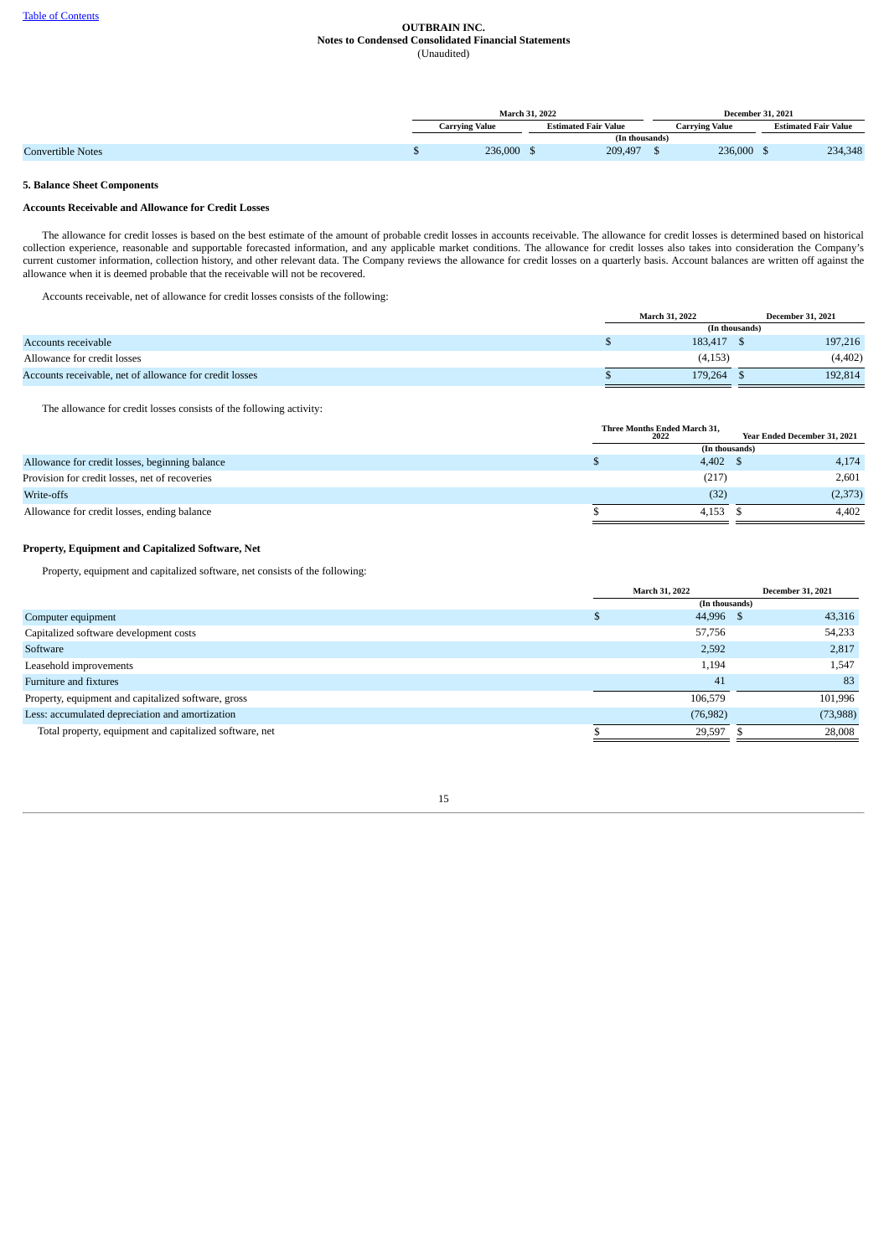|                          |                       | <b>March 31, 2022</b> |                             | <b>December 31, 2021</b> |  |                             |
|--------------------------|-----------------------|-----------------------|-----------------------------|--------------------------|--|-----------------------------|
|                          | <b>Carrying Value</b> |                       | <b>Estimated Fair Value</b> | Carrying Value           |  | <b>Estimated Fair Value</b> |
|                          |                       |                       | (In thousands)              |                          |  |                             |
| <b>Convertible Notes</b> |                       | 236,000               | 209,497                     | 236,000                  |  | 234,348                     |

#### **5. Balance Sheet Components**

#### **Accounts Receivable and Allowance for Credit Losses**

The allowance for credit losses is based on the best estimate of the amount of probable credit losses in accounts receivable. The allowance for credit losses is determined based on historical collection experience, reasonable and supportable forecasted information, and any applicable market conditions. The allowance for credit losses also takes into consideration the Company's current customer information, collection history, and other relevant data. The Company reviews the allowance for credit losses on a quarterly basis. Account balances are written off against the allowance when it is deemed probable that the receivable will not be recovered.

Accounts receivable, net of allowance for credit losses consists of the following:

|                                                         | <b>March 31, 2022</b> |  | <b>December 31, 2021</b> |
|---------------------------------------------------------|-----------------------|--|--------------------------|
|                                                         | (In thousands)        |  |                          |
| Accounts receivable                                     | 183,417               |  | 197,216                  |
| Allowance for credit losses                             | (4, 153)              |  | (4, 402)                 |
| Accounts receivable, net of allowance for credit losses | 179.264               |  | 192,814                  |

The allowance for credit losses consists of the following activity:

|                                                | Three Months Ended March 31,<br>2022 |                  | Year Ended December 31, 2021 |
|------------------------------------------------|--------------------------------------|------------------|------------------------------|
|                                                |                                      | (In thousands)   |                              |
| Allowance for credit losses, beginning balance |                                      | $4.402 \quad$ \$ | 4,174                        |
| Provision for credit losses, net of recoveries |                                      | (217)            | 2,601                        |
| Write-offs                                     |                                      | (32)             | (2,373)                      |
| Allowance for credit losses, ending balance    |                                      | 4.153            | 4,402                        |

## **Property, Equipment and Capitalized Software, Net**

Property, equipment and capitalized software, net consists of the following:

|                                                         | <b>March 31, 2022</b> |  | <b>December 31, 2021</b> |
|---------------------------------------------------------|-----------------------|--|--------------------------|
|                                                         | (In thousands)        |  |                          |
| Computer equipment                                      | 44,996                |  | 43,316                   |
| Capitalized software development costs                  | 57,756                |  | 54,233                   |
| Software                                                | 2,592                 |  | 2,817                    |
| Leasehold improvements                                  | 1,194                 |  | 1,547                    |
| Furniture and fixtures                                  | 41                    |  | 83                       |
| Property, equipment and capitalized software, gross     | 106,579               |  | 101,996                  |
| Less: accumulated depreciation and amortization         | (76, 982)             |  | (73,988)                 |
| Total property, equipment and capitalized software, net | 29,597                |  | 28,008                   |
|                                                         |                       |  |                          |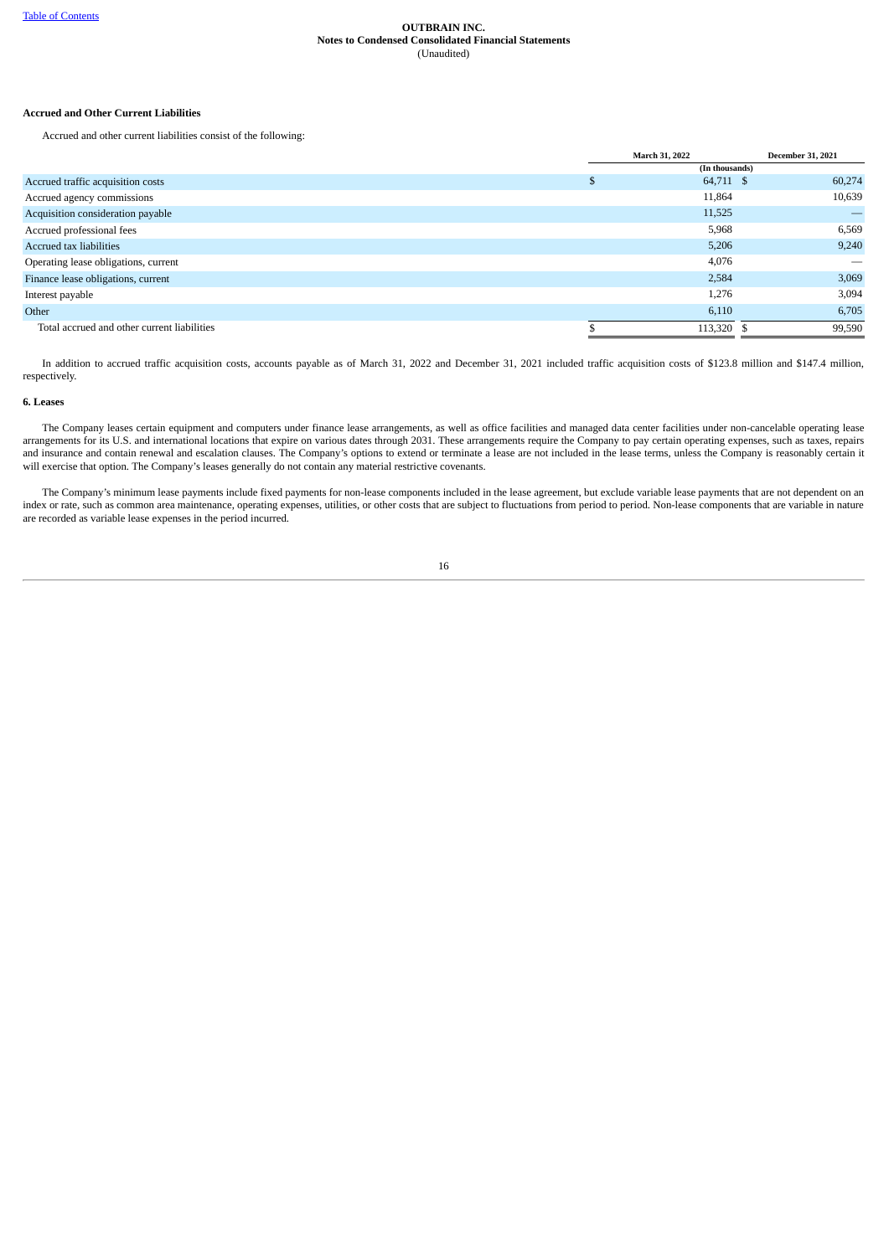## **Accrued and Other Current Liabilities**

Accrued and other current liabilities consist of the following:

|                                             |   | March 31, 2022 | <b>December 31, 2021</b> |
|---------------------------------------------|---|----------------|--------------------------|
|                                             |   | (In thousands) |                          |
| Accrued traffic acquisition costs           | D | 64,711 \$      | 60,274                   |
| Accrued agency commissions                  |   | 11,864         | 10,639                   |
| Acquisition consideration payable           |   | 11,525         |                          |
| Accrued professional fees                   |   | 5,968          | 6,569                    |
| Accrued tax liabilities                     |   | 5,206          | 9,240                    |
| Operating lease obligations, current        |   | 4,076          |                          |
| Finance lease obligations, current          |   | 2,584          | 3,069                    |
| Interest payable                            |   | 1,276          | 3,094                    |
| Other                                       |   | 6,110          | 6,705                    |
| Total accrued and other current liabilities |   | 113,320 \$     | 99,590                   |
|                                             |   |                |                          |

In addition to accrued traffic acquisition costs, accounts payable as of March 31, 2022 and December 31, 2021 included traffic acquisition costs of \$123.8 million and \$147.4 million, respectively.

#### **6. Leases**

The Company leases certain equipment and computers under finance lease arrangements, as well as office facilities and managed data center facilities under non-cancelable operating lease arrangements for its U.S. and international locations that expire on various dates through 2031. These arrangements require the Company to pay certain operating expenses, such as taxes, repairs and insurance and contain renewal and escalation clauses. The Company's options to extend or terminate a lease are not included in the lease terms, unless the Company is reasonably certain it will exercise that option. The Company's leases generally do not contain any material restrictive covenants.

The Company's minimum lease payments include fixed payments for non-lease components included in the lease agreement, but exclude variable lease payments that are not dependent on an index or rate, such as common area maintenance, operating expenses, utilities, or other costs that are subject to fluctuations from period to period. Non-lease components that are variable in nature are recorded as variable lease expenses in the period incurred.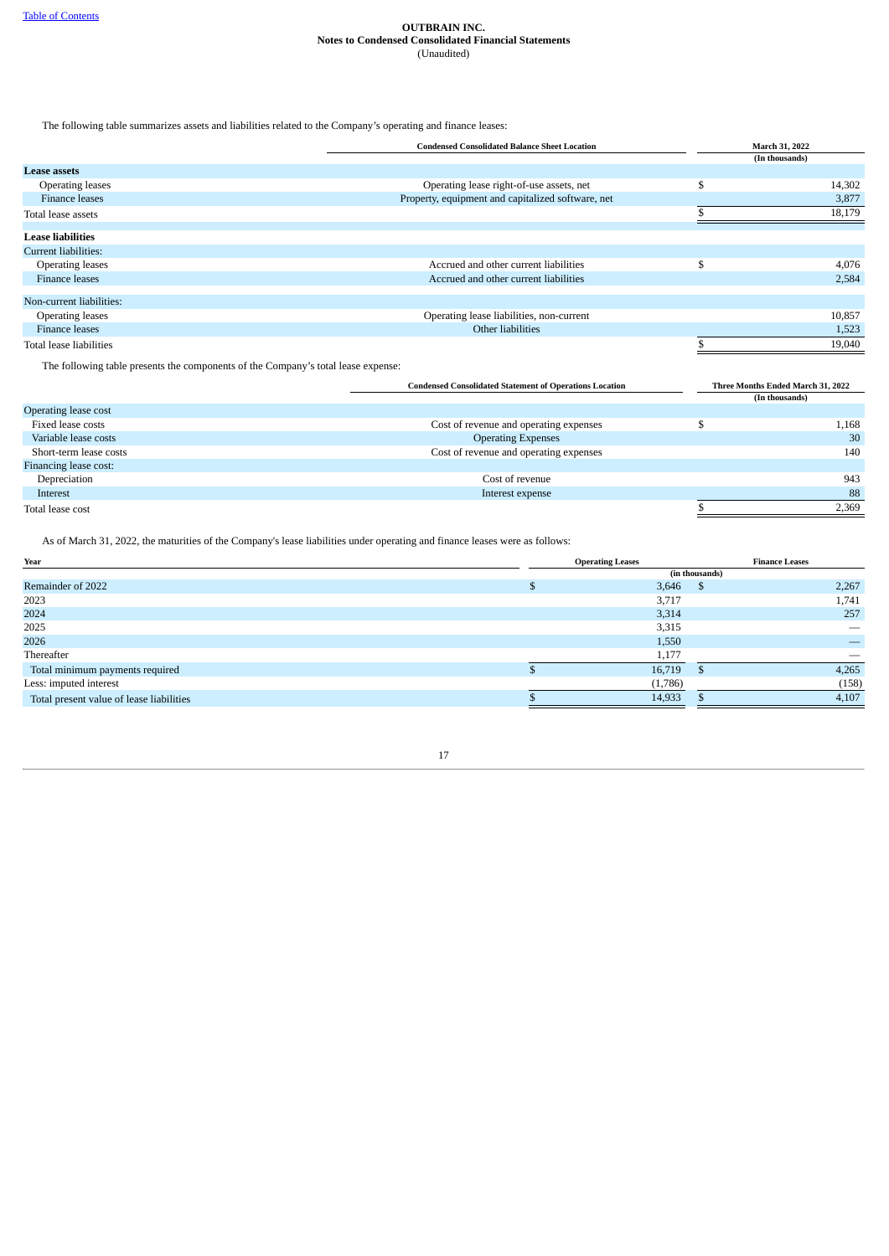The following table summarizes assets and liabilities related to the Company's operating and finance leases:

|                                                                                   | <b>Condensed Consolidated Balance Sheet Location</b>           |    | March 31, 2022                    |
|-----------------------------------------------------------------------------------|----------------------------------------------------------------|----|-----------------------------------|
|                                                                                   |                                                                |    | (In thousands)                    |
| <b>Lease assets</b>                                                               |                                                                |    |                                   |
| <b>Operating leases</b>                                                           | Operating lease right-of-use assets, net                       | \$ | 14,302                            |
| Finance leases                                                                    | Property, equipment and capitalized software, net              |    | 3,877                             |
| Total lease assets                                                                |                                                                |    | 18,179                            |
| <b>Lease liabilities</b>                                                          |                                                                |    |                                   |
| Current liabilities:                                                              |                                                                |    |                                   |
| <b>Operating leases</b>                                                           | Accrued and other current liabilities                          | S  | 4,076                             |
| Finance leases                                                                    | Accrued and other current liabilities                          |    | 2,584                             |
| Non-current liabilities:                                                          |                                                                |    |                                   |
| <b>Operating leases</b>                                                           | Operating lease liabilities, non-current                       |    | 10,857                            |
| Finance leases                                                                    | Other liabilities                                              |    | 1,523                             |
| Total lease liabilities                                                           |                                                                |    | 19,040                            |
| The following table presents the components of the Company's total lease expense: |                                                                |    |                                   |
|                                                                                   | <b>Condensed Consolidated Statement of Operations Location</b> |    | Three Months Ended March 31, 2022 |
|                                                                                   |                                                                |    | (In thousands)                    |
| Operating lease cost                                                              |                                                                |    |                                   |

| Operating lease cost   |                                        |       |
|------------------------|----------------------------------------|-------|
| Fixed lease costs      | Cost of revenue and operating expenses | 1,168 |
| Variable lease costs   | <b>Operating Expenses</b>              | 30    |
| Short-term lease costs | Cost of revenue and operating expenses | 140   |
| Financing lease cost:  |                                        |       |
| Depreciation           | Cost of revenue                        | 943   |
| Interest               | Interest expense                       | 88    |
| Total lease cost       |                                        | 2,369 |
|                        |                                        |       |

As of March 31, 2022, the maturities of the Company's lease liabilities under operating and finance leases were as follows:

| <b>Operating Leases</b> |                | <b>Finance Leases</b>                                                                  |
|-------------------------|----------------|----------------------------------------------------------------------------------------|
|                         | (in thousands) |                                                                                        |
|                         |                | 2,267                                                                                  |
|                         |                | 1,741                                                                                  |
|                         |                | 257                                                                                    |
|                         |                |                                                                                        |
|                         |                | $\qquad \qquad -$                                                                      |
|                         |                |                                                                                        |
|                         |                | 4,265                                                                                  |
|                         |                | (158)                                                                                  |
|                         |                | 4,107                                                                                  |
|                         |                | $3,646$ \$<br>3,717<br>3,314<br>3,315<br>1,550<br>1,177<br>16,719<br>(1,786)<br>14.933 |

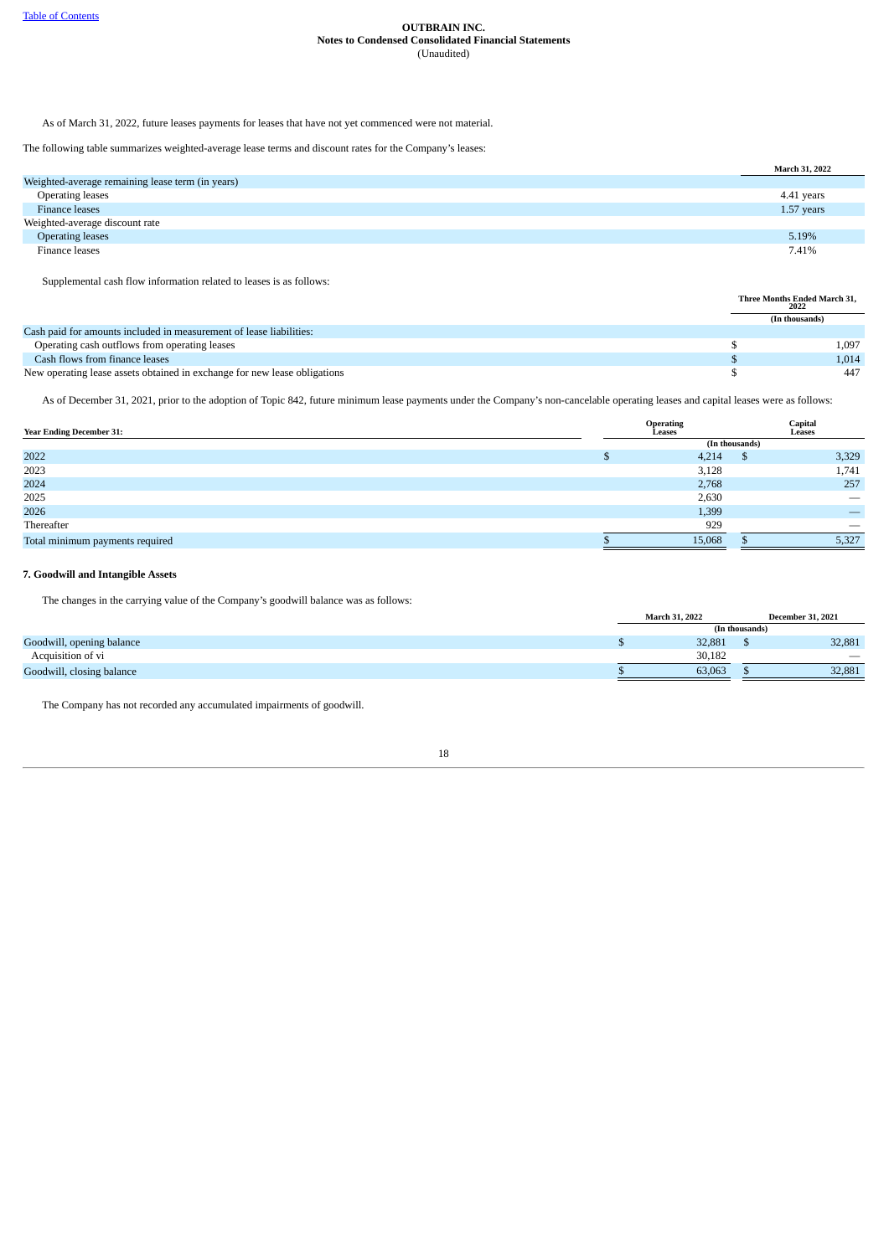As of March 31, 2022, future leases payments for leases that have not yet commenced were not material.

The following table summarizes weighted-average lease terms and discount rates for the Company's leases:

|                                                  | March 31, 2022 |
|--------------------------------------------------|----------------|
| Weighted-average remaining lease term (in years) |                |
| Operating leases                                 | 4.41 years     |
| Finance leases                                   | 1.57 years     |
| Weighted-average discount rate                   |                |
| <b>Operating leases</b>                          | 5.19%          |
| Finance leases                                   | 7.41%          |

Supplemental cash flow information related to leases is as follows:

|                                                                           | <b>Three Months Ended March 31.</b><br>2022 |       |
|---------------------------------------------------------------------------|---------------------------------------------|-------|
|                                                                           | (In thousands)                              |       |
| Cash paid for amounts included in measurement of lease liabilities:       |                                             |       |
| Operating cash outflows from operating leases                             |                                             | 1.097 |
| Cash flows from finance leases                                            |                                             | 1.014 |
| New operating lease assets obtained in exchange for new lease obligations |                                             | 447   |

As of December 31, 2021, prior to the adoption of Topic 842, future minimum lease payments under the Company's non-cancelable operating leases and capital leases were as follows:

| <b>Year Ending December 31:</b> | Operating<br>Leases |                |  | Capital<br>Leases |
|---------------------------------|---------------------|----------------|--|-------------------|
|                                 |                     | (In thousands) |  |                   |
| 2022                            |                     | 4,214          |  | 3,329             |
| 2023                            |                     | 3,128          |  | 1,741             |
| 2024                            |                     | 2,768          |  | 257               |
| 2025                            |                     | 2,630          |  |                   |
| 2026                            |                     | 1,399          |  |                   |
| Thereafter                      |                     | 929            |  |                   |
| Total minimum payments required |                     | 15,068         |  | 5,327             |
|                                 |                     |                |  |                   |

## **7. Goodwill and Intangible Assets**

The changes in the carrying value of the Company's goodwill balance was as follows:

|                           | <b>March 31, 2022</b> |                | <b>December 31, 2021</b> |
|---------------------------|-----------------------|----------------|--------------------------|
|                           |                       | (In thousands) |                          |
| Goodwill, opening balance | 32,881                |                | 32,881                   |
| Acquisition of vi         | 30,182                |                |                          |
| Goodwill, closing balance | 63,063                |                | 32,881                   |

The Company has not recorded any accumulated impairments of goodwill.

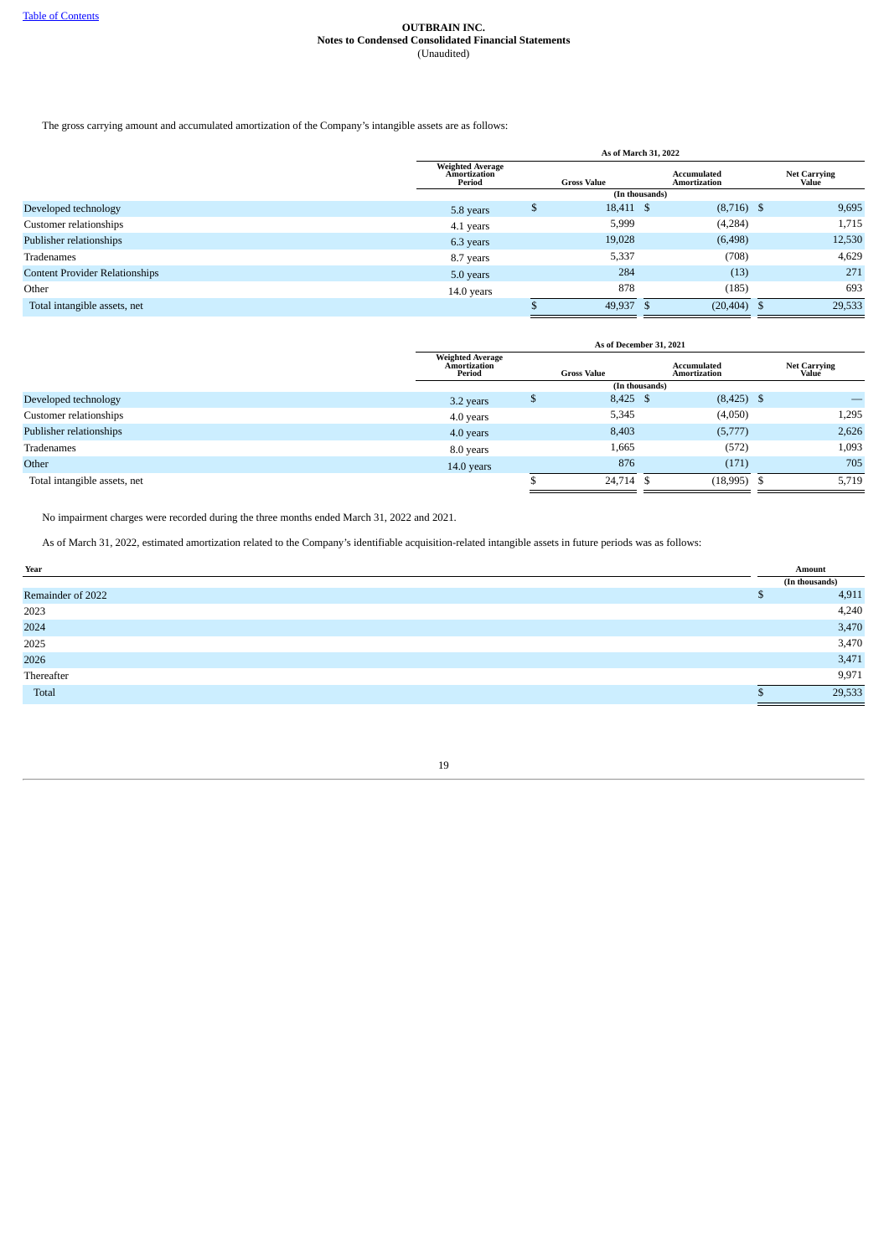The gross carrying amount and accumulated amortization of the Company's intangible assets are as follows:

|                                       |                                                   | As of March 31, 2022 |                    |  |                                    |                              |
|---------------------------------------|---------------------------------------------------|----------------------|--------------------|--|------------------------------------|------------------------------|
|                                       | <b>Weighted Average</b><br>Amortization<br>Period |                      | <b>Gross Value</b> |  | Accumulated<br><b>Amortization</b> | <b>Net Carrying</b><br>Value |
|                                       |                                                   |                      | (In thousands)     |  |                                    |                              |
| Developed technology                  | 5.8 years                                         | D                    | 18,411 \$          |  | $(8,716)$ \$                       | 9,695                        |
| Customer relationships                | 4.1 years                                         |                      | 5,999              |  | (4,284)                            | 1,715                        |
| Publisher relationships               | 6.3 years                                         |                      | 19,028             |  | (6, 498)                           | 12,530                       |
| Tradenames                            | 8.7 years                                         |                      | 5,337              |  | (708)                              | 4,629                        |
| <b>Content Provider Relationships</b> | 5.0 years                                         |                      | 284                |  | (13)                               | 271                          |
| Other                                 | $14.0$ years                                      |                      | 878                |  | (185)                              | 693                          |
| Total intangible assets, net          |                                                   |                      | 49,937 \$          |  | $(20, 404)$ \$                     | 29,533                       |
|                                       |                                                   |                      |                    |  |                                    |                              |

|                              |                                                          | As of December 31, 2021 |                    |                                    |                              |
|------------------------------|----------------------------------------------------------|-------------------------|--------------------|------------------------------------|------------------------------|
|                              | <b>Weighted Average</b><br><b>Amortization</b><br>Period |                         | <b>Gross Value</b> | Accumulated<br><b>Amortization</b> | <b>Net Carrying</b><br>Value |
|                              |                                                          | (In thousands)          |                    |                                    |                              |
| Developed technology         | 3.2 years                                                | Ð                       | $8,425$ \$         | $(8,425)$ \$                       | --                           |
| Customer relationships       | 4.0 years                                                |                         | 5,345              | (4,050)                            | 1,295                        |
| Publisher relationships      | 4.0 years                                                |                         | 8,403              | (5,777)                            | 2,626                        |
| Tradenames                   | 8.0 years                                                |                         | 1,665              | (572)                              | 1,093                        |
| Other                        | $14.0$ years                                             |                         | 876                | (171)                              | 705                          |
| Total intangible assets, net |                                                          |                         | 24,714 \$          | (18, 995)                          | 5,719                        |
|                              |                                                          |                         |                    |                                    |                              |

No impairment charges were recorded during the three months ended March 31, 2022 and 2021.

As of March 31, 2022, estimated amortization related to the Company's identifiable acquisition-related intangible assets in future periods was as follows:

| Year              | Amount         |
|-------------------|----------------|
|                   | (In thousands) |
| Remainder of 2022 | 4,911          |
| 2023              | 4,240          |
| 2024              | 3,470          |
| 2025              | 3,470          |
| 2026              | 3,471          |
| Thereafter        | 9,971          |
| Total             | 29,533         |

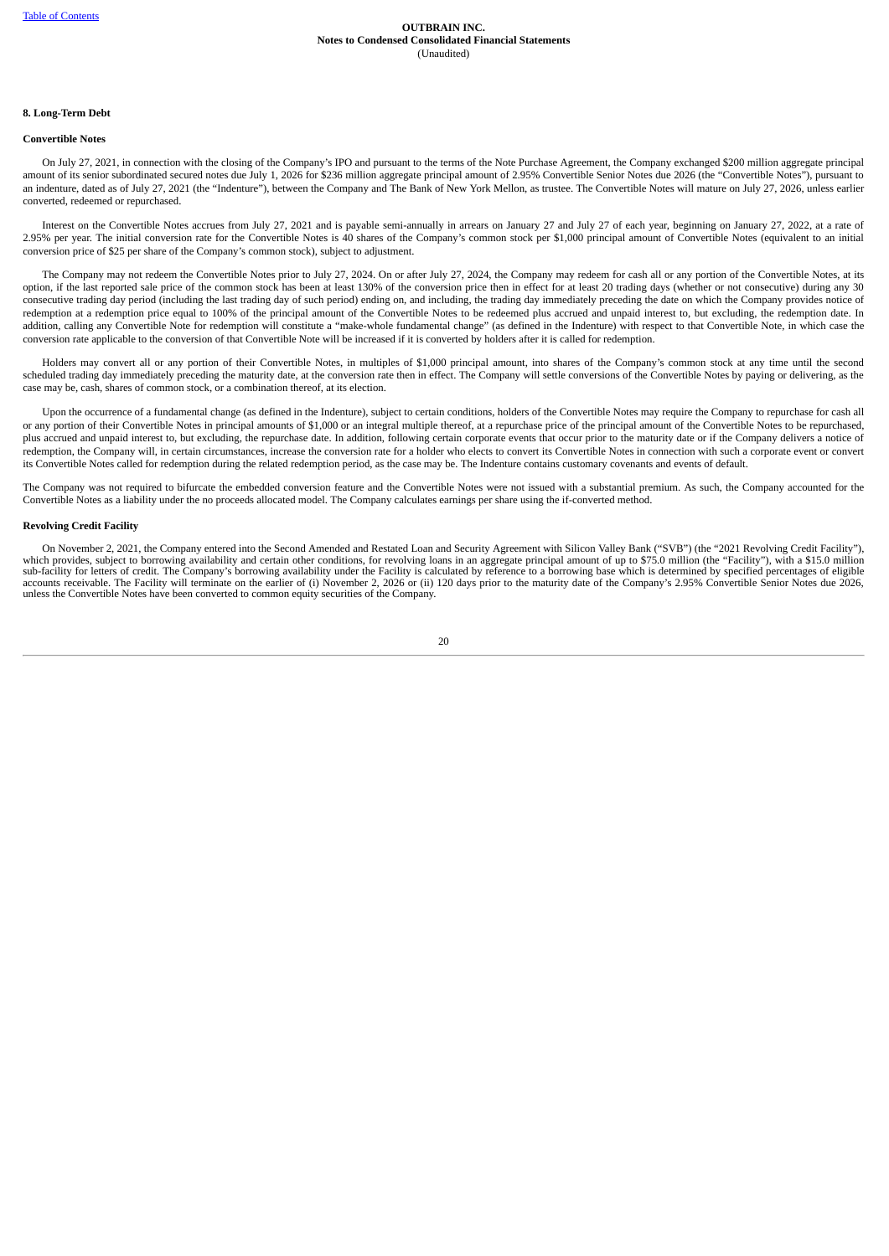## **8. Long-Term Debt**

#### **Convertible Notes**

On July 27, 2021, in connection with the closing of the Company's IPO and pursuant to the terms of the Note Purchase Agreement, the Company exchanged \$200 million aggregate principal amount of its senior subordinated secured notes due July 1, 2026 for \$236 million aggregate principal amount of 2.95% Convertible Senior Notes due 2026 (the "Convertible Notes"), pursuant to an indenture, dated as of July 27, 2021 (the "Indenture"), between the Company and The Bank of New York Mellon, as trustee. The Convertible Notes will mature on July 27, 2026, unless earlier converted, redeemed or repurchased.

Interest on the Convertible Notes accrues from July 27, 2021 and is payable semi-annually in arrears on January 27 and July 27 of each year, beginning on January 27, 2022, at a rate of 2.95% per year. The initial conversion rate for the Convertible Notes is 40 shares of the Company's common stock per \$1,000 principal amount of Convertible Notes (equivalent to an initial conversion price of \$25 per share of the Company's common stock), subject to adjustment.

The Company may not redeem the Convertible Notes prior to July 27, 2024. On or after July 27, 2024, the Company may redeem for cash all or any portion of the Convertible Notes, at its option, if the last reported sale price of the common stock has been at least 130% of the conversion price then in effect for at least 20 trading days (whether or not consecutive) during any 30 consecutive trading day period (including the last trading day of such period) ending on, and including, the trading day immediately preceding the date on which the Company provides notice of redemption at a redemption price equal to 100% of the principal amount of the Convertible Notes to be redeemed plus accrued and unpaid interest to, but excluding, the redemption date. In addition, calling any Convertible Note for redemption will constitute a "make-whole fundamental change" (as defined in the Indenture) with respect to that Convertible Note, in which case the conversion rate applicable to the conversion of that Convertible Note will be increased if it is converted by holders after it is called for redemption.

Holders may convert all or any portion of their Convertible Notes, in multiples of \$1,000 principal amount, into shares of the Company's common stock at any time until the second scheduled trading day immediately preceding the maturity date, at the conversion rate then in effect. The Company will settle conversions of the Convertible Notes by paying or delivering, as the case may be, cash, shares of common stock, or a combination thereof, at its election.

Upon the occurrence of a fundamental change (as defined in the Indenture), subject to certain conditions, holders of the Convertible Notes may require the Company to repurchase for cash all or any portion of their Convertible Notes in principal amounts of \$1,000 or an integral multiple thereof, at a repurchase price of the principal amount of the Convertible Notes to be repurchased, plus accrued and unpaid interest to, but excluding, the repurchase date. In addition, following certain corporate events that occur prior to the maturity date or if the Company delivers a notice of redemption, the Company will, in certain circumstances, increase the conversion rate for a holder who elects to convert its Convertible Notes in connection with such a corporate event or convert its Convertible Notes called for redemption during the related redemption period, as the case may be. The Indenture contains customary covenants and events of default.

The Company was not required to bifurcate the embedded conversion feature and the Convertible Notes were not issued with a substantial premium. As such, the Company accounted for the Convertible Notes as a liability under the no proceeds allocated model. The Company calculates earnings per share using the if-converted method.

#### **Revolving Credit Facility**

On November 2, 2021, the Company entered into the Second Amended and Restated Loan and Security Agreement with Silicon Valley Bank ("SVB") (the "2021 Revolving Credit Facility"), which provides, subject to borrowing availability and certain other conditions, for revolving loans in an aggregate principal amount of up to \$75.0 million (the "Facility"), with a \$15.0 million sub-facility for letters of credit. The Company's borrowing availability under the Facility is calculated by reference to a borrowing base which is determined by specified percentages of eligible<br>accounts receivable. The F unless the Convertible Notes have been converted to common equity securities of the Company.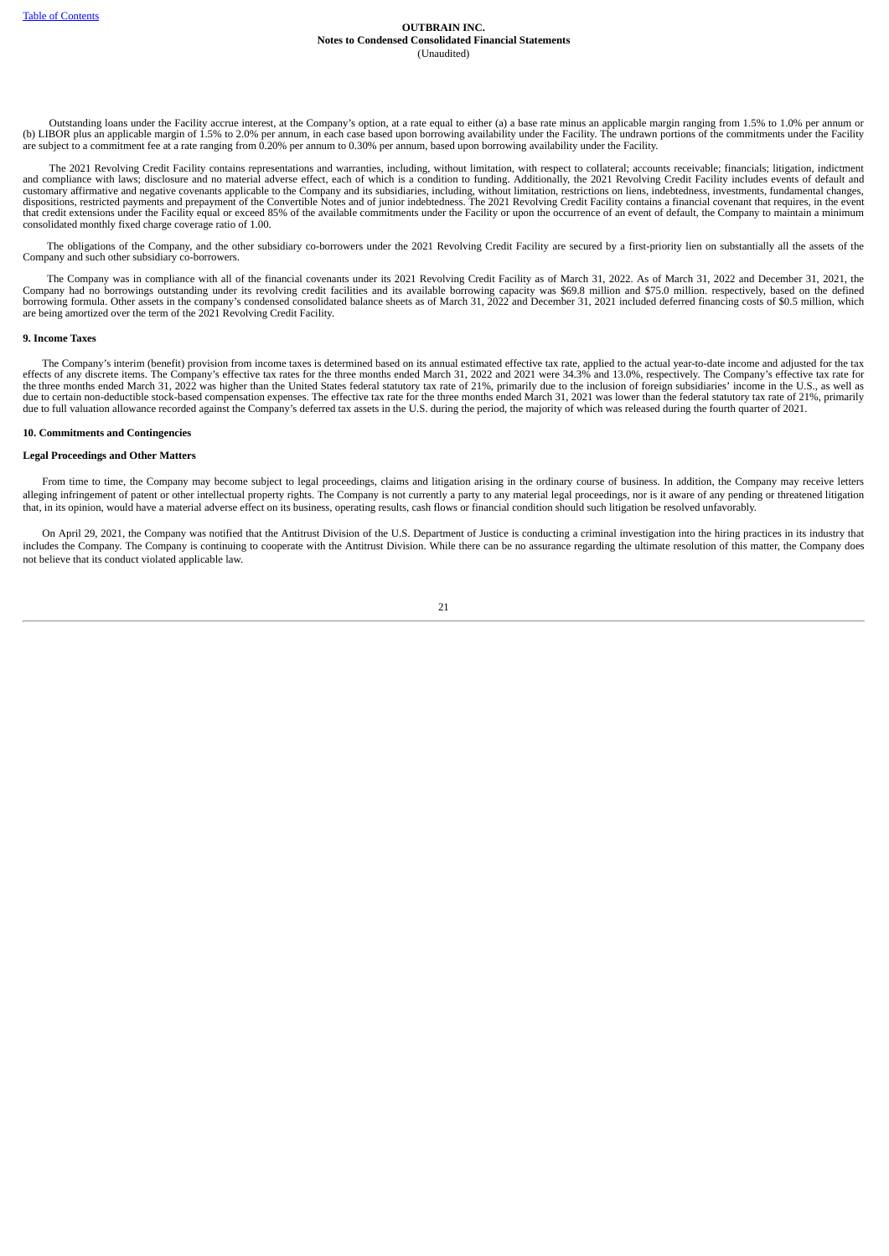Outstanding loans under the Facility accrue interest, at the Company's option, at a rate equal to either (a) a base rate minus an applicable margin ranging from 1.5% to 1.0% per annum or<br>(b) LIBOR plus an applicable margin are subject to a commitment fee at a rate ranging from 0.20% per annum to 0.30% per annum, based upon borrowing availability under the Facility.

The 2021 Revolving Credit Facility contains representations and warranties, including, without limitation, with respect to collateral; accounts receivable; financials; litigation, indictment and compliance with laws; disclosure and no material adverse effect, each of which is a condition to funding. Additionally, the 2021 Revolving Credit Facility includes events of default and customary affirmative and negative covenants applicable to the Company and its subsidiaries, including, without limitation, restrictions on liens, indebtedness, investments, fundamental changes,<br>dispositions, restricted pa consolidated monthly fixed charge coverage ratio of 1.00.

The obligations of the Company, and the other subsidiary co-borrowers under the 2021 Revolving Credit Facility are secured by a first-priority lien on substantially all the assets of the Company and such other subsidiary co-borrowers.

The Company was in compliance with all of the financial covenants under its 2021 Revolving Credit Facility as of March 31, 2022. As of March 31, 2022 and December 31, 2021, the Company had no borrowings outstanding under its revolving credit facilities and its available borrowing capacity was \$69.8 million and \$75.0 million. respectively, based on the defined<br>borrowing formula. Other assets in th are being amortized over the term of the 2021 Revolving Credit Facility.

#### **9. Income Taxes**

The Company's interim (benefit) provision from income taxes is determined based on its annual estimated effective tax rate, applied to the actual year-to-date income and adjusted for the tax effects of any discrete items. The Company's effective tax rates for the three months ended March 31, 2022 and 2021 were 34.3% and 13.0%, respectively. The Company's effective tax rate for the three months ended March 31, 2022 was higher than the United States federal statutory tax rate of 21%, primarily due to the inclusion of foreign subsidiaries' income in the U.S., as well as due to certain non-deductible stock-based compensation expenses. The effective tax rate for the three months ended March 31, 2021 was lower than the federal statutory tax rate of 21%, primarily due to full valuation allowance recorded against the Company's deferred tax assets in the U.S. during the period, the majority of which was released during the fourth quarter of 2021.

#### **10. Commitments and Contingencies**

#### **Legal Proceedings and Other Matters**

From time to time, the Company may become subject to legal proceedings, claims and litigation arising in the ordinary course of business. In addition, the Company may receive letters alleging infringement of patent or other intellectual property rights. The Company is not currently a party to any material legal proceedings, nor is it aware of any pending or threatened litigation that, in its opinion, would have a material adverse effect on its business, operating results, cash flows or financial condition should such litigation be resolved unfavorably.

On April 29, 2021, the Company was notified that the Antitrust Division of the U.S. Department of Justice is conducting a criminal investigation into the hiring practices in its industry that includes the Company. The Company is continuing to cooperate with the Antitrust Division. While there can be no assurance regarding the ultimate resolution of this matter, the Company does not believe that its conduct violated applicable law.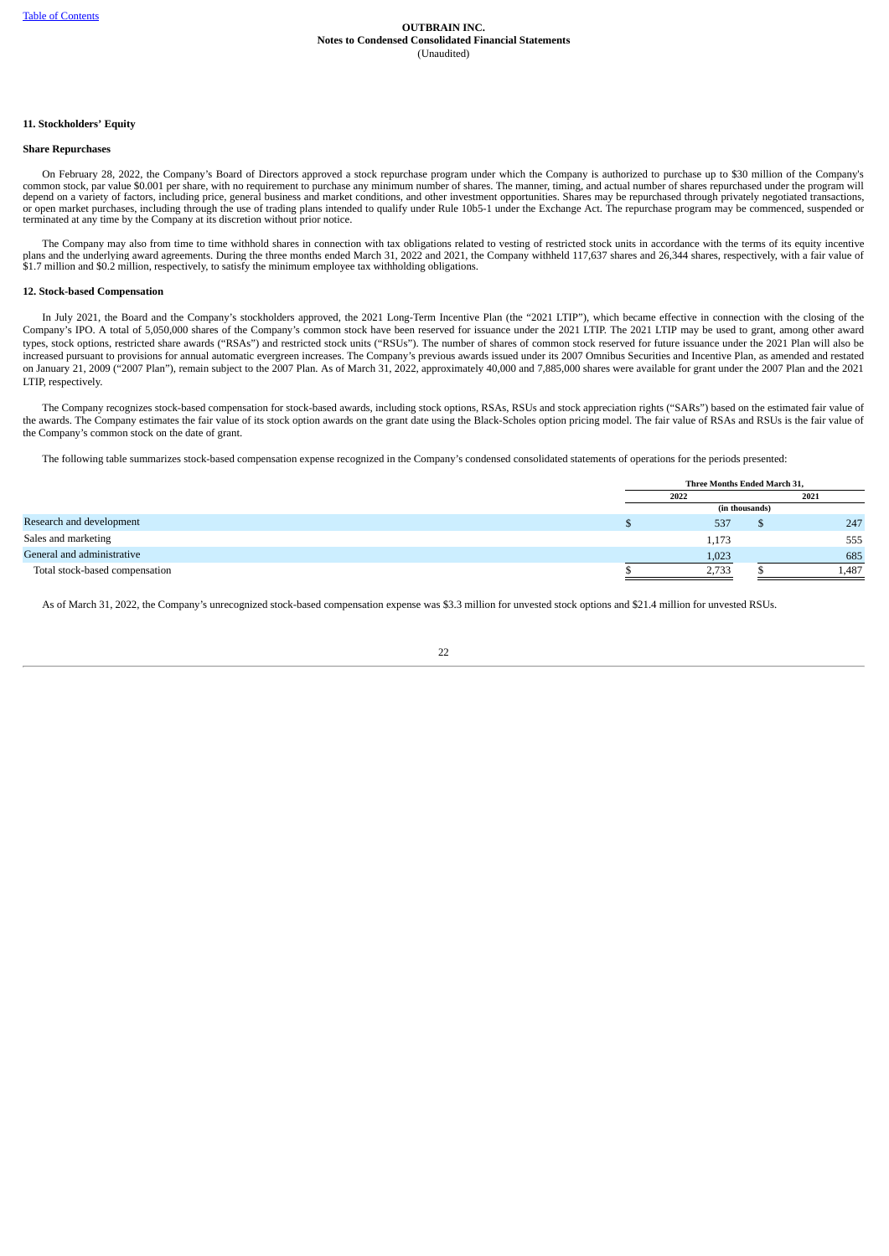#### **11. Stockholders' Equity**

#### **Share Repurchases**

On February 28, 2022, the Company's Board of Directors approved a stock repurchase program under which the Company is authorized to purchase up to \$30 million of the Company's common stock, par value \$0.001 per share, with or open market purchases, including through the use of trading plans intended to qualify under Rule 10b5-1 under the Exchange Act. The repurchase program may be commenced, suspended or terminated at any time by the Company at its discretion without prior notice.

The Company may also from time to time withhold shares in connection with tax obligations related to vesting of restricted stock units in accordance with the terms of its equity incentive plans and the underlying award agreements. During the three months ended March 31, 2022 and 2021, the Company withheld 117,637 shares and 26,344 shares, respectively, with a fair value of \$1.7 million and \$0.2 million, respectively, to satisfy the minimum employee tax withholding obligations.

#### **12. Stock-based Compensation**

In July 2021, the Board and the Company's stockholders approved, the 2021 Long-Term Incentive Plan (the "2021 LTIP"), which became effective in connection with the closing of the Company's IPO. A total of 5,050,000 shares of the Company's common stock have been reserved for issuance under the 2021 LTIP. The 2021 LTIP may be used to grant, among other award types, stock options, restricted share awards ("RSAs") and restricted stock units ("RSUs"). The number of shares of common stock reserved for future issuance under the 2021 Plan will also be increased pursuant to provisions for annual automatic evergreen increases. The Company's previous awards issued under its 2007 Omnibus Securities and Incentive Plan, as amended and restated on January 21, 2009 ("2007 Plan"), remain subject to the 2007 Plan. As of March 31, 2022, approximately 40,000 and 7,885,000 shares were available for grant under the 2007 Plan and the 2021 LTIP, respectively.

The Company recognizes stock-based compensation for stock-based awards, including stock options, RSAs, RSUs and stock appreciation rights ("SARs") based on the estimated fair value of the awards. The Company estimates the fair value of its stock option awards on the grant date using the Black-Scholes option pricing model. The fair value of RSAs and RSUs is the fair value of the Company's common stock on the date of grant.

The following table summarizes stock-based compensation expense recognized in the Company's condensed consolidated statements of operations for the periods presented:

|                                | Three Months Ended March 31, |                |       |  |
|--------------------------------|------------------------------|----------------|-------|--|
|                                | 2022                         |                | 2021  |  |
|                                |                              | (in thousands) |       |  |
| Research and development       | 537                          |                | 247   |  |
| Sales and marketing            | 1,173                        |                | 555   |  |
| General and administrative     | 1,023                        |                | 685   |  |
| Total stock-based compensation | 2,733                        |                | 1.487 |  |

As of March 31, 2022, the Company's unrecognized stock-based compensation expense was \$3.3 million for unvested stock options and \$21.4 million for unvested RSUs.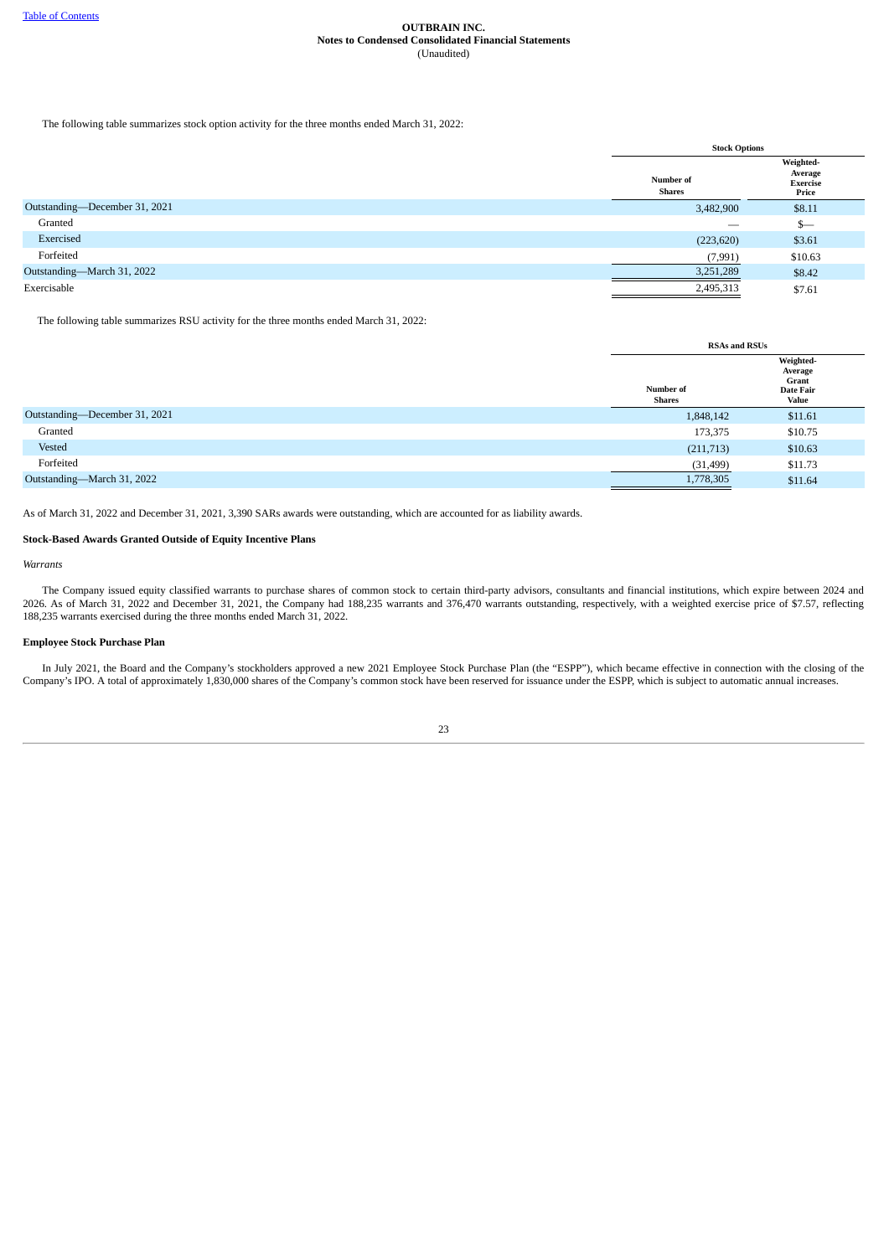The following table summarizes stock option activity for the three months ended March 31, 2022:

|                               | <b>Stock Options</b>       |                                                  |  |
|-------------------------------|----------------------------|--------------------------------------------------|--|
|                               | Number of<br><b>Shares</b> | Weighted-<br>Average<br><b>Exercise</b><br>Price |  |
| Outstanding-December 31, 2021 | 3,482,900                  | \$8.11                                           |  |
| Granted                       |                            | $s-$                                             |  |
| Exercised                     | (223, 620)                 | \$3.61                                           |  |
| Forfeited                     | (7,991)                    | \$10.63                                          |  |
| Outstanding-March 31, 2022    | 3,251,289                  | \$8.42                                           |  |
| Exercisable                   | 2,495,313                  | \$7.61                                           |  |

The following table summarizes RSU activity for the three months ended March 31, 2022:

|                               | <b>RSAs and RSUs</b> |                                                     |  |
|-------------------------------|----------------------|-----------------------------------------------------|--|
|                               | Number of<br>Shares  | Weighted-<br>Average<br>Grant<br>Date Fair<br>Value |  |
| Outstanding-December 31, 2021 | 1,848,142            | \$11.61                                             |  |
| Granted                       | 173,375              | \$10.75                                             |  |
| Vested                        | (211, 713)           | \$10.63                                             |  |
| Forfeited                     | (31, 499)            | \$11.73                                             |  |
| Outstanding-March 31, 2022    | 1,778,305            | \$11.64                                             |  |
|                               |                      |                                                     |  |

As of March 31, 2022 and December 31, 2021, 3,390 SARs awards were outstanding, which are accounted for as liability awards.

#### **Stock-Based Awards Granted Outside of Equity Incentive Plans**

*Warrants*

The Company issued equity classified warrants to purchase shares of common stock to certain third-party advisors, consultants and financial institutions, which expire between 2024 and 2026. As of March 31, 2022 and December 31, 2021, the Company had 188,235 warrants and 376,470 warrants outstanding, respectively, with a weighted exercise price of \$7.57, reflecting 188,235 warrants exercised during the three months ended March 31, 2022.

#### **Employee Stock Purchase Plan**

In July 2021, the Board and the Company's stockholders approved a new 2021 Employee Stock Purchase Plan (the "ESPP"), which became effective in connection with the closing of the Company's IPO. A total of approximately 1,830,000 shares of the Company's common stock have been reserved for issuance under the ESPP, which is subject to automatic annual increases.

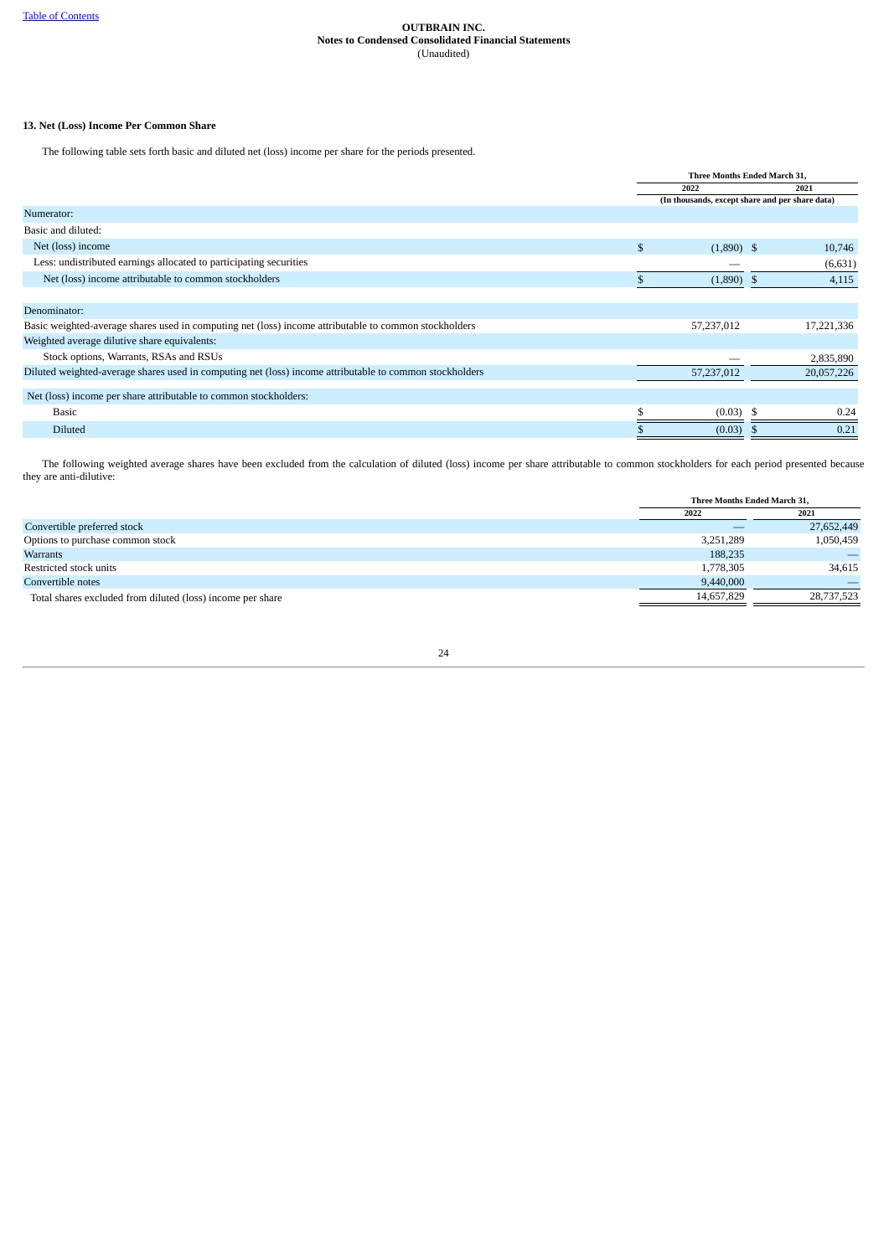## **13. Net (Loss) Income Per Common Share**

The following table sets forth basic and diluted net (loss) income per share for the periods presented.

|                                                                                                         | Three Months Ended March 31, |                                                 |  |            |
|---------------------------------------------------------------------------------------------------------|------------------------------|-------------------------------------------------|--|------------|
|                                                                                                         |                              | 2022                                            |  | 2021       |
|                                                                                                         |                              | (In thousands, except share and per share data) |  |            |
| Numerator:                                                                                              |                              |                                                 |  |            |
| Basic and diluted:                                                                                      |                              |                                                 |  |            |
| Net (loss) income                                                                                       | \$                           | $(1,890)$ \$                                    |  | 10,746     |
| Less: undistributed earnings allocated to participating securities                                      |                              |                                                 |  | (6,631)    |
| Net (loss) income attributable to common stockholders                                                   |                              | $(1,890)$ \$                                    |  | 4,115      |
|                                                                                                         |                              |                                                 |  |            |
| Denominator:                                                                                            |                              |                                                 |  |            |
| Basic weighted-average shares used in computing net (loss) income attributable to common stockholders   |                              | 57,237,012                                      |  | 17,221,336 |
| Weighted average dilutive share equivalents:                                                            |                              |                                                 |  |            |
| Stock options, Warrants, RSAs and RSUs                                                                  |                              |                                                 |  | 2,835,890  |
| Diluted weighted-average shares used in computing net (loss) income attributable to common stockholders |                              | 57,237,012                                      |  | 20,057,226 |
| Net (loss) income per share attributable to common stockholders:                                        |                              |                                                 |  |            |
| Basic                                                                                                   |                              | (0.03)                                          |  | 0.24       |
| <b>Diluted</b>                                                                                          |                              | (0.03)                                          |  | 0.21       |

The following weighted average shares have been excluded from the calculation of diluted (loss) income per share attributable to common stockholders for each period presented because they are anti-dilutive:

<span id="page-23-0"></span>

|                                                            |            | Three Months Ended March 31, |
|------------------------------------------------------------|------------|------------------------------|
|                                                            | 2022       | 2021                         |
| Convertible preferred stock                                |            | 27,652,449                   |
| Options to purchase common stock                           | 3,251,289  | 1,050,459                    |
| Warrants                                                   | 188,235    |                              |
| Restricted stock units                                     | 1,778,305  | 34,615                       |
| Convertible notes                                          | 9,440,000  |                              |
| Total shares excluded from diluted (loss) income per share | 14,657,829 | 28,737,523                   |
|                                                            |            |                              |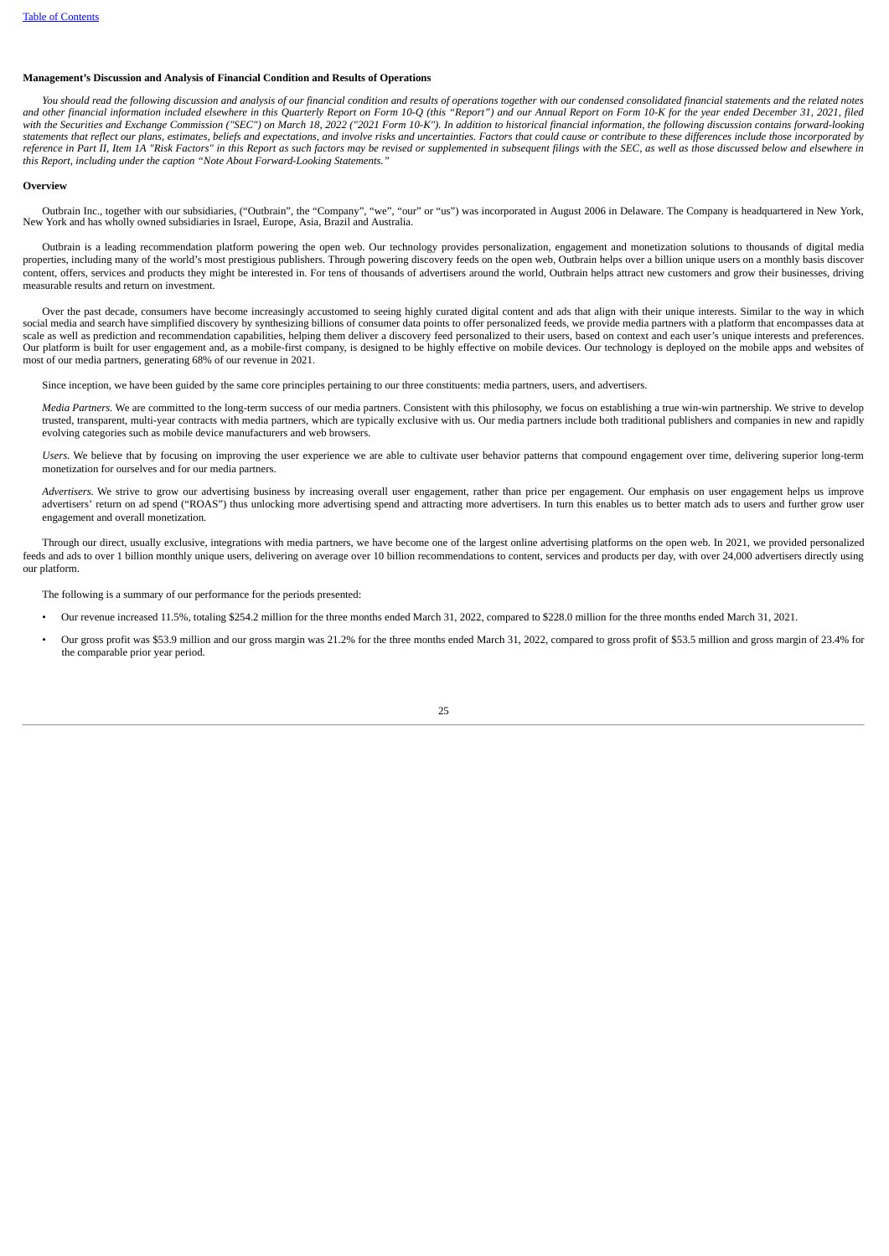#### **Management's Discussion and Analysis of Financial Condition and Results of Operations**

You should read the following discussion and analysis of our financial condition and results of operations together with our condensed consolidated financial statements and the related notes and other financial information included elsewhere in this Quarterly Report on Form 10-Q (this "Report") and our Annual Report on Form 10-K for the year ended December 31, 2021, filed with the Securities and Exchange Commission ("SEC") on March 18, 2022 ("2021 Form 10-K"). In addition to historical financial information, the following discussion contains forward-looking statements that reflect our plans, estimates, beliefs and expectations, and involve risks and uncertainties. Factors that could cause or contribute to these differences include those incorporated by reference in Part II, Item 1A "Risk Factors" in this Report as such factors may be revised or supplemented in subsequent filings with the SEC, as well as those discussed below and elsewhere in *this Report, including under the caption "Note About Forward-Looking Statements."*

#### **Overview**

Outbrain Inc., together with our subsidiaries, ("Outbrain", the "Company", "we", "our" or "us") was incorporated in August 2006 in Delaware. The Company is headquartered in New York,<br>New York and has wholly owned subsidiar

Outbrain is a leading recommendation platform powering the open web. Our technology provides personalization, engagement and monetization solutions to thousands of digital media properties, including many of the world's most prestigious publishers. Through powering discovery feeds on the open web, Outbrain helps over a billion unique users on a monthly basis discover content, offers, services and products they might be interested in. For tens of thousands of advertisers around the world, Outbrain helps attract new customers and grow their businesses, driving measurable results and return on investment.

Over the past decade, consumers have become increasingly accustomed to seeing highly curated digital content and ads that align with their unique interests. Similar to the way in which social media and search have simplified discovery by synthesizing billions of consumer data points to offer personalized feeds, we provide media partners with a platform that encompasses data at scale as well as prediction and recommendation capabilities, helping them deliver a discovery feed personalized to their users, based on context and each user's unique interests and preferences. Our platform is built for user engagement and, as a mobile-first company, is designed to be highly effective on mobile devices. Our technology is deployed on the mobile apps and websites of most of our media partners, generating 68% of our revenue in 2021.

Since inception, we have been guided by the same core principles pertaining to our three constituents: media partners, users, and advertisers.

*Media Partners.* We are committed to the long-term success of our media partners. Consistent with this philosophy, we focus on establishing a true win-win partnership. We strive to develop trusted, transparent, multi-year contracts with media partners, which are typically exclusive with us. Our media partners include both traditional publishers and companies in new and rapidly evolving categories such as mobile device manufacturers and web browsers.

*Users.* We believe that by focusing on improving the user experience we are able to cultivate user behavior patterns that compound engagement over time, delivering superior long-term monetization for ourselves and for our media partners.

*Advertisers.* We strive to grow our advertising business by increasing overall user engagement, rather than price per engagement. Our emphasis on user engagement helps us improve advertisers' return on ad spend ("ROAS") thus unlocking more advertising spend and attracting more advertisers. In turn this enables us to better match ads to users and further grow user engagement and overall monetization.

Through our direct, usually exclusive, integrations with media partners, we have become one of the largest online advertising platforms on the open web. In 2021, we provided personalized feeds and ads to over 1 billion monthly unique users, delivering on average over 10 billion recommendations to content, services and products per day, with over 24,000 advertisers directly using our platform.

The following is a summary of our performance for the periods presented:

- Our revenue increased 11.5%, totaling \$254.2 million for the three months ended March 31, 2022, compared to \$228.0 million for the three months ended March 31, 2021.
- Our gross profit was \$53.9 million and our gross margin was 21.2% for the three months ended March 31, 2022, compared to gross profit of \$53.5 million and gross margin of 23.4% for the comparable prior year period.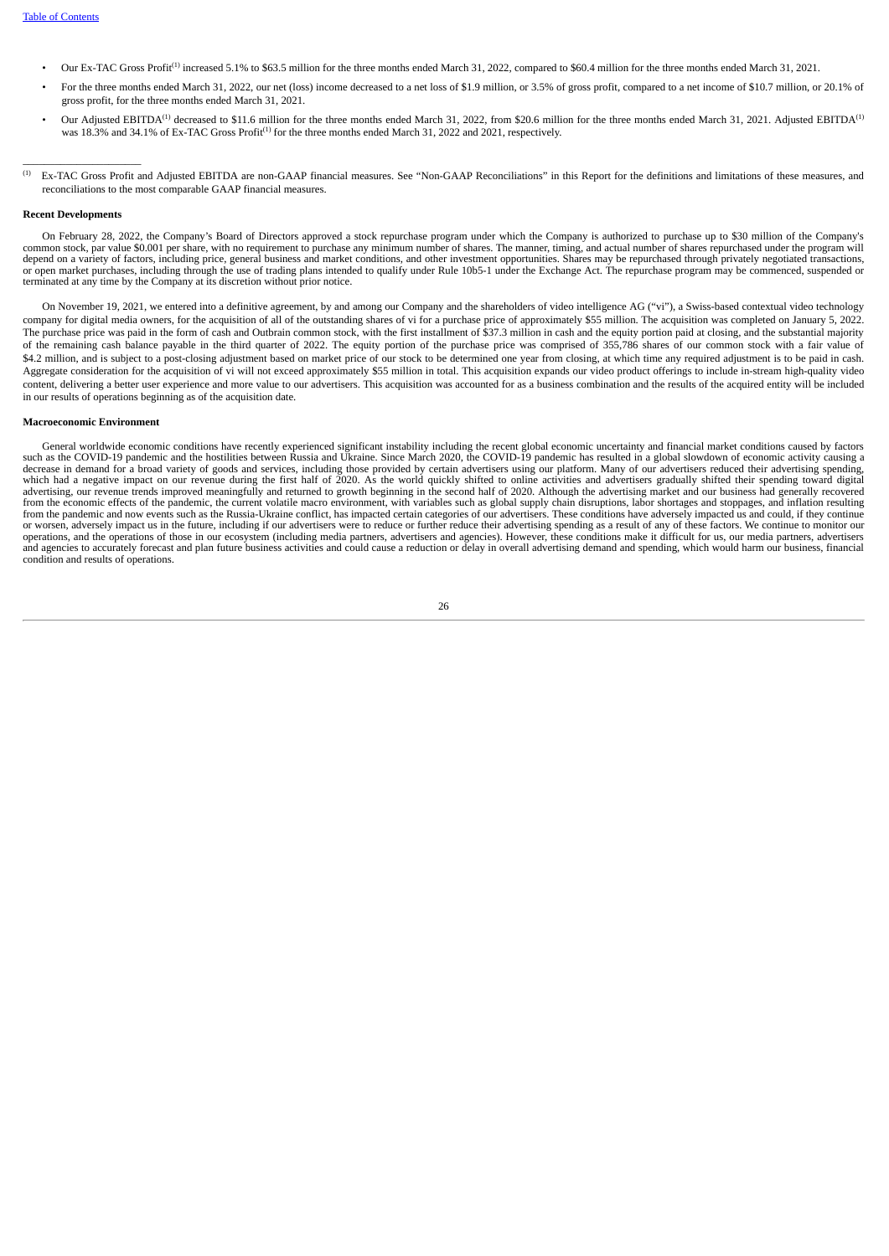- Our Ex-TAC Gross Profit<sup>(1)</sup> increased 5.1% to \$63.5 million for the three months ended March 31, 2022, compared to \$60.4 million for the three months ended March 31, 2021.
- For the three months ended March 31, 2022, our net (loss) income decreased to a net loss of \$1.9 million, or 3.5% of gross profit, compared to a net income of \$10.7 million, or 20.1% of gross profit, for the three months ended March 31, 2021.
- Our Adjusted EBITDA<sup>(1)</sup> decreased to \$11.6 million for the three months ended March 31, 2022, from \$20.6 million for the three months ended March 31, 2021. Adjusted EBITDA<sup>(1)</sup> was  $18.3\%$  and  $34.1\%$  of Ex-TAC Gross Profit<sup>(1)</sup> for the three months ended March 31, 2022 and 2021, respectively.
- Ex-TAC Gross Profit and Adjusted EBITDA are non-GAAP financial measures. See "Non-GAAP Reconciliations" in this Report for the definitions and limitations of these measures, and (1) reconciliations to the most comparable GAAP financial measures.

#### **Recent Developments**

 $\overline{\phantom{a}}$  , where  $\overline{\phantom{a}}$ 

On February 28, 2022, the Company's Board of Directors approved a stock repurchase program under which the Company is authorized to purchase up to \$30 million of the Company's common stock, par value \$0.001 per share, with no requirement to purchase any minimum number of shares. The manner, timing, and actual number of shares repurchased under the program will depend on a variety of factors, including price, general business and market conditions, and other investment opportunities. Shares may be repurchased through privately negotiated transactions, and conditions, and other in or open market purchases, including through the use of trading plans intended to qualify under Rule 10b5-1 under the Exchange Act. The repurchase program may be commenced, suspended or terminated at any time by the Company at its discretion without prior notice.

On November 19, 2021, we entered into a definitive agreement, by and among our Company and the shareholders of video intelligence AG ("vi"), a Swiss-based contextual video technology company for digital media owners, for the acquisition of all of the outstanding shares of vi for a purchase price of approximately \$55 million. The acquisition was completed on January 5, 2022. The purchase price was paid in the form of cash and Outbrain common stock, with the first installment of \$37.3 million in cash and the equity portion paid at closing, and the substantial majority of the remaining cash balance payable in the third quarter of 2022. The equity portion of the purchase price was comprised of 355,786 shares of our common stock with a fair value of \$4.2 million, and is subject to a post-closing adjustment based on market price of our stock to be determined one year from closing, at which time any required adjustment is to be paid in cash. Aggregate consideration for the acquisition of vi will not exceed approximately \$55 million in total. This acquisition expands our video product offerings to include in-stream high-quality video content, delivering a better user experience and more value to our advertisers. This acquisition was accounted for as a business combination and the results of the acquired entity will be included in our results of operations beginning as of the acquisition date.

#### **Macroeconomic Environment**

General worldwide economic conditions have recently experienced significant instability including the recent global economic uncertainty and financial market conditions caused by factors such as the COVID-19 pandemic has r decrease in demand for a broad variety of goods and services, including those provided by certain advertisers using our platform. Many of our advertisers reduced their advertising spending, which had a negative impact on our revenue during the first half of 2020. As the world quickly shifted to online activities and advertisers gradually shifted their spending toward digital advertising, our revenue trends improved meaningfully and returned to growth beginning in the second half of 2020. Although the advertising market and our business had generally recovered<br>from the economic effects of the p from the pandemic and now events such as the Russia-Ukraine conflict, has impacted certain categories of our advertisers. These conditions have adversely impacted us and could, if they continue or worsen, adversely impact us in the future, including if our advertisers were to reduce or further reduce their advertising spending as a result of any of these factors. We continue to monitor our<br>operations, and the ope and agencies to accurately forecast and plan future business activities and could cause a reduction or delay in overall advertising demand and spending, which would harm our business, financial condition and results of operations.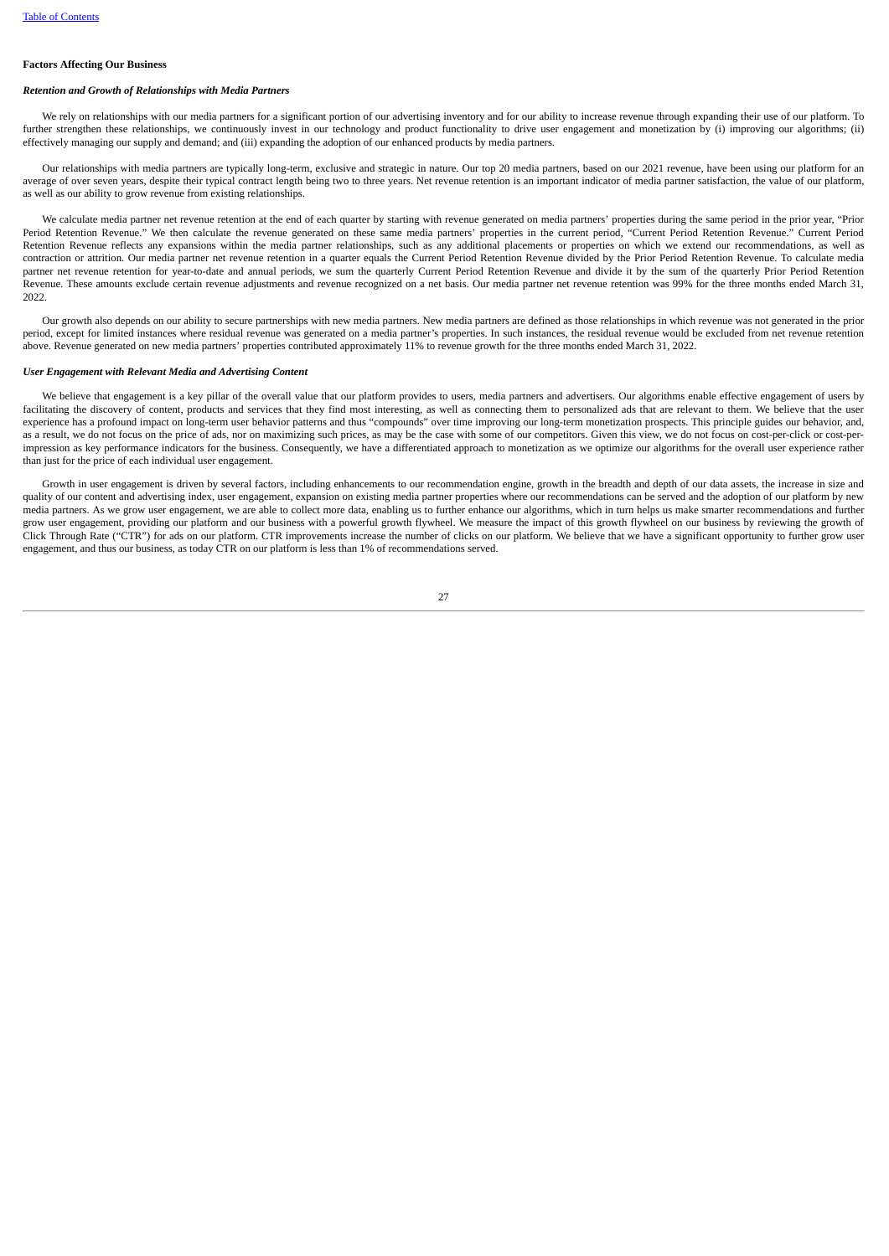#### **Factors Affecting Our Business**

#### *Retention and Growth of Relationships with Media Partners*

We rely on relationships with our media partners for a significant portion of our advertising inventory and for our ability to increase revenue through expanding their use of our platform. To further strengthen these relationships, we continuously invest in our technology and product functionality to drive user engagement and monetization by (i) improving our algorithms; (ii) effectively managing our supply and demand; and (iii) expanding the adoption of our enhanced products by media partners.

Our relationships with media partners are typically long-term, exclusive and strategic in nature. Our top 20 media partners, based on our 2021 revenue, have been using our platform for an average of over seven years, despite their typical contract length being two to three years. Net revenue retention is an important indicator of media partner satisfaction, the value of our platform, as well as our ability to grow revenue from existing relationships.

We calculate media partner net revenue retention at the end of each quarter by starting with revenue generated on media partners' properties during the same period in the prior year, "Prior Period Retention Revenue." We then calculate the revenue generated on these same media partners' properties in the current period, "Current Period Retention Revenue." Current Period Retention Revenue reflects any expansions within the media partner relationships, such as any additional placements or properties on which we extend our recommendations, as well as contraction or attrition. Our media partner net revenue retention in a quarter equals the Current Period Retention Revenue divided by the Prior Period Retention Revenue. To calculate media partner net revenue retention for year-to-date and annual periods, we sum the quarterly Current Period Retention Revenue and divide it by the sum of the quarterly Prior Period Retention Revenue. These amounts exclude certain revenue adjustments and revenue recognized on a net basis. Our media partner net revenue retention was 99% for the three months ended March 31, 2022.

Our growth also depends on our ability to secure partnerships with new media partners. New media partners are defined as those relationships in which revenue was not generated in the prior period, except for limited instances where residual revenue was generated on a media partner's properties. In such instances, the residual revenue would be excluded from net revenue retention above. Revenue generated on new media partners' properties contributed approximately 11% to revenue growth for the three months ended March 31, 2022.

#### *User Engagement with Relevant Media and Advertising Content*

We believe that engagement is a key pillar of the overall value that our platform provides to users, media partners and advertisers. Our algorithms enable effective engagement of users by facilitating the discovery of content, products and services that they find most interesting, as well as connecting them to personalized ads that are relevant to them. We believe that the user experience has a profound impact on long-term user behavior patterns and thus "compounds" over time improving our long-term monetization prospects. This principle guides our behavior, and, as a result, we do not focus on the price of ads, nor on maximizing such prices, as may be the case with some of our competitors. Given this view, we do not focus on cost-per-click or cost-perimpression as key performance indicators for the business. Consequently, we have a differentiated approach to monetization as we optimize our algorithms for the overall user experience rather than just for the price of each individual user engagement.

Growth in user engagement is driven by several factors, including enhancements to our recommendation engine, growth in the breadth and depth of our data assets, the increase in size and quality of our content and advertising index, user engagement, expansion on existing media partner properties where our recommendations can be served and the adoption of our platform by new media partners. As we grow user engagement, we are able to collect more data, enabling us to further enhance our algorithms, which in turn helps us make smarter recommendations and further grow user engagement, providing our platform and our business with a powerful growth flywheel. We measure the impact of this growth flywheel on our business by reviewing the growth of Click Through Rate ("CTR") for ads on our platform. CTR improvements increase the number of clicks on our platform. We believe that we have a significant opportunity to further grow user engagement, and thus our business, as today CTR on our platform is less than 1% of recommendations served.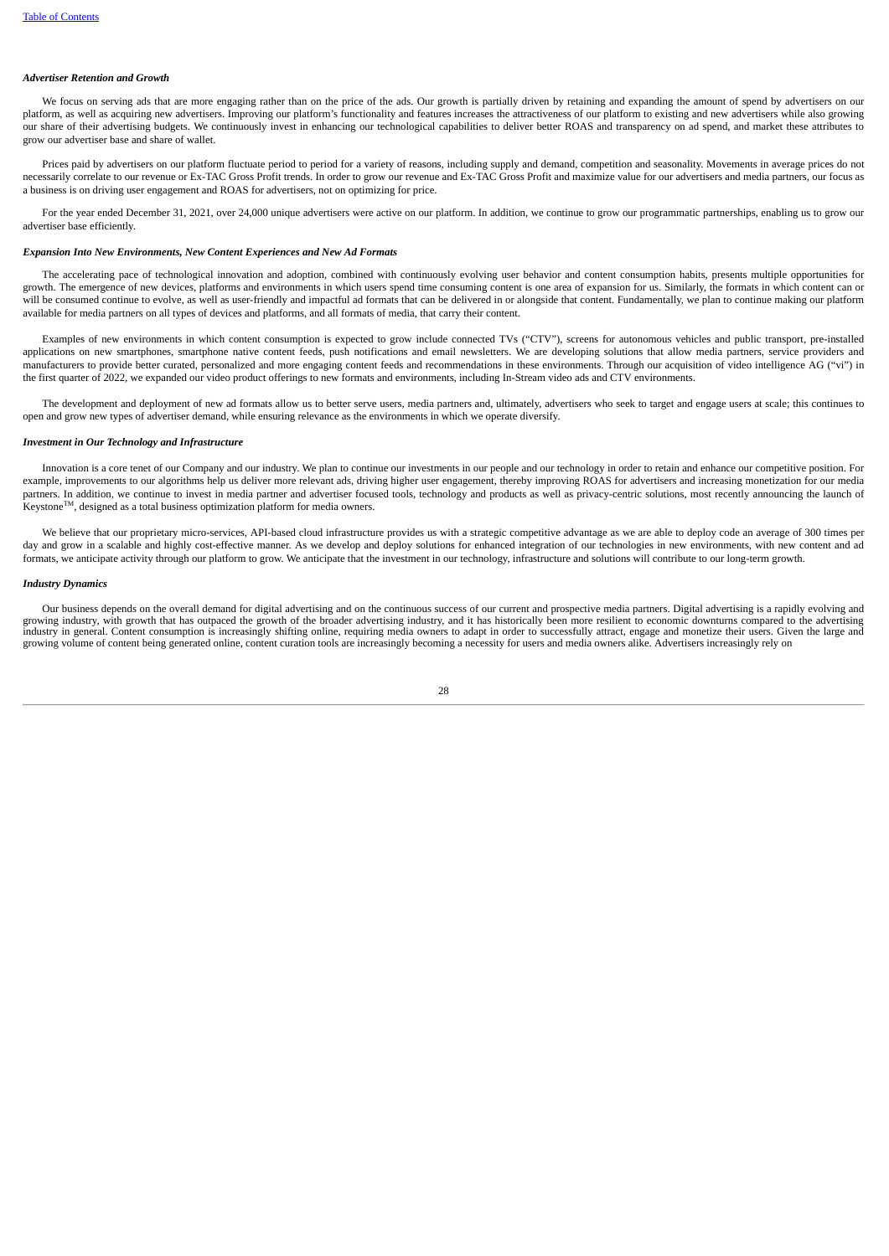#### *Advertiser Retention and Growth*

We focus on serving ads that are more engaging rather than on the price of the ads. Our growth is partially driven by retaining and expanding the amount of spend by advertisers on our platform, as well as acquiring new advertisers. Improving our platform's functionality and features increases the attractiveness of our platform to existing and new advertisers while also growing our share of their advertising budgets. We continuously invest in enhancing our technological capabilities to deliver better ROAS and transparency on ad spend, and market these attributes to grow our advertiser base and share of wallet.

Prices paid by advertisers on our platform fluctuate period to period for a variety of reasons, including supply and demand, competition and seasonality. Movements in average prices do not necessarily correlate to our revenue or Ex-TAC Gross Profit trends. In order to grow our revenue and Ex-TAC Gross Profit and maximize value for our advertisers and media partners, our focus as a business is on driving user engagement and ROAS for advertisers, not on optimizing for price.

For the year ended December 31, 2021, over 24,000 unique advertisers were active on our platform. In addition, we continue to grow our programmatic partnerships, enabling us to grow our advertiser base efficiently.

#### *Expansion Into New Environments, New Content Experiences and New Ad Formats*

The accelerating pace of technological innovation and adoption, combined with continuously evolving user behavior and content consumption habits, presents multiple opportunities for growth. The emergence of new devices, platforms and environments in which users spend time consuming content is one area of expansion for us. Similarly, the formats in which content can or will be consumed continue to evolve, as well as user-friendly and impactful ad formats that can be delivered in or alongside that content. Fundamentally, we plan to continue making our platform available for media partners on all types of devices and platforms, and all formats of media, that carry their content.

Examples of new environments in which content consumption is expected to grow include connected TVs ("CTV"), screens for autonomous vehicles and public transport, pre-installed applications on new smartphones, smartphone native content feeds, push notifications and email newsletters. We are developing solutions that allow media partners, service providers and manufacturers to provide better curated, personalized and more engaging content feeds and recommendations in these environments. Through our acquisition of video intelligence AG ("vi") in the first quarter of 2022, we expanded our video product offerings to new formats and environments, including In-Stream video ads and CTV environments.

The development and deployment of new ad formats allow us to better serve users, media partners and, ultimately, advertisers who seek to target and engage users at scale; this continues to open and grow new types of advertiser demand, while ensuring relevance as the environments in which we operate diversify.

#### *Investment in Our Technology and Infrastructure*

Innovation is a core tenet of our Company and our industry. We plan to continue our investments in our people and our technology in order to retain and enhance our competitive position. For example, improvements to our algorithms help us deliver more relevant ads, driving higher user engagement, thereby improving ROAS for advertisers and increasing monetization for our media partners. In addition, we continue to invest in media partner and advertiser focused tools, technology and products as well as privacy-centric solutions, most recently announcing the launch of  $Keystone<sup>TM</sup>$ , designed as a total business optimization platform for media owners.

We believe that our proprietary micro-services, API-based cloud infrastructure provides us with a strategic competitive advantage as we are able to deploy code an average of 300 times per day and grow in a scalable and highly cost-effective manner. As we develop and deploy solutions for enhanced integration of our technologies in new environments, with new content and ad formats, we anticipate activity through our platform to grow. We anticipate that the investment in our technology, infrastructure and solutions will contribute to our long-term growth.

#### *Industry Dynamics*

Our business depends on the overall demand for digital advertising and on the continuous success of our current and prospective media partners. Digital advertising is a rapidly evolving and growing industry, with growth that has outpaced the growth of the broader advertising industry, and it has historically been more resilient to economic downturns compared to the advertising<br>industry in general. Content con growing volume of content being generated online, content curation tools are increasingly becoming a necessity for users and media owners alike. Advertisers increasingly rely on

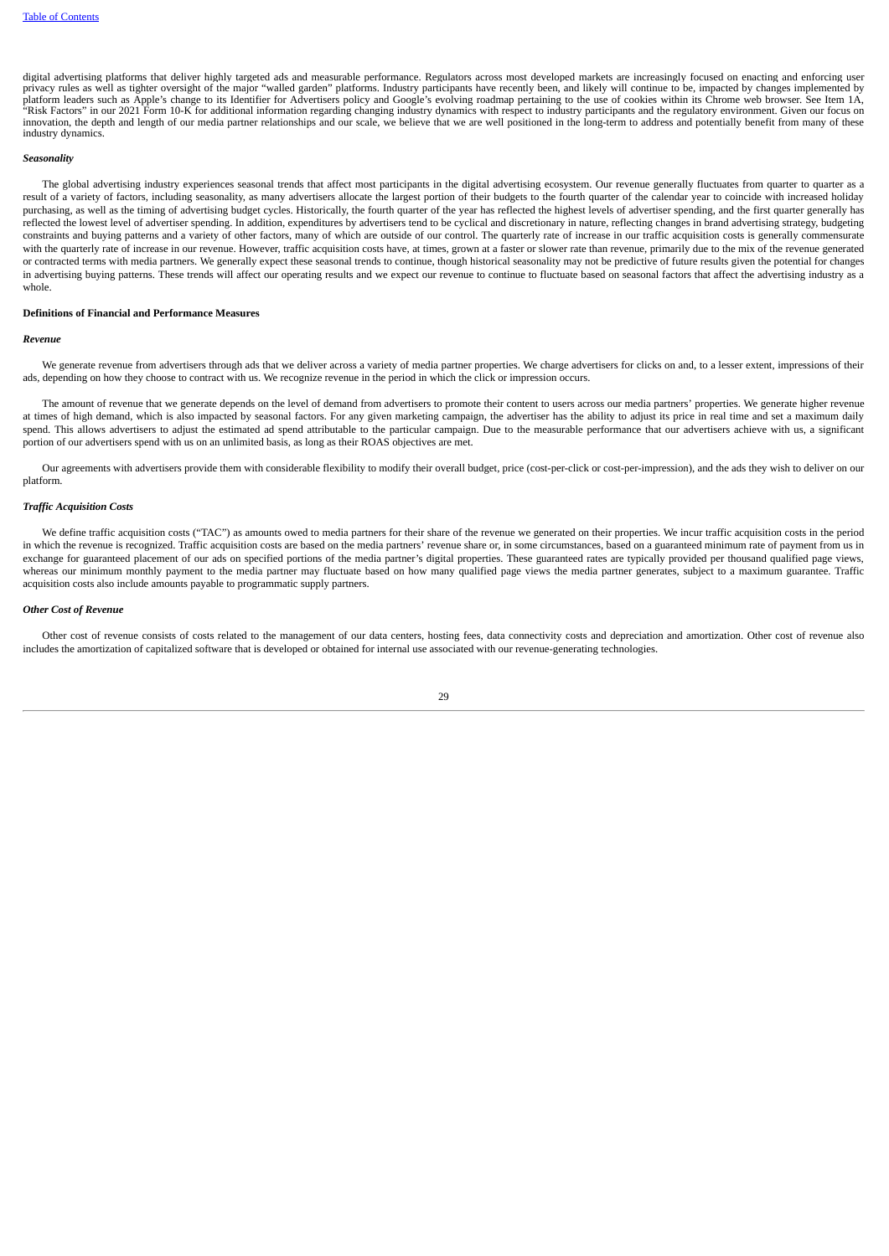digital advertising platforms that deliver highly targeted ads and measurable performance. Regulators across most developed markets are increasingly focused on enacting and enforcing user privacy rules as well as tighter oversight of the major "walled garden" platforms. Industry participants have recently been, and likely will continue to be, impacted by changes implemented by platform leaders such as Apple's change to its Identifier for Advertisers policy and Google's evolving roadmap pertaining to the use of cookies within its Chrome web browser. See Item 1A, "Risk Factors" in our 2021 Form 10-K for additional information regarding changing industry dynamics with respect to industry participants and the regulatory environment. Given our focus on<br>innovation, the depth and length industry dynamics.

#### *Seasonality*

The global advertising industry experiences seasonal trends that affect most participants in the digital advertising ecosystem. Our revenue generally fluctuates from quarter to quarter as a result of a variety of factors, including seasonality, as many advertisers allocate the largest portion of their budgets to the fourth quarter of the calendar year to coincide with increased holiday purchasing, as well as the timing of advertising budget cycles. Historically, the fourth quarter of the year has reflected the highest levels of advertiser spending, and the first quarter generally has reflected the lowest level of advertiser spending. In addition, expenditures by advertisers tend to be cyclical and discretionary in nature, reflecting changes in brand advertising strategy, budgeting constraints and buying patterns and a variety of other factors, many of which are outside of our control. The quarterly rate of increase in our traffic acquisition costs is generally commensurate with the quarterly rate of increase in our revenue. However, traffic acquisition costs have, at times, grown at a faster or slower rate than revenue, primarily due to the mix of the revenue generated or contracted terms with media partners. We generally expect these seasonal trends to continue, though historical seasonality may not be predictive of future results given the potential for changes in advertising buying patterns. These trends will affect our operating results and we expect our revenue to continue to fluctuate based on seasonal factors that affect the advertising industry as a whole.

#### **Definitions of Financial and Performance Measures**

#### *Revenue*

We generate revenue from advertisers through ads that we deliver across a variety of media partner properties. We charge advertisers for clicks on and, to a lesser extent, impressions of their ads, depending on how they choose to contract with us. We recognize revenue in the period in which the click or impression occurs.

The amount of revenue that we generate depends on the level of demand from advertisers to promote their content to users across our media partners' properties. We generate higher revenue at times of high demand, which is also impacted by seasonal factors. For any given marketing campaign, the advertiser has the ability to adjust its price in real time and set a maximum daily spend. This allows advertisers to adjust the estimated ad spend attributable to the particular campaign. Due to the measurable performance that our advertisers achieve with us, a significant portion of our advertisers spend with us on an unlimited basis, as long as their ROAS objectives are met.

Our agreements with advertisers provide them with considerable flexibility to modify their overall budget, price (cost-per-click or cost-per-impression), and the ads they wish to deliver on our platform.

#### *Traffic Acquisition Costs*

We define traffic acquisition costs ("TAC") as amounts owed to media partners for their share of the revenue we generated on their properties. We incur traffic acquisition costs in the period in which the revenue is recognized. Traffic acquisition costs are based on the media partners' revenue share or, in some circumstances, based on a guaranteed minimum rate of payment from us in exchange for guaranteed placement of our ads on specified portions of the media partner's digital properties. These guaranteed rates are typically provided per thousand qualified page views whereas our minimum monthly payment to the media partner may fluctuate based on how many qualified page views the media partner generates, subject to a maximum guarantee. Traffic acquisition costs also include amounts payable to programmatic supply partners.

#### *Other Cost of Revenue*

Other cost of revenue consists of costs related to the management of our data centers, hosting fees, data connectivity costs and depreciation and amortization. Other cost of revenue also includes the amortization of capitalized software that is developed or obtained for internal use associated with our revenue-generating technologies.

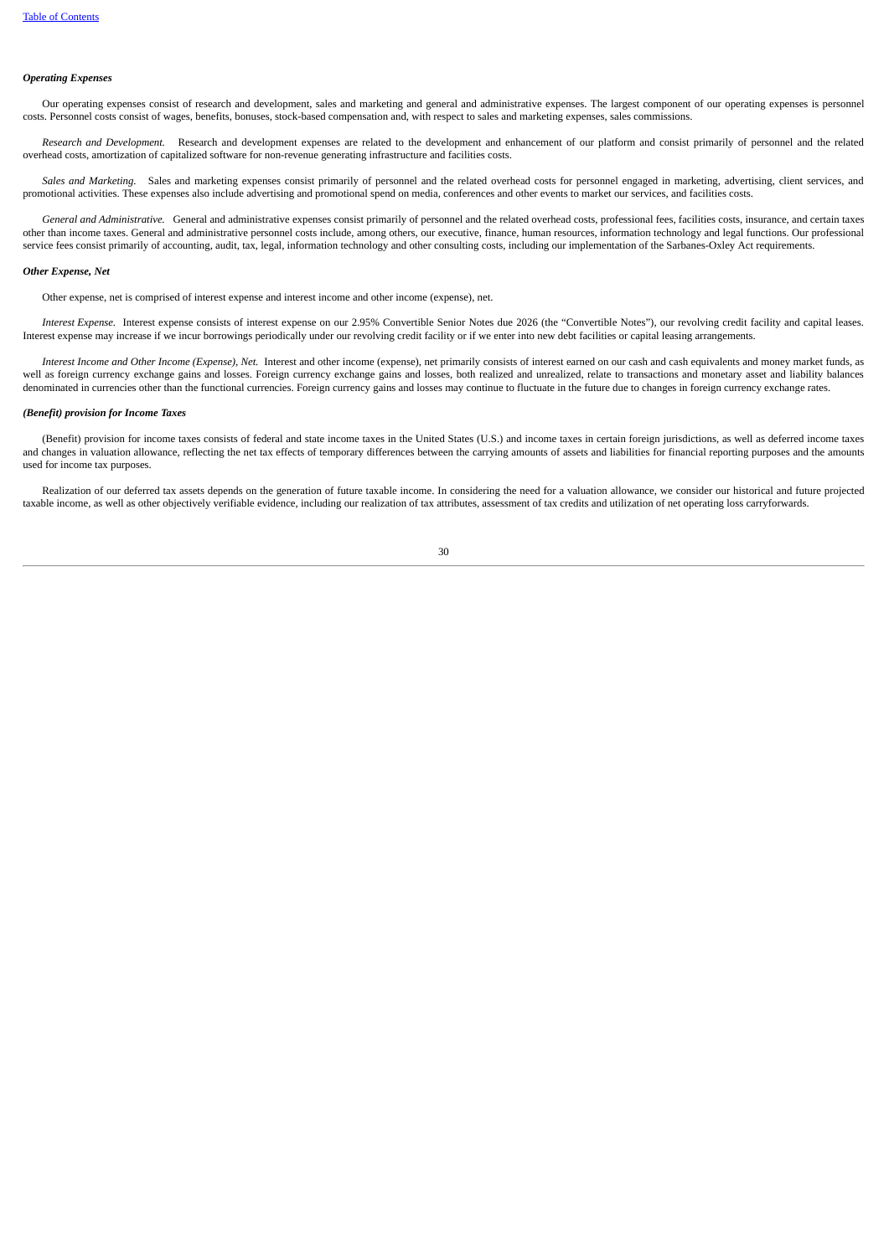#### *Operating Expenses*

Our operating expenses consist of research and development, sales and marketing and general and administrative expenses. The largest component of our operating expenses is personnel costs. Personnel costs consist of wages, benefits, bonuses, stock-based compensation and, with respect to sales and marketing expenses, sales commissions.

*Research and Development.* Research and development expenses are related to the development and enhancement of our platform and consist primarily of personnel and the related overhead costs, amortization of capitalized software for non-revenue generating infrastructure and facilities costs.

*Sales and Marketing.* Sales and marketing expenses consist primarily of personnel and the related overhead costs for personnel engaged in marketing, advertising, client services, and promotional activities. These expenses also include advertising and promotional spend on media, conferences and other events to market our services, and facilities costs.

*General and Administrative.* General and administrative expenses consist primarily of personnel and the related overhead costs, professional fees, facilities costs, insurance, and certain taxes other than income taxes. General and administrative personnel costs include, among others, our executive, finance, human resources, information technology and legal functions. Our professional service fees consist primarily of accounting, audit, tax, legal, information technology and other consulting costs, including our implementation of the Sarbanes-Oxley Act requirements.

#### *Other Expense, Net*

Other expense, net is comprised of interest expense and interest income and other income (expense), net.

*Interest Expense.* Interest expense consists of interest expense on our 2.95% Convertible Senior Notes due 2026 (the "Convertible Notes"), our revolving credit facility and capital leases. Interest expense may increase if we incur borrowings periodically under our revolving credit facility or if we enter into new debt facilities or capital leasing arrangements.

Interest Income and Other Income (Expense), Net. Interest and other income (expense), net primarily consists of interest earned on our cash and cash equivalents and money market funds, as well as foreign currency exchange gains and losses. Foreign currency exchange gains and losses, both realized and unrealized, relate to transactions and monetary asset and liability balances denominated in currencies other than the functional currencies. Foreign currency gains and losses may continue to fluctuate in the future due to changes in foreign currency exchange rates.

#### *(Benefit) provision for Income Taxes*

(Benefit) provision for income taxes consists of federal and state income taxes in the United States (U.S.) and income taxes in certain foreign jurisdictions, as well as deferred income taxes and changes in valuation allowance, reflecting the net tax effects of temporary differences between the carrying amounts of assets and liabilities for financial reporting purposes and the amounts used for income tax purposes.

Realization of our deferred tax assets depends on the generation of future taxable income. In considering the need for a valuation allowance, we consider our historical and future projected taxable income, as well as other objectively verifiable evidence, including our realization of tax attributes, assessment of tax credits and utilization of net operating loss carryforwards.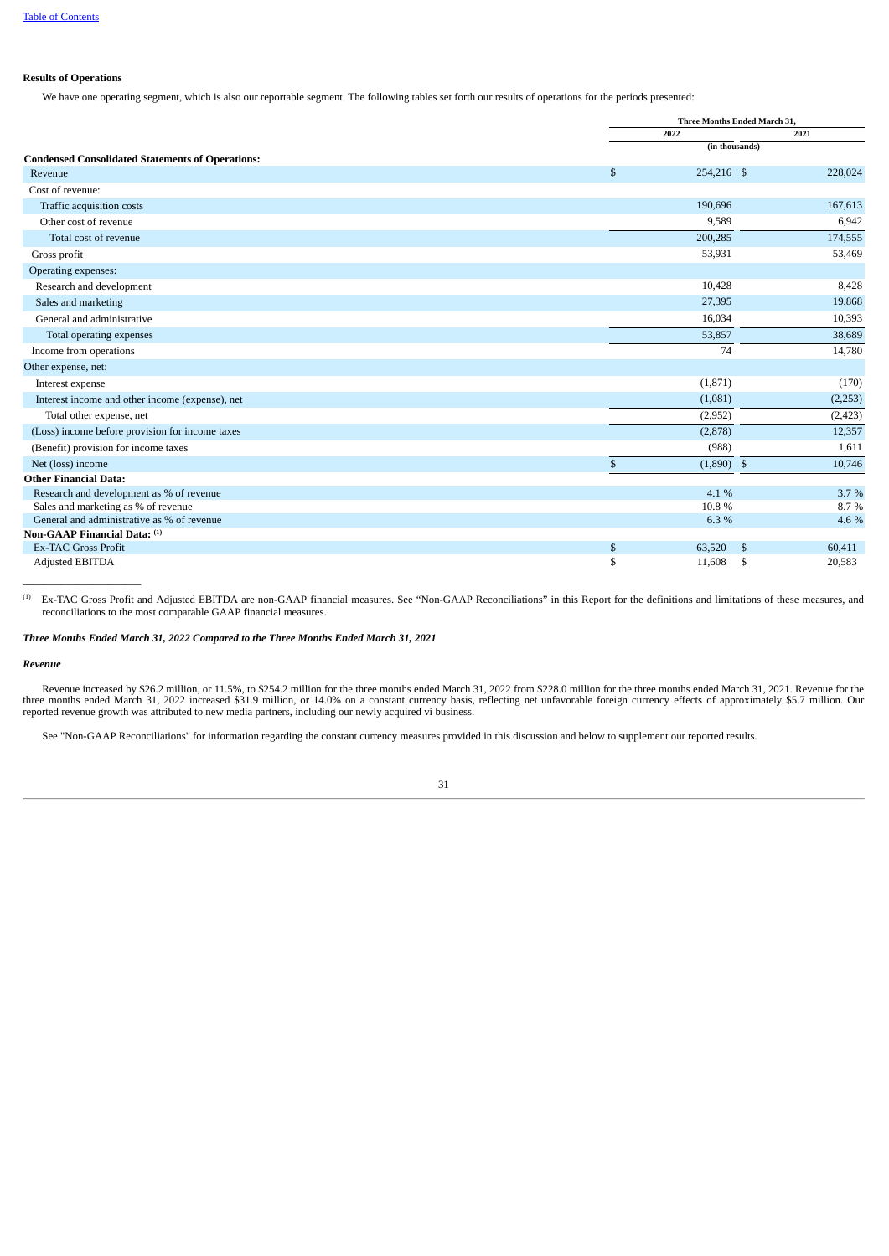#### **Results of Operations**

We have one operating segment, which is also our reportable segment. The following tables set forth our results of operations for the periods presented:

|                                                         |      | Three Months Ended March 31, |
|---------------------------------------------------------|------|------------------------------|
|                                                         | 2022 | 2021                         |
|                                                         |      | (in thousands)               |
| <b>Condensed Consolidated Statements of Operations:</b> | \$   | 228,024                      |
| Revenue                                                 |      | 254,216 \$                   |
| Cost of revenue:                                        |      |                              |
| Traffic acquisition costs                               |      | 190,696<br>167,613           |
| Other cost of revenue                                   |      | 9,589<br>6,942               |
| Total cost of revenue                                   |      | 174,555<br>200,285           |
| Gross profit                                            |      | 53,931<br>53,469             |
| Operating expenses:                                     |      |                              |
| Research and development                                |      | 10,428<br>8,428              |
| Sales and marketing                                     |      | 27,395<br>19,868             |
| General and administrative                              |      | 16,034<br>10,393             |
| Total operating expenses                                |      | 53,857<br>38,689             |
| Income from operations                                  |      | 74<br>14,780                 |
| Other expense, net:                                     |      |                              |
| Interest expense                                        |      | (1, 871)<br>(170)            |
| Interest income and other income (expense), net         |      | (1,081)<br>(2,253)           |
| Total other expense, net                                |      | (2,952)<br>(2, 423)          |
| (Loss) income before provision for income taxes         |      | 12,357<br>(2,878)            |
| (Benefit) provision for income taxes                    |      | (988)<br>1,611               |
| Net (loss) income                                       | \$   | $(1,890)$ \$<br>10,746       |
| <b>Other Financial Data:</b>                            |      |                              |
| Research and development as % of revenue                |      | 4.1%<br>3.7%                 |
| Sales and marketing as % of revenue                     |      | 10.8%<br>8.7%                |
| General and administrative as % of revenue              |      | 6.3%<br>4.6 %                |
| Non-GAAP Financial Data: (1)                            |      |                              |
| <b>Ex-TAC Gross Profit</b>                              | \$   | 63,520<br>60,411<br>-\$      |
| <b>Adjusted EBITDA</b>                                  | \$   | 11,608<br>20,583<br>\$       |

Ex-TAC Gross Profit and Adjusted EBITDA are non-GAAP financial measures. See "Non-GAAP Reconciliations" in this Report for the definitions and limitations of these measures, and (1) reconciliations to the most comparable GAAP financial measures.

#### *Three Months Ended March 31, 2022 Compared to the Three Months Ended March 31, 2021*

#### *Revenue*

 $\overline{\phantom{a}}$  , where  $\overline{\phantom{a}}$ 

Revenue increased by \$26.2 million, or 11.5%, to \$254.2 million for the three months ended March 31, 2022 from \$228.0 million for the three months ended March 31, 2021. Revenue for the three months ended March 31, 2021. Re

See "Non-GAAP Reconciliations" for information regarding the constant currency measures provided in this discussion and below to supplement our reported results.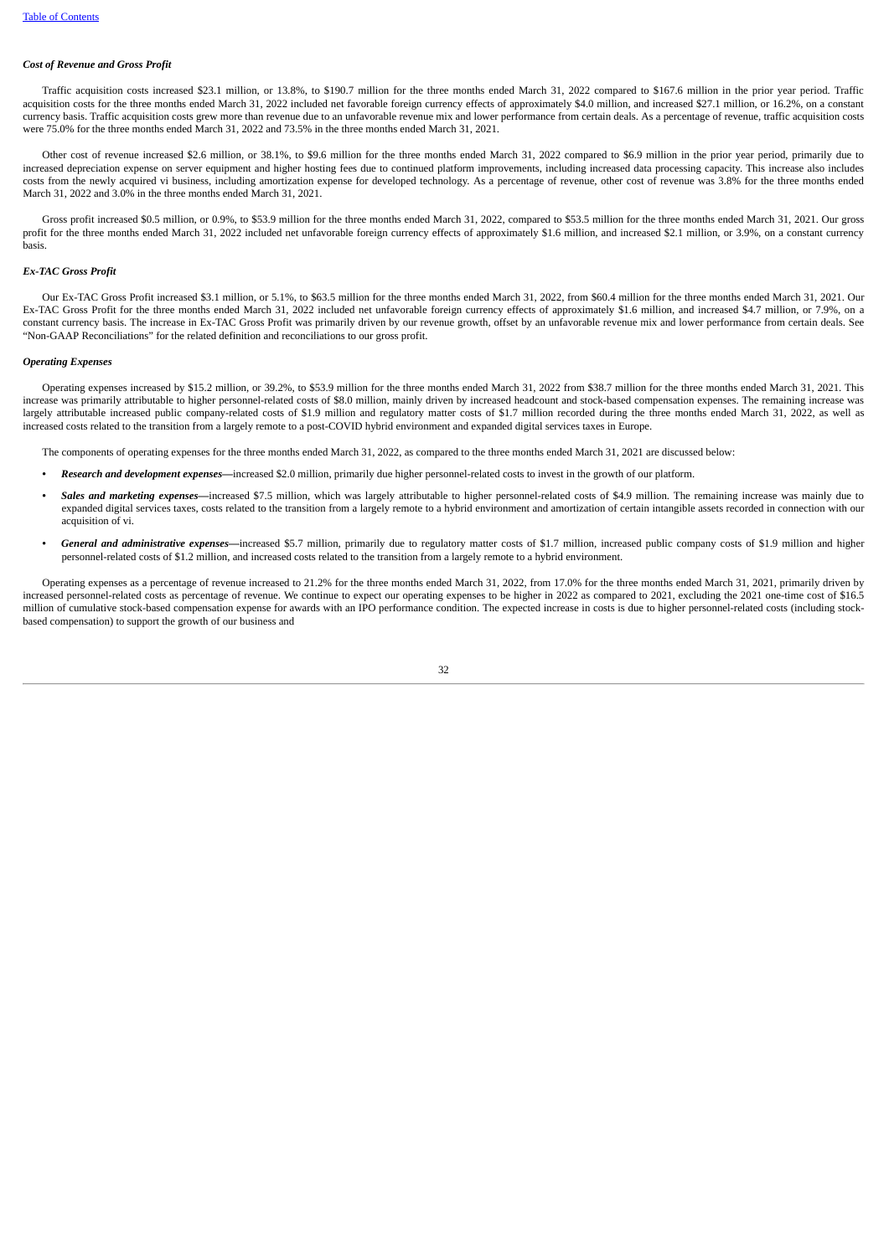#### *Cost of Revenue and Gross Profit*

Traffic acquisition costs increased \$23.1 million, or 13.8%, to \$190.7 million for the three months ended March 31, 2022 compared to \$167.6 million in the prior year period. Traffic acquisition costs for the three months ended March 31, 2022 included net favorable foreign currency effects of approximately \$4.0 million, and increased \$27.1 million, or 16.2%, on a constant currency basis. Traffic acquisition costs grew more than revenue due to an unfavorable revenue mix and lower performance from certain deals. As a percentage of revenue, traffic acquisition costs were 75.0% for the three months ended March 31, 2022 and 73.5% in the three months ended March 31, 2021.

Other cost of revenue increased \$2.6 million, or 38.1%, to \$9.6 million for the three months ended March 31, 2022 compared to \$6.9 million in the prior year period, primarily due to increased depreciation expense on server equipment and higher hosting fees due to continued platform improvements, including increased data processing capacity. This increase also includes costs from the newly acquired vi business, including amortization expense for developed technology. As a percentage of revenue, other cost of revenue was 3.8% for the three months ended March 31, 2022 and 3.0% in the three months ended March 31, 2021.

Gross profit increased \$0.5 million, or 0.9%, to \$53.9 million for the three months ended March 31, 2022, compared to \$53.5 million for the three months ended March 31, 2021. Our gross profit for the three months ended March 31, 2022 included net unfavorable foreign currency effects of approximately \$1.6 million, and increased \$2.1 million, or 3.9%, on a constant currency basis.

#### *Ex-TAC Gross Profit*

Our Ex-TAC Gross Profit increased \$3.1 million, or 5.1%, to \$63.5 million for the three months ended March 31, 2022, from \$60.4 million for the three months ended March 31, 2021. Our Ex-TAC Gross Profit for the three months ended March 31, 2022 included net unfavorable foreign currency effects of approximately \$1.6 million, and increased \$4.7 million, or 7.9%, on a constant currency basis. The increase in Ex-TAC Gross Profit was primarily driven by our revenue growth, offset by an unfavorable revenue mix and lower performance from certain deals. See "Non-GAAP Reconciliations" for the related definition and reconciliations to our gross profit.

#### *Operating Expenses*

Operating expenses increased by \$15.2 million, or 39.2%, to \$53.9 million for the three months ended March 31, 2022 from \$38.7 million for the three months ended March 31, 2021. This increase was primarily attributable to higher personnel-related costs of \$8.0 million, mainly driven by increased headcount and stock-based compensation expenses. The remaining increase was largely attributable increased public company-related costs of \$1.9 million and regulatory matter costs of \$1.7 million recorded during the three months ended March 31, 2022, as well as increased costs related to the transition from a largely remote to a post-COVID hybrid environment and expanded digital services taxes in Europe.

The components of operating expenses for the three months ended March 31, 2022, as compared to the three months ended March 31, 2021 are discussed below:

- *• Research and development expenses—*increased \$2.0 million, primarily due higher personnel-related costs to invest in the growth of our platform.
- Sales and marketing expenses—increased \$7.5 million, which was largely attributable to higher personnel-related costs of \$4.9 million. The remaining increase was mainly due to expanded digital services taxes, costs related to the transition from a largely remote to a hybrid environment and amortization of certain intangible assets recorded in connection with our acquisition of vi.
- *• General and administrative expenses—*increased \$5.7 million, primarily due to regulatory matter costs of \$1.7 million, increased public company costs of \$1.9 million and higher personnel-related costs of \$1.2 million, and increased costs related to the transition from a largely remote to a hybrid environment.

Operating expenses as a percentage of revenue increased to 21.2% for the three months ended March 31, 2022, from 17.0% for the three months ended March 31, 2021, primarily driven by increased personnel-related costs as percentage of revenue. We continue to expect our operating expenses to be higher in 2022 as compared to 2021, excluding the 2021 one-time cost of \$16.5 million of cumulative stock-based compensation expense for awards with an IPO performance condition. The expected increase in costs is due to higher personnel-related costs (including stockbased compensation) to support the growth of our business and

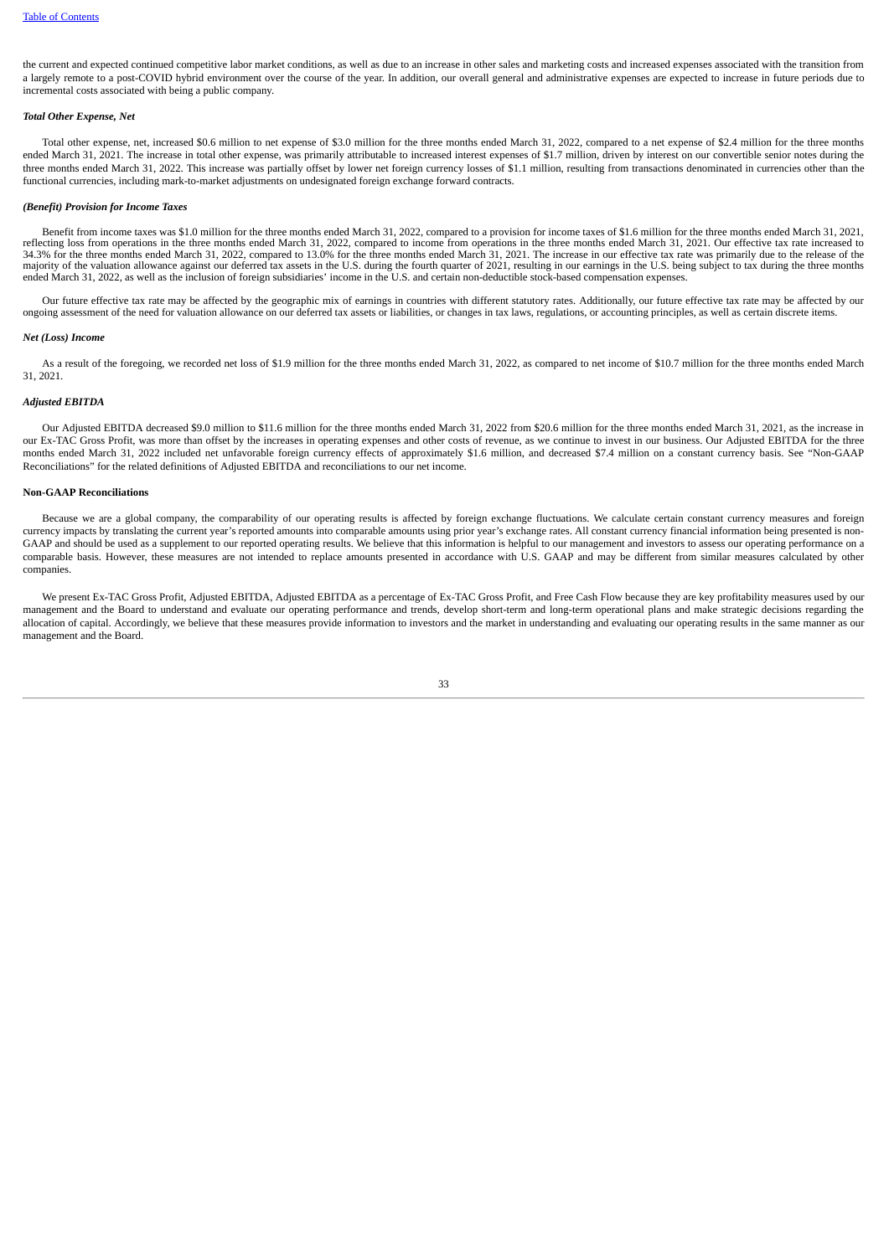the current and expected continued competitive labor market conditions, as well as due to an increase in other sales and marketing costs and increased expenses associated with the transition from a largely remote to a post-COVID hybrid environment over the course of the year. In addition, our overall general and administrative expenses are expected to increase in future periods due to incremental costs associated with being a public company.

#### *Total Other Expense, Net*

Total other expense, net, increased \$0.6 million to net expense of \$3.0 million for the three months ended March 31, 2022, compared to a net expense of \$2.4 million for the three months ended March 31, 2021. The increase in total other expense, was primarily attributable to increased interest expenses of \$1.7 million, driven by interest on our convertible senior notes during the three months ended March 31, 2022. This increase was partially offset by lower net foreign currency losses of \$1.1 million, resulting from transactions denominated in currencies other than the functional currencies, including mark-to-market adjustments on undesignated foreign exchange forward contracts.

#### *(Benefit) Provision for Income Taxes*

Benefit from income taxes was \$1.0 million for the three months ended March 31, 2022, compared to a provision for income taxes of \$1.6 million for the three months ended March 31, 2021, reflecting loss from operations in the three months ended March 31, 2022, compared to income from operations in the three months ended March 31, 2021. Our effective tax rate increased to 34.3% for the three months ended March 31, 2022, compared to 13.0% for the three months ended March 31, 2021. The increase in our effective tax rate was primarily due to the release of the majority of the valuation allowance against our deferred tax assets in the U.S. during the fourth quarter of 2021, resulting in our earnings in the U.S. being subject to tax during the three months<br>ended March 31, 2022, as

Our future effective tax rate may be affected by the geographic mix of earnings in countries with different statutory rates. Additionally, our future effective tax rate may be affected by our ongoing assessment of the need for valuation allowance on our deferred tax assets or liabilities, or changes in tax laws, regulations, or accounting principles, as well as certain discrete items.

#### *Net (Loss) Income*

As a result of the foregoing, we recorded net loss of \$1.9 million for the three months ended March 31, 2022, as compared to net income of \$10.7 million for the three months ended March 31, 2021.

#### *Adjusted EBITDA*

Our Adjusted EBITDA decreased \$9.0 million to \$11.6 million for the three months ended March 31, 2022 from \$20.6 million for the three months ended March 31, 2021, as the increase in our Ex-TAC Gross Profit, was more than offset by the increases in operating expenses and other costs of revenue, as we continue to invest in our business. Our Adjusted EBITDA for the three months ended March 31, 2022 included net unfavorable foreign currency effects of approximately \$1.6 million, and decreased \$7.4 million on a constant currency basis. See "Non-GAAP Reconciliations" for the related definitions of Adjusted EBITDA and reconciliations to our net income.

#### **Non-GAAP Reconciliations**

Because we are a global company, the comparability of our operating results is affected by foreign exchange fluctuations. We calculate certain constant currency measures and foreign currency impacts by translating the current year's reported amounts into comparable amounts using prior year's exchange rates. All constant currency financial information being presented is non-GAAP and should be used as a supplement to our reported operating results. We believe that this information is helpful to our management and investors to assess our operating performance on a comparable basis. However, these measures are not intended to replace amounts presented in accordance with U.S. GAAP and may be different from similar measures calculated by other companies.

We present Ex-TAC Gross Profit, Adjusted EBITDA, Adjusted EBITDA as a percentage of Ex-TAC Gross Profit, and Free Cash Flow because they are key profitability measures used by our management and the Board to understand and evaluate our operating performance and trends, develop short-term and long-term operational plans and make strategic decisions regarding the allocation of capital. Accordingly, we believe that these measures provide information to investors and the market in understanding and evaluating our operating results in the same manner as our management and the Board.

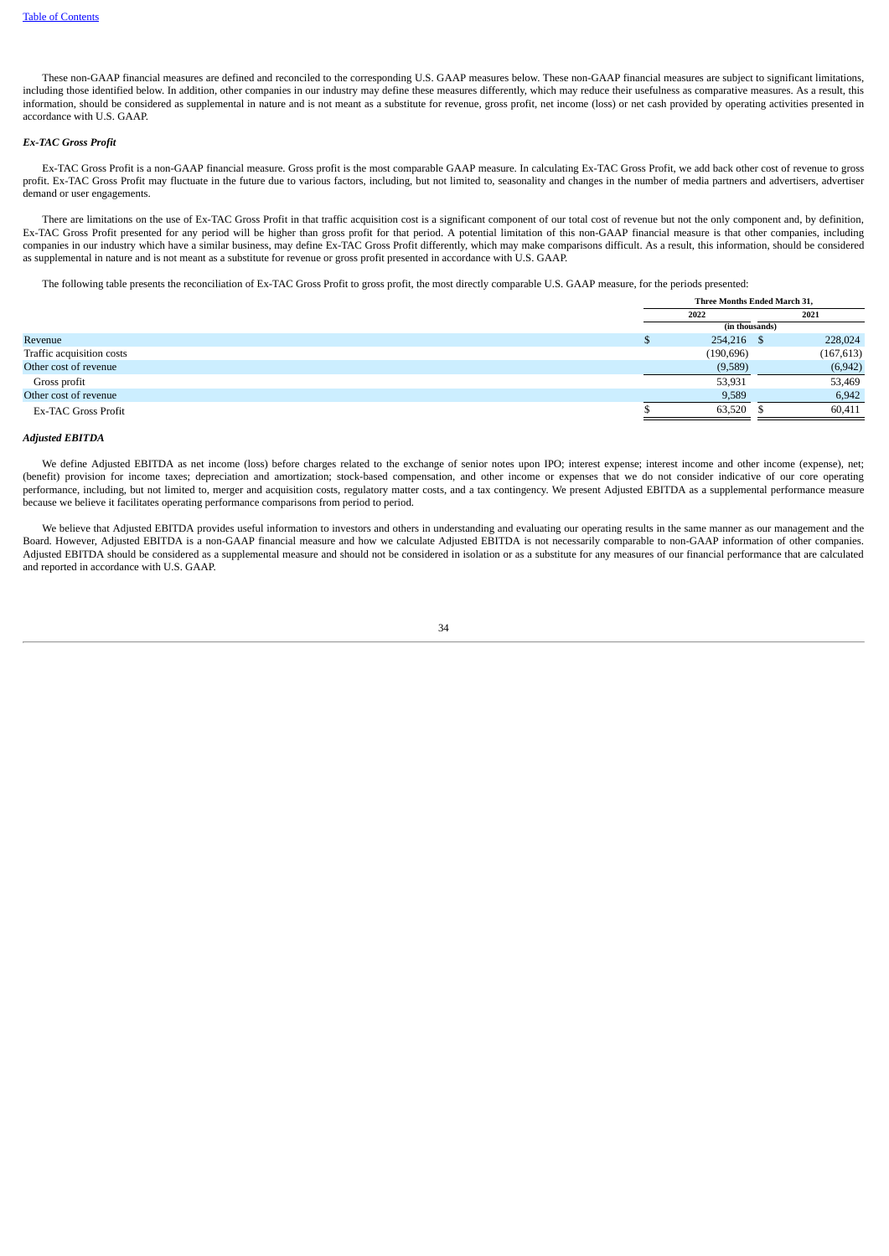These non-GAAP financial measures are defined and reconciled to the corresponding U.S. GAAP measures below. These non-GAAP financial measures are subject to significant limitations, including those identified below. In addition, other companies in our industry may define these measures differently, which may reduce their usefulness as comparative measures. As a result, this information, should be considered as supplemental in nature and is not meant as a substitute for revenue, gross profit, net income (loss) or net cash provided by operating activities presented in accordance with U.S. GAAP.

## *Ex-TAC Gross Profit*

Ex-TAC Gross Profit is a non-GAAP financial measure. Gross profit is the most comparable GAAP measure. In calculating Ex-TAC Gross Profit, we add back other cost of revenue to gross profit. Ex-TAC Gross Profit may fluctuate in the future due to various factors, including, but not limited to, seasonality and changes in the number of media partners and advertisers, advertiser demand or user engagements.

There are limitations on the use of Ex-TAC Gross Profit in that traffic acquisition cost is a significant component of our total cost of revenue but not the only component and, by definition, Ex-TAC Gross Profit presented for any period will be higher than gross profit for that period. A potential limitation of this non-GAAP financial measure is that other companies, including companies in our industry which have a similar business, may define Ex-TAC Gross Profit differently, which may make comparisons difficult. As a result, this information, should be considered as supplemental in nature and is not meant as a substitute for revenue or gross profit presented in accordance with U.S. GAAP.

The following table presents the reconciliation of Ex-TAC Gross Profit to gross profit, the most directly comparable U.S. GAAP measure, for the periods presented:

|                            | Three Months Ended March 31. |  |            |
|----------------------------|------------------------------|--|------------|
|                            | 2022                         |  | 2021       |
|                            | (in thousands)               |  |            |
| Revenue                    | 254,216 \$                   |  | 228,024    |
| Traffic acquisition costs  | (190, 696)                   |  | (167, 613) |
| Other cost of revenue      | (9,589)                      |  | (6,942)    |
| Gross profit               | 53,931                       |  | 53,469     |
| Other cost of revenue      | 9,589                        |  | 6,942      |
| <b>Ex-TAC Gross Profit</b> | 63,520                       |  | 60,411     |
|                            |                              |  |            |

#### *Adjusted EBITDA*

We define Adjusted EBITDA as net income (loss) before charges related to the exchange of senior notes upon IPO; interest expense; interest income and other income (expense), net; (benefit) provision for income taxes; depreciation and amortization; stock-based compensation, and other income or expenses that we do not consider indicative of our core operating performance, including, but not limited to, merger and acquisition costs, regulatory matter costs, and a tax contingency. We present Adjusted EBITDA as a supplemental performance measure because we believe it facilitates operating performance comparisons from period to period.

We believe that Adjusted EBITDA provides useful information to investors and others in understanding and evaluating our operating results in the same manner as our management and the Board. However, Adjusted EBITDA is a non-GAAP financial measure and how we calculate Adjusted EBITDA is not necessarily comparable to non-GAAP information of other companies. Adjusted EBITDA should be considered as a supplemental measure and should not be considered in isolation or as a substitute for any measures of our financial performance that are calculated and reported in accordance with U.S. GAAP.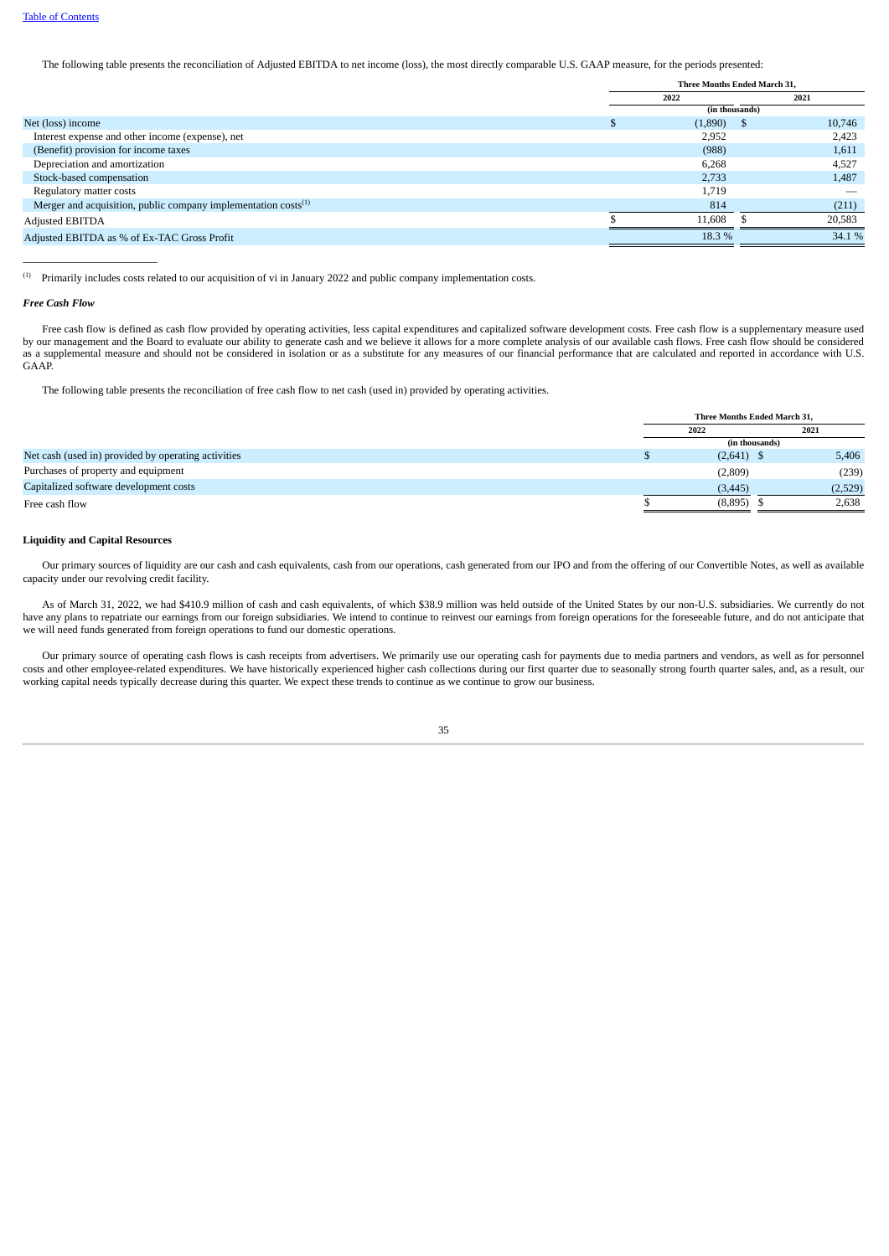The following table presents the reconciliation of Adjusted EBITDA to net income (loss), the most directly comparable U.S. GAAP measure, for the periods presented:

|                                                                     | Three Months Ended March 31. |      |        |
|---------------------------------------------------------------------|------------------------------|------|--------|
|                                                                     | 2022                         |      | 2021   |
|                                                                     | (in thousands)               |      |        |
| Net (loss) income                                                   | (1,890)                      | - \$ | 10,746 |
| Interest expense and other income (expense), net                    | 2,952                        |      | 2,423  |
| (Benefit) provision for income taxes                                | (988)                        |      | 1,611  |
| Depreciation and amortization                                       | 6,268                        |      | 4,527  |
| Stock-based compensation                                            | 2,733                        |      | 1,487  |
| Regulatory matter costs                                             | 1,719                        |      |        |
| Merger and acquisition, public company implementation $costs^{(1)}$ | 814                          |      | (211)  |
| <b>Adjusted EBITDA</b>                                              | 11.608                       |      | 20,583 |
| Adjusted EBITDA as % of Ex-TAC Gross Profit                         | 18.3 %                       |      | 34.1 % |
|                                                                     |                              |      |        |

Primarily includes costs related to our acquisition of vi in January 2022 and public company implementation costs. (1)

#### *Free Cash Flow*

 $\frac{1}{2}$  ,  $\frac{1}{2}$  ,  $\frac{1}{2}$  ,  $\frac{1}{2}$  ,  $\frac{1}{2}$  ,  $\frac{1}{2}$  ,  $\frac{1}{2}$  ,  $\frac{1}{2}$  ,  $\frac{1}{2}$  ,  $\frac{1}{2}$  ,  $\frac{1}{2}$  ,  $\frac{1}{2}$  ,  $\frac{1}{2}$  ,  $\frac{1}{2}$  ,  $\frac{1}{2}$  ,  $\frac{1}{2}$  ,  $\frac{1}{2}$  ,  $\frac{1}{2}$  ,  $\frac{1$ 

Free cash flow is defined as cash flow provided by operating activities, less capital expenditures and capitalized software development costs. Free cash flow is a supplementary measure used by our management and the Board to evaluate our ability to generate cash and we believe it allows for a more complete analysis of our available cash flows. Free cash flow should be considered as a supplemental measure and should not be considered in isolation or as a substitute for any measures of our financial performance that are calculated and reported in accordance with U.S. GAAP.

The following table presents the reconciliation of free cash flow to net cash (used in) provided by operating activities.

|                                                     | Three Months Ended March 31. |         |  |
|-----------------------------------------------------|------------------------------|---------|--|
|                                                     | 2022                         |         |  |
|                                                     | (in thousands)               |         |  |
| Net cash (used in) provided by operating activities | $(2,641)$ \$                 | 5,406   |  |
| Purchases of property and equipment                 | (2,809)                      | (239)   |  |
| Capitalized software development costs              | (3, 445)                     | (2,529) |  |
| Free cash flow                                      | (8,895)                      | 2,638   |  |

#### **Liquidity and Capital Resources**

Our primary sources of liquidity are our cash and cash equivalents, cash from our operations, cash generated from our IPO and from the offering of our Convertible Notes, as well as available capacity under our revolving credit facility.

As of March 31, 2022, we had \$410.9 million of cash and cash equivalents, of which \$38.9 million was held outside of the United States by our non-U.S. subsidiaries. We currently do not have any plans to repatriate our earnings from our foreign subsidiaries. We intend to continue to reinvest our earnings from foreign operations for the foreseeable future, and do not anticipate that we will need funds generated from foreign operations to fund our domestic operations.

Our primary source of operating cash flows is cash receipts from advertisers. We primarily use our operating cash for payments due to media partners and vendors, as well as for personnel costs and other employee-related expenditures. We have historically experienced higher cash collections during our first quarter due to seasonally strong fourth quarter sales, and, as a result, our working capital needs typically decrease during this quarter. We expect these trends to continue as we continue to grow our business.

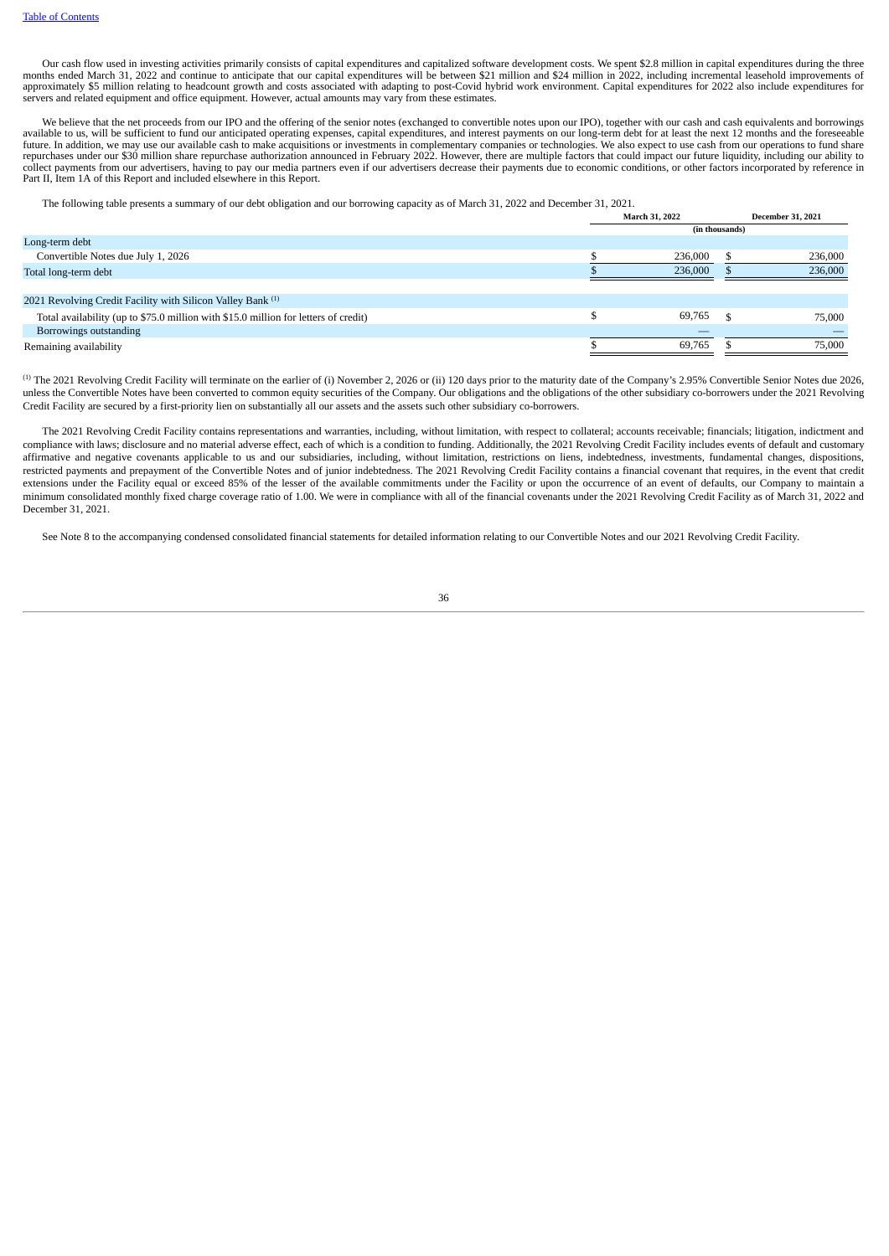Our cash flow used in investing activities primarily consists of capital expenditures and capitalized software development costs. We spent \$2.8 million in capital expenditures during the three months ended March 31, 2022 and continue to anticipate that our capital expenditures will be between \$21 million and \$24 million in 2022, including incremental leasehold improvements of months ended March 31, 2022 and cont approximately \$5 million relating to headcount growth and costs associated with adapting to post-Covid hybrid work environment. Capital expenditures for 2022 also include expenditures for servers and related equipment and office equipment. However, actual amounts may vary from these estimates.

We believe that the net proceeds from our IPO and the offering of the senior notes (exchanged to convertible notes upon our IPO), together with our cash and cash equivalents and borrowings available to us, will be sufficient to fund our anticipated operating expenses, capital expenditures, and interest payments on our long-term debt for at least the next 12 months and the foreseeable future. In addition, we may use our available cash to make acquisitions or investments in complementary companies or technologies. We also expect to use cash from our operations to fund share<br>repurchases under our \$30 mill collect payments from our advertisers, having to pay our media partners even if our advertisers decrease their payments due to economic conditions, or other factors incorporated by reference in Part II, Item 1A of this Report and included elsewhere in this Report.

The following table presents a summary of our debt obligation and our borrowing capacity as of March 31, 2022 and December 31, 2021.

|                                                                                     | <b>March 31, 2022</b> | <b>December 31, 2021</b> |
|-------------------------------------------------------------------------------------|-----------------------|--------------------------|
|                                                                                     | (in thousands)        |                          |
| Long-term debt                                                                      |                       |                          |
| Convertible Notes due July 1, 2026                                                  | 236,000               | 236,000                  |
| Total long-term debt                                                                | 236,000               | 236,000                  |
|                                                                                     |                       |                          |
| 2021 Revolving Credit Facility with Silicon Valley Bank <sup>(1)</sup>              |                       |                          |
| Total availability (up to \$75.0 million with \$15.0 million for letters of credit) | 69,765                | 75,000                   |
| Borrowings outstanding                                                              |                       |                          |
| Remaining availability                                                              | 69.765                | 75,000                   |
|                                                                                     |                       |                          |

<sup>(1)</sup> The 2021 Revolving Credit Facility will terminate on the earlier of (i) November 2, 2026 or (ii) 120 days prior to the maturity date of the Company's 2.95% Convertible Senior Notes due 2026, unless the Convertible Notes have been converted to common equity securities of the Company. Our obligations and the obligations of the other subsidiary co-borrowers under the 2021 Revolving Credit Facility are secured by a first-priority lien on substantially all our assets and the assets such other subsidiary co-borrowers.

The 2021 Revolving Credit Facility contains representations and warranties, including, without limitation, with respect to collateral; accounts receivable; financials; litigation, indictment and compliance with laws; disclosure and no material adverse effect, each of which is a condition to funding. Additionally, the 2021 Revolving Credit Facility includes events of default and customary affirmative and negative covenants applicable to us and our subsidiaries, including, without limitation, restrictions on liens, indebtedness, investments, fundamental changes, dispositions, restricted payments and prepayment of the Convertible Notes and of junior indebtedness. The 2021 Revolving Credit Facility contains a financial covenant that requires, in the event that credit extensions under the Facility equal or exceed 85% of the lesser of the available commitments under the Facility or upon the occurrence of an event of defaults, our Company to maintain a minimum consolidated monthly fixed charge coverage ratio of 1.00. We were in compliance with all of the financial covenants under the 2021 Revolving Credit Facility as of March 31, 2022 and December 31, 2021.

See Note 8 to the accompanying condensed consolidated financial statements for detailed information relating to our Convertible Notes and our 2021 Revolving Credit Facility.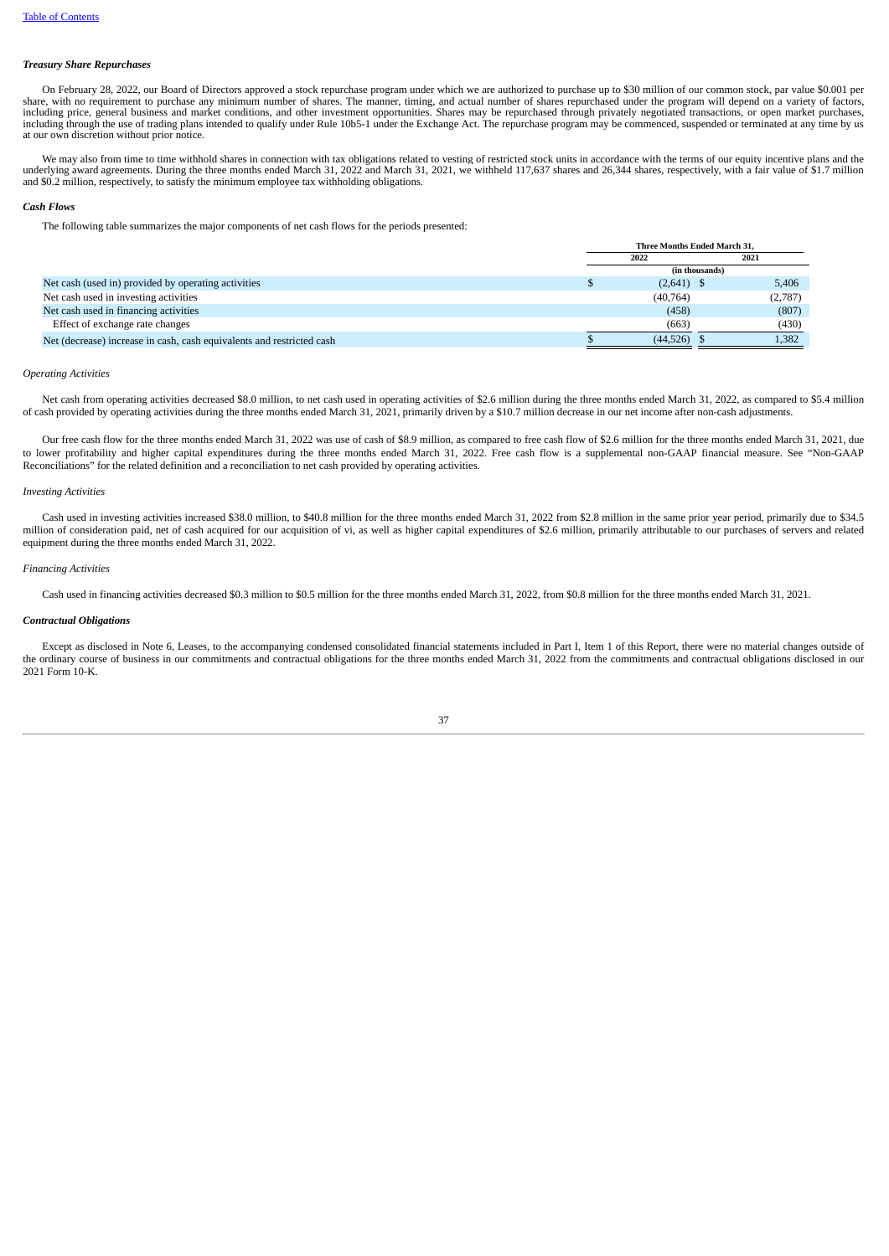#### *Treasury Share Repurchases*

On February 28, 2022, our Board of Directors approved a stock repurchase program under which we are authorized to purchase up to \$30 million of our common stock, par value \$0.001 per share, with no requirement to purchase including through the use of trading plans intended to qualify under Rule 10b5-1 under the Exchange Act. The repurchase program may be commenced, suspended or terminated at any time by us at our own discretion without prior notice.

We may also from time to time withhold shares in connection with tax obligations related to vesting of restricted stock units in accordance with the terms of our equity incentive plans and the underlying award agreements. During the three months ended March 31, 2022 and March 31, 2021, we withheld 117,637 shares and 26,344 shares, respectively, with a fair value of \$1.7 million and \$0.2 million, respectively, to satisfy the minimum employee tax withholding obligations.

#### *Cash Flows*

The following table summarizes the major components of net cash flows for the periods presented:

|                                                                       | <b>Three Months Ended March 31.</b> |                |      |         |
|-----------------------------------------------------------------------|-------------------------------------|----------------|------|---------|
|                                                                       | 2022                                |                | 2021 |         |
|                                                                       |                                     | (in thousands) |      |         |
| Net cash (used in) provided by operating activities                   | ۰υ                                  | $(2,641)$ \$   |      | 5,406   |
| Net cash used in investing activities                                 |                                     | (40,764)       |      | (2,787) |
| Net cash used in financing activities                                 |                                     | (458)          |      | (807)   |
| Effect of exchange rate changes                                       |                                     | (663)          |      | (430)   |
| Net (decrease) increase in cash, cash equivalents and restricted cash |                                     | (44, 526)      |      | 1,382   |

#### *Operating Activities*

Net cash from operating activities decreased \$8.0 million, to net cash used in operating activities of \$2.6 million during the three months ended March 31, 2022, as compared to \$5.4 million of cash provided by operating activities during the three months ended March 31, 2021, primarily driven by a \$10.7 million decrease in our net income after non-cash adjustments.

Our free cash flow for the three months ended March 31, 2022 was use of cash of \$8.9 million, as compared to free cash flow of \$2.6 million for the three months ended March 31, 2021, due to lower profitability and higher capital expenditures during the three months ended March 31, 2022. Free cash flow is a supplemental non-GAAP financial measure. See "Non-GAAP Reconciliations" for the related definition and a reconciliation to net cash provided by operating activities.

#### *Investing Activities*

Cash used in investing activities increased \$38.0 million, to \$40.8 million for the three months ended March 31, 2022 from \$2.8 million in the same prior year period, primarily due to \$34.5 million of consideration paid, net of cash acquired for our acquisition of vi, as well as higher capital expenditures of \$2.6 million, primarily attributable to our purchases of servers and related equipment during the three months ended March 31, 2022.

#### *Financing Activities*

Cash used in financing activities decreased \$0.3 million to \$0.5 million for the three months ended March 31, 2022, from \$0.8 million for the three months ended March 31, 2021.

#### *Contractual Obligations*

Except as disclosed in Note 6, Leases, to the accompanying condensed consolidated financial statements included in Part I, Item 1 of this Report, there were no material changes outside of the ordinary course of business in our commitments and contractual obligations for the three months ended March 31, 2022 from the commitments and contractual obligations disclosed in our 2021 Form 10-K.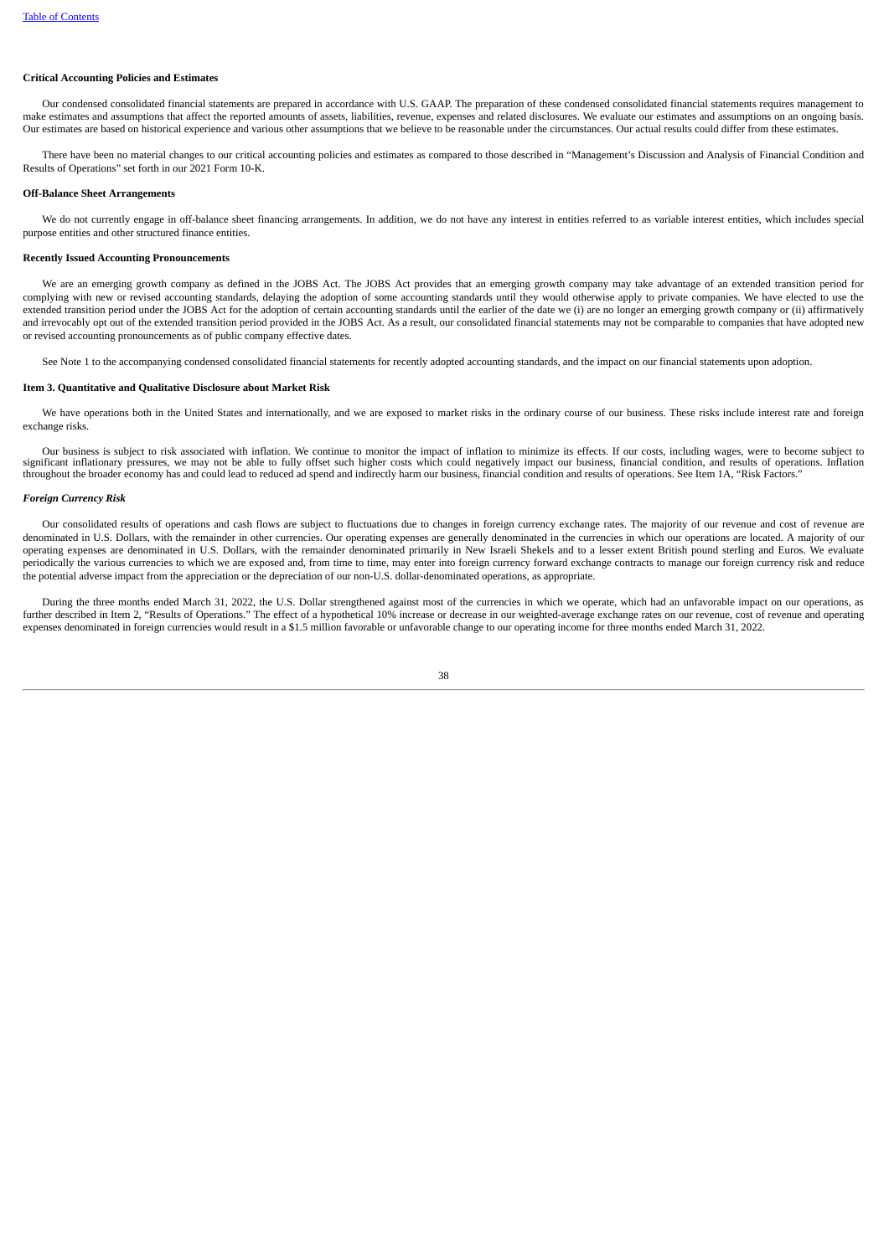#### **Critical Accounting Policies and Estimates**

Our condensed consolidated financial statements are prepared in accordance with U.S. GAAP. The preparation of these condensed consolidated financial statements requires management to make estimates and assumptions that affect the reported amounts of assets, liabilities, revenue, expenses and related disclosures. We evaluate our estimates and assumptions on an ongoing basis. Our estimates are based on historical experience and various other assumptions that we believe to be reasonable under the circumstances. Our actual results could differ from these estimates.

There have been no material changes to our critical accounting policies and estimates as compared to those described in "Management's Discussion and Analysis of Financial Condition and Results of Operations" set forth in our 2021 Form 10-K.

#### **Off-Balance Sheet Arrangements**

We do not currently engage in off-balance sheet financing arrangements. In addition, we do not have any interest in entities referred to as variable interest entities, which includes special purpose entities and other structured finance entities.

#### **Recently Issued Accounting Pronouncements**

We are an emerging growth company as defined in the JOBS Act. The JOBS Act provides that an emerging growth company may take advantage of an extended transition period for complying with new or revised accounting standards, delaying the adoption of some accounting standards until they would otherwise apply to private companies. We have elected to use the extended transition period under the JOBS Act for the adoption of certain accounting standards until the earlier of the date we (i) are no longer an emerging growth company or (ii) affirmatively and irrevocably opt out of the extended transition period provided in the JOBS Act. As a result, our consolidated financial statements may not be comparable to companies that have adopted new or revised accounting pronouncements as of public company effective dates.

See Note 1 to the accompanying condensed consolidated financial statements for recently adopted accounting standards, and the impact on our financial statements upon adoption.

#### <span id="page-37-0"></span>**Item 3. Quantitative and Qualitative Disclosure about Market Risk**

We have operations both in the United States and internationally, and we are exposed to market risks in the ordinary course of our business. These risks include interest rate and foreign exchange risks.

Our business is subject to risk associated with inflation. We continue to monitor the impact of inflation to minimize its effects. If our costs, including wages, were to become subject to significant inflationary pressures, we may not be able to fully offset such higher costs which could negatively impact our business, financial condition, and results of operations. Inflation athroughout the broader economy

#### *Foreign Currency Risk*

Our consolidated results of operations and cash flows are subject to fluctuations due to changes in foreign currency exchange rates. The majority of our revenue and cost of revenue are denominated in U.S. Dollars, with the remainder in other currencies. Our operating expenses are generally denominated in the currencies in which our operations are located. A majority of our operating expenses are denominated in U.S. Dollars, with the remainder denominated primarily in New Israeli Shekels and to a lesser extent British pound sterling and Euros. We evaluate periodically the various currencies to which we are exposed and, from time to time, may enter into foreign currency forward exchange contracts to manage our foreign currency risk and reduce the potential adverse impact from the appreciation or the depreciation of our non-U.S. dollar-denominated operations, as appropriate.

During the three months ended March 31, 2022, the U.S. Dollar strengthened against most of the currencies in which we operate, which had an unfavorable impact on our operations, as further described in Item 2, "Results of Operations." The effect of a hypothetical 10% increase or decrease in our weighted-average exchange rates on our revenue, cost of revenue and operating expenses denominated in foreign currencies would result in a \$1.5 million favorable or unfavorable change to our operating income for three months ended March 31, 2022.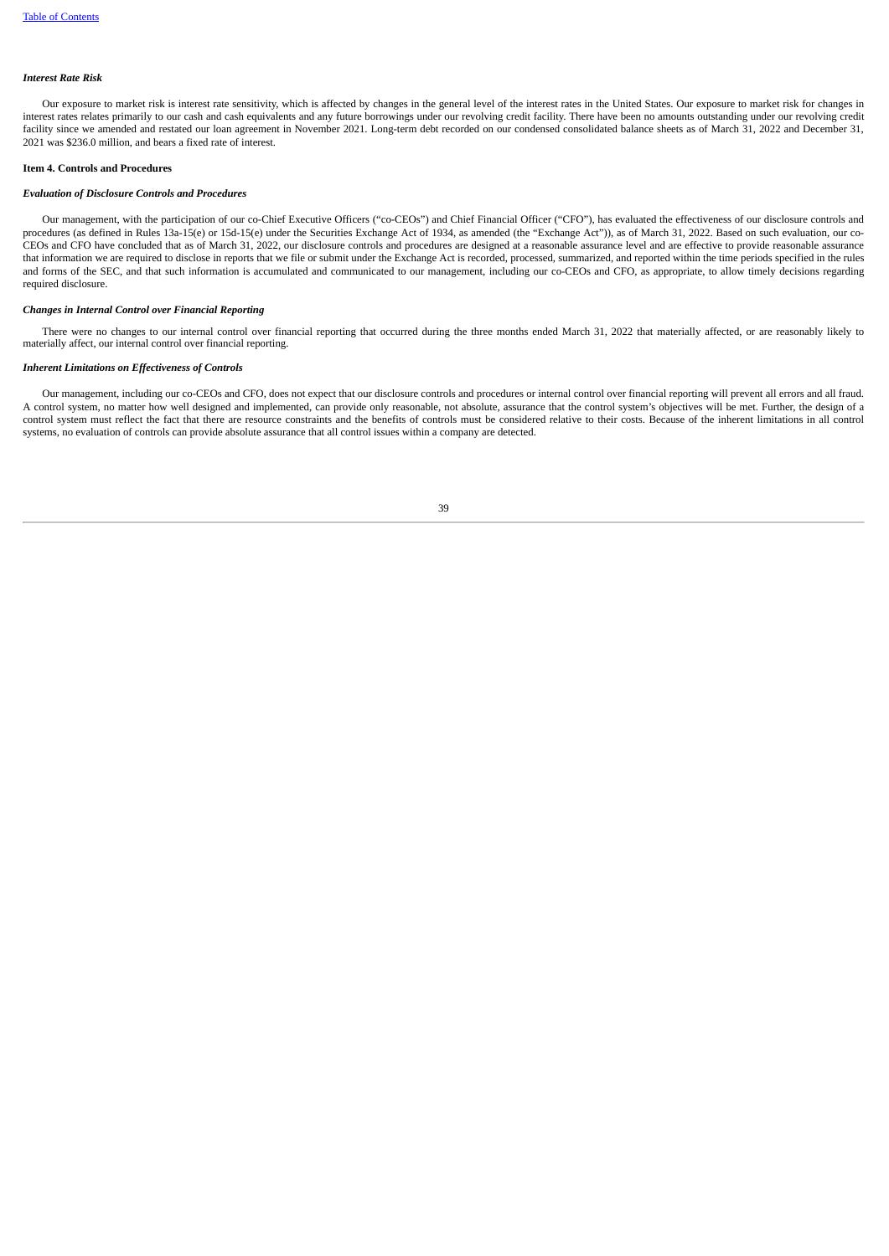#### *Interest Rate Risk*

Our exposure to market risk is interest rate sensitivity, which is affected by changes in the general level of the interest rates in the United States. Our exposure to market risk for changes in interest rates relates primarily to our cash and cash equivalents and any future borrowings under our revolving credit facility. There have been no amounts outstanding under our revolving credit facility since we amended and restated our loan agreement in November 2021. Long-term debt recorded on our condensed consolidated balance sheets as of March 31, 2022 and December 31, 2021 was \$236.0 million, and bears a fixed rate of interest.

#### <span id="page-38-0"></span>**Item 4. Controls and Procedures**

#### *Evaluation of Disclosure Controls and Procedures*

Our management, with the participation of our co-Chief Executive Officers ("co-CEOs") and Chief Financial Officer ("CFO"), has evaluated the effectiveness of our disclosure controls and procedures (as defined in Rules 13a-15(e) or 15d-15(e) under the Securities Exchange Act of 1934, as amended (the "Exchange Act")), as of March 31, 2022. Based on such evaluation, our co-CEOs and CFO have concluded that as of March 31, 2022, our disclosure controls and procedures are designed at a reasonable assurance level and are effective to provide reasonable assurance that information we are required to disclose in reports that we file or submit under the Exchange Act is recorded, processed, summarized, and reported within the time periods specified in the rules and forms of the SEC, and that such information is accumulated and communicated to our management, including our co-CEOs and CFO, as appropriate, to allow timely decisions regarding required disclosure.

## *Changes in Internal Control over Financial Reporting*

There were no changes to our internal control over financial reporting that occurred during the three months ended March 31, 2022 that materially affected, or are reasonably likely to materially affect, our internal control over financial reporting.

## *Inherent Limitations on Effectiveness of Controls*

<span id="page-38-1"></span>Our management, including our co-CEOs and CFO, does not expect that our disclosure controls and procedures or internal control over financial reporting will prevent all errors and all fraud. A control system, no matter how well designed and implemented, can provide only reasonable, not absolute, assurance that the control system's objectives will be met. Further, the design of a control system must reflect the fact that there are resource constraints and the benefits of controls must be considered relative to their costs. Because of the inherent limitations in all control systems, no evaluation of controls can provide absolute assurance that all control issues within a company are detected.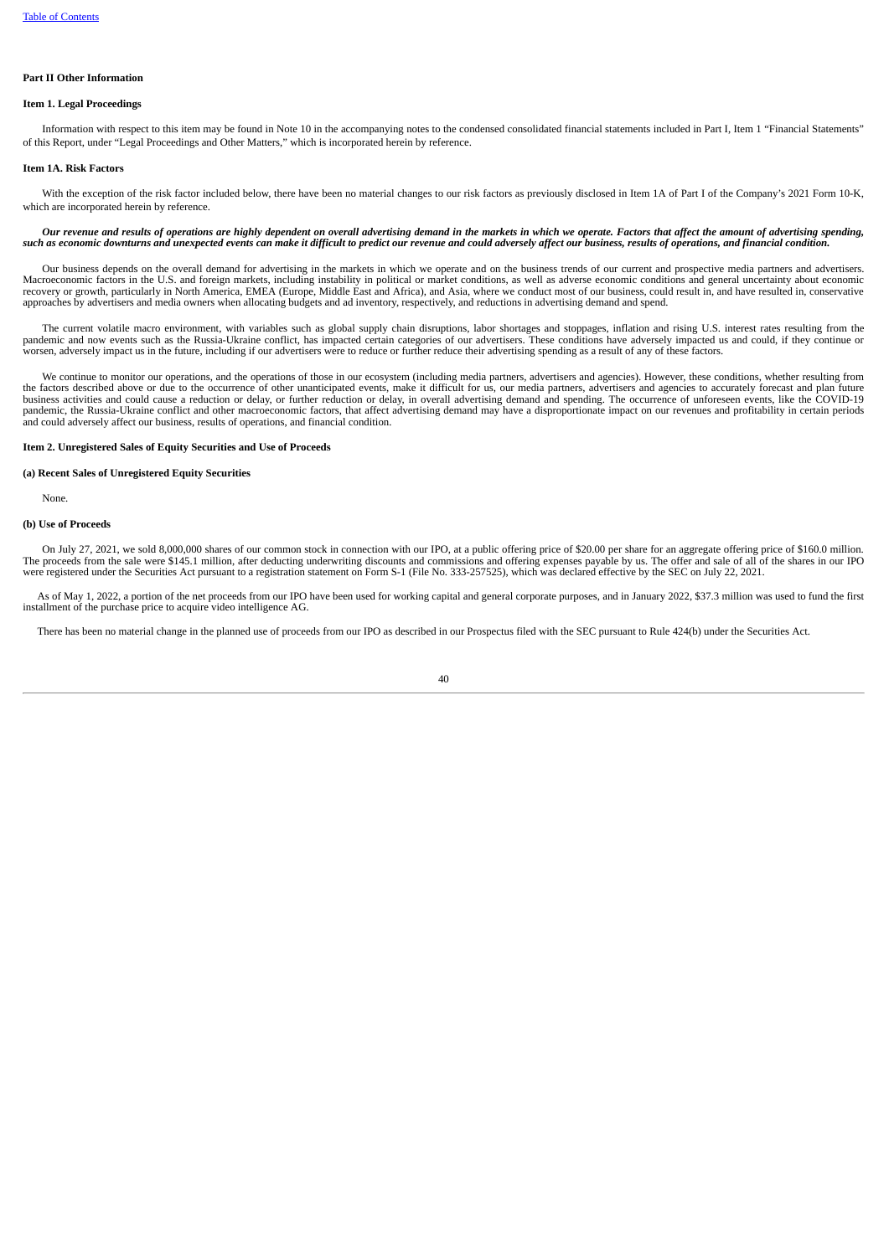#### <span id="page-39-0"></span>**Part II Other Information**

## **Item 1. Legal Proceedings**

Information with respect to this item may be found in Note 10 in the accompanying notes to the condensed consolidated financial statements included in Part I, Item 1 "Financial Statements" of this Report, under "Legal Proceedings and Other Matters," which is incorporated herein by reference.

#### <span id="page-39-1"></span>**Item 1A. Risk Factors**

With the exception of the risk factor included below, there have been no material changes to our risk factors as previously disclosed in Item 1A of Part I of the Company's 2021 Form 10-K. which are incorporated herein by reference.

#### Our revenue and results of operations are highly dependent on overall advertising demand in the markets in which we operate. Factors that affect the amount of advertising spending. such as economic downturns and unexpected events can make it difficult to predict our revenue and could adversely affect our business, results of operations, and financial condition.

Our business depends on the overall demand for advertising in the markets in which we operate and on the business trends of our current and prospective media partners and advertisers. Macroeconomic factors in the U.S. and foreign markets, including instability in political or market conditions, as well as adverse economic conditions and general uncertainty about economic recovery or growth, particularly in North America, EMEA (Europe, Middle East and Africa), and Asia, where we conduct most of our business, could result in, and have resulted in, conservative approaches by advertisers and media owners when allocating budgets and ad inventory, respectively, and reductions in advertising demand and spend.

The current volatile macro environment, with variables such as global supply chain disruptions, labor shortages and stoppages, inflation and rising U.S. interest rates resulting from the pandemic and now events such as the worsen, adversely impact us in the future, including if our advertisers were to reduce or further reduce their advertising spending as a result of any of these factors.

We continue to monitor our operations, and the operations of those in our ecosystem (including media partners, advertisers and agencies). However, these conditions, whether resulting from the factors described above or due to the occurrence of other unanticipated events, make it difficult for us, our media partners, advertisers and agencies to accurately forecast and plan future<br>business activities and coul pandemic, the Russia-Ukraine conflict and other macroeconomic factors, that affect advertising demand may have a disproportionate impact on our revenues and profitability in certain periods and could adversely affect our business, results of operations, and financial condition.

#### <span id="page-39-2"></span>**Item 2. Unregistered Sales of Equity Securities and Use of Proceeds**

#### **(a) Recent Sales of Unregistered Equity Securities**

None.

## **(b) Use of Proceeds**

On July 27, 2021, we sold 8,000,000 shares of our common stock in connection with our IPO, at a public offering price of \$20.00 per share for an aggregate offering price of \$160.0 million. The proceeds from the sale were \$145.1 million, after deducting underwriting discounts and commissions and offering expenses payable by us. The offer and sale of all of the shares in our IPO were registered under the Securities Act pursuant to a registration statement on Form S-1 (File No. 333-257525), which was declared effective by the SEC on July 22, 2021.

As of May 1, 2022, a portion of the net proceeds from our IPO have been used for working capital and general corporate purposes, and in January 2022, \$37.3 million was used to fund the first installment of the purchase price to acquire video intelligence AG.

There has been no material change in the planned use of proceeds from our IPO as described in our Prospectus filed with the SEC pursuant to Rule 424(b) under the Securities Act.

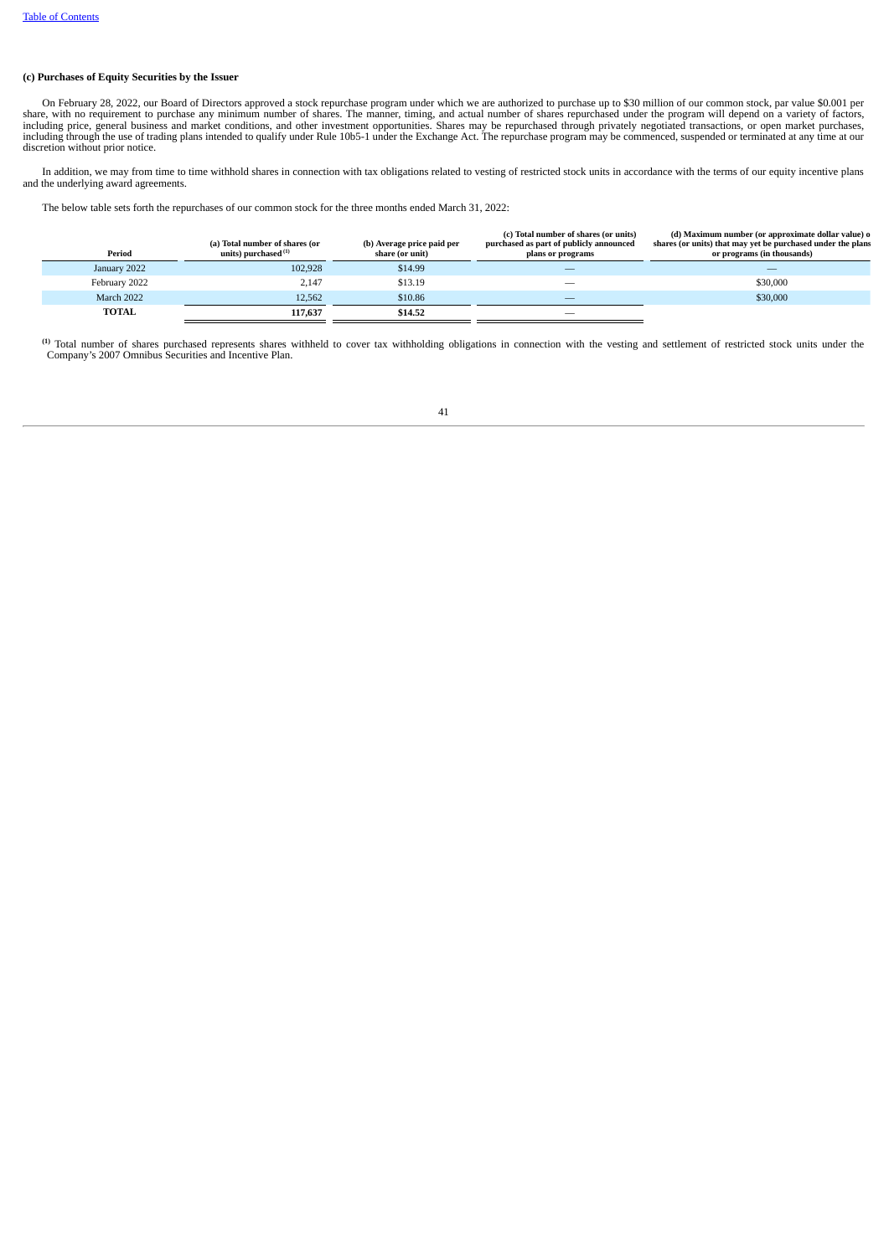## **(c) Purchases of Equity Securities by the Issuer**

On February 28, 2022, our Board of Directors approved a stock repurchase program under which we are authorized to purchase up to \$30 million of our common stock, par value \$0.001 per<br>including price, general business and m discretion without prior notice.

In addition, we may from time to time withhold shares in connection with tax obligations related to vesting of restricted stock units in accordance with the terms of our equity incentive plans and the underlying award agreements.

The below table sets forth the repurchases of our common stock for the three months ended March 31, 2022:

| Period        | (a) Total number of shares (or<br>units) purchased (1) | (b) Average price paid per<br>share (or unit) | (c) Total number of shares (or units)<br>purchased as part of publicly announced<br>plans or programs | (d) Maximum number (or approximate dollar value) o<br>shares (or units) that may yet be purchased under the plans<br>or programs (in thousands) |
|---------------|--------------------------------------------------------|-----------------------------------------------|-------------------------------------------------------------------------------------------------------|-------------------------------------------------------------------------------------------------------------------------------------------------|
| January 2022  | 102.928                                                | \$14.99                                       |                                                                                                       |                                                                                                                                                 |
| February 2022 | 2.147                                                  | \$13.19                                       |                                                                                                       | \$30,000                                                                                                                                        |
| March 2022    | 12.562                                                 | \$10.86                                       | __                                                                                                    | \$30,000                                                                                                                                        |
| <b>TOTAL</b>  | 117.637                                                | \$14.52                                       | _                                                                                                     |                                                                                                                                                 |

<span id="page-40-0"></span><sup>)</sup> Total number of shares purchased represents shares withheld to cover tax withholding obligations in connection with the vesting and settlement of restricted stock units under the<br>Company's 2007 Omnibus Securities and I **(1)**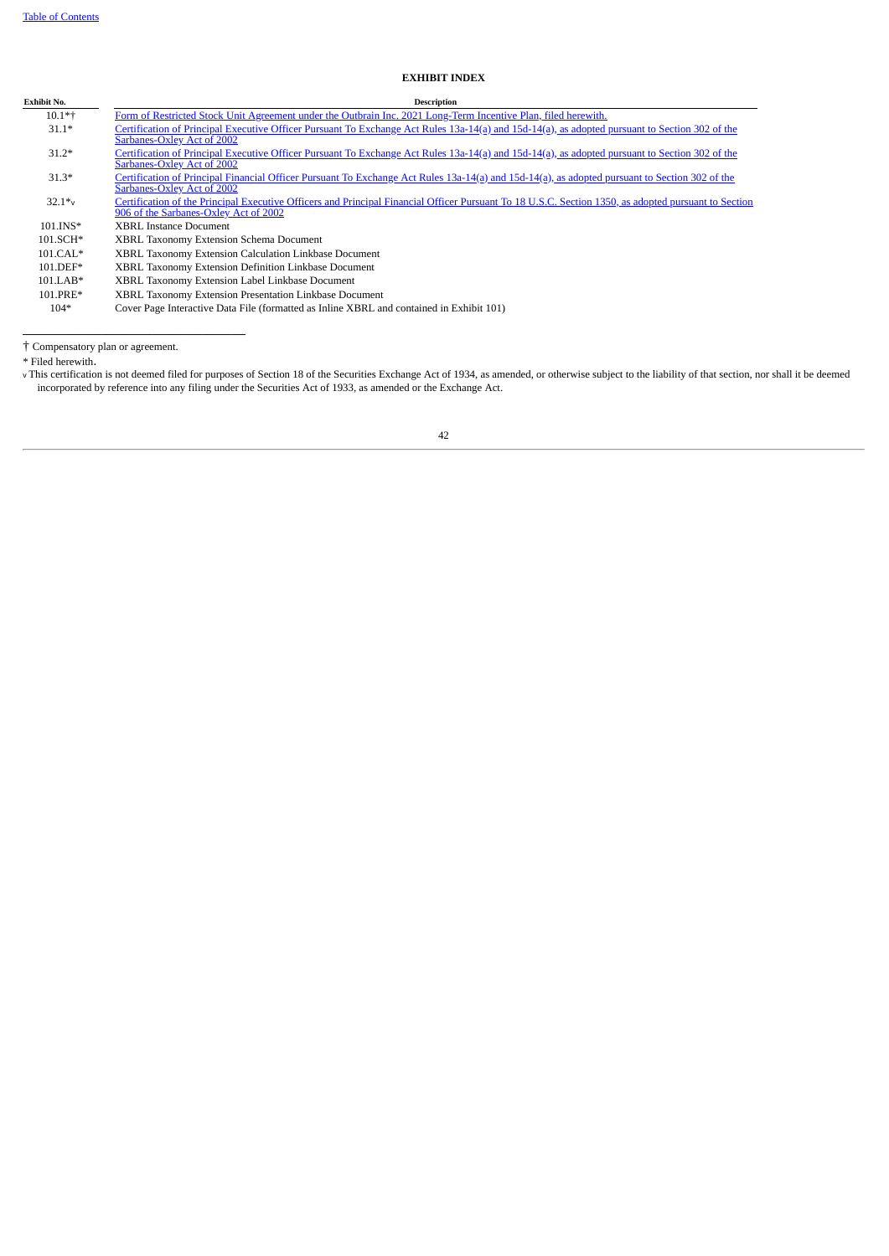## **EXHIBIT INDEX**

| Exhibit No. | <b>Description</b>                                                                                                                                                                            |
|-------------|-----------------------------------------------------------------------------------------------------------------------------------------------------------------------------------------------|
| $10.1*+$    | Form of Restricted Stock Unit Agreement under the Outbrain Inc. 2021 Long-Term Incentive Plan, filed herewith.                                                                                |
| $31.1*$     | Certification of Principal Executive Officer Pursuant To Exchange Act Rules 13a-14(a) and 15d-14(a), as adopted pursuant to Section 302 of the<br>Sarbanes-Oxley Act of 2002                  |
| $31.2*$     | Certification of Principal Executive Officer Pursuant To Exchange Act Rules 13a-14(a) and 15d-14(a), as adopted pursuant to Section 302 of the<br>Sarbanes-Oxley Act of 2002                  |
| $31.3*$     | Certification of Principal Financial Officer Pursuant To Exchange Act Rules 13a-14(a) and 15d-14(a), as adopted pursuant to Section 302 of the<br>Sarbanes-Oxley Act of 2002                  |
| $32.1*$ v   | Certification of the Principal Executive Officers and Principal Financial Officer Pursuant To 18 U.S.C. Section 1350, as adopted pursuant to Section<br>906 of the Sarbanes-Oxley Act of 2002 |
| $101.INS*$  | <b>XBRL Instance Document</b>                                                                                                                                                                 |
| 101.SCH*    | XBRL Taxonomy Extension Schema Document                                                                                                                                                       |
| $101.CAI.*$ | XBRL Taxonomy Extension Calculation Linkbase Document                                                                                                                                         |
| $101.DEF*$  | XBRL Taxonomy Extension Definition Linkbase Document                                                                                                                                          |
| $101.LAB*$  | XBRL Taxonomy Extension Label Linkbase Document                                                                                                                                               |
| 101.PRE*    | XBRL Taxonomy Extension Presentation Linkbase Document                                                                                                                                        |

104\* Cover Page Interactive Data File (formatted as Inline XBRL and contained in Exhibit 101)

† Compensatory plan or agreement.

\_\_\_\_\_\_\_\_\_\_\_\_\_\_\_\_\_\_\_\_\_\_\_\_\_\_\_\_\_\_\_

\* Filed herewith.

<span id="page-41-0"></span><sup>v</sup> This certification is not deemed filed for purposes of Section 18 of the Securities Exchange Act of 1934, as amended, or otherwise subject to the liability of that section, nor shall it be deemed incorporated by reference into any filing under the Securities Act of 1933, as amended or the Exchange Act.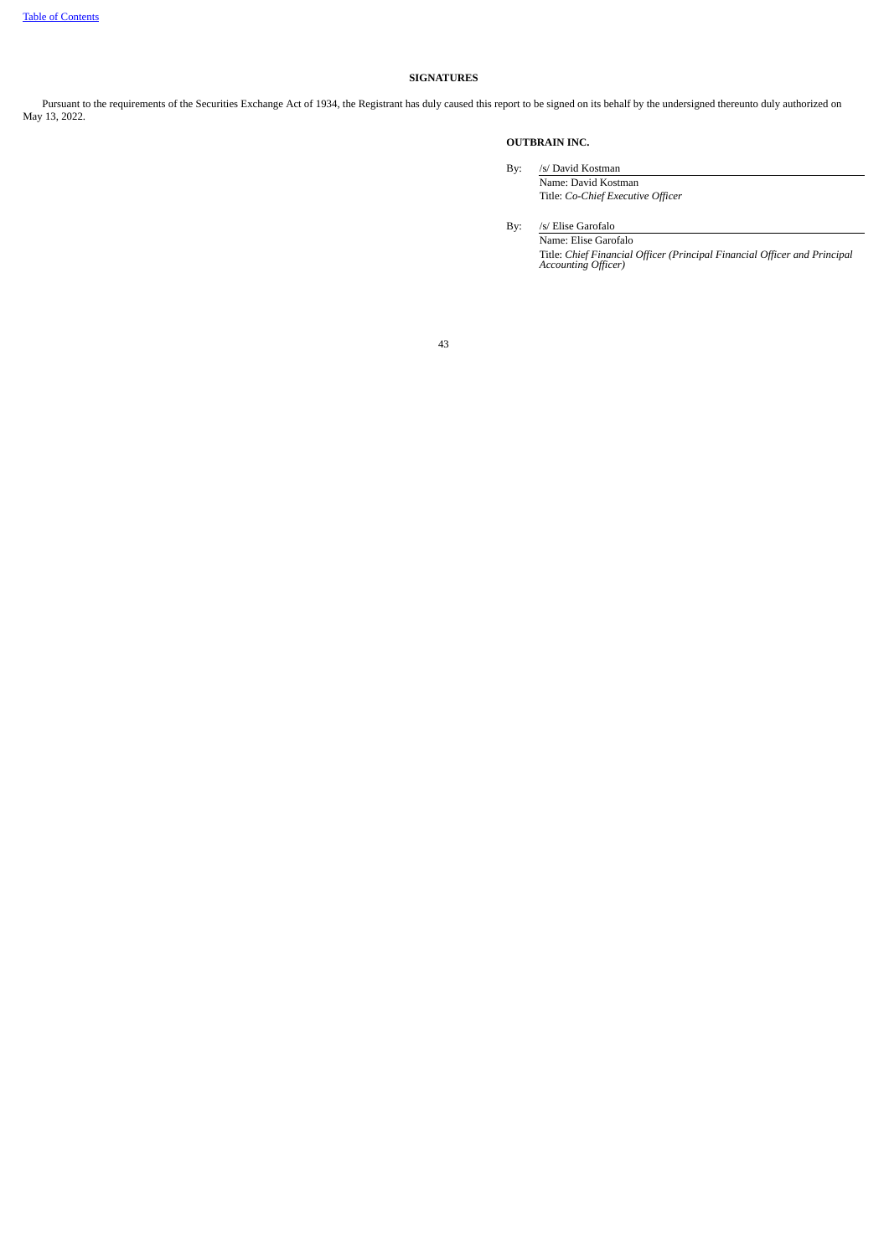## **SIGNATURES**

Pursuant to the requirements of the Securities Exchange Act of 1934, the Registrant has duly caused this report to be signed on its behalf by the undersigned thereunto duly authorized on May 13, 2022.

## **OUTBRAIN INC.**

By: /s/ David Kostman

Name: David Kostman Title: *Co-Chief Executive Officer*

By: /s/ Elise Garofalo

Name: Elise Garofalo Title: *Chief Financial Officer (Principal Financial Officer and Principal Accounting Officer)*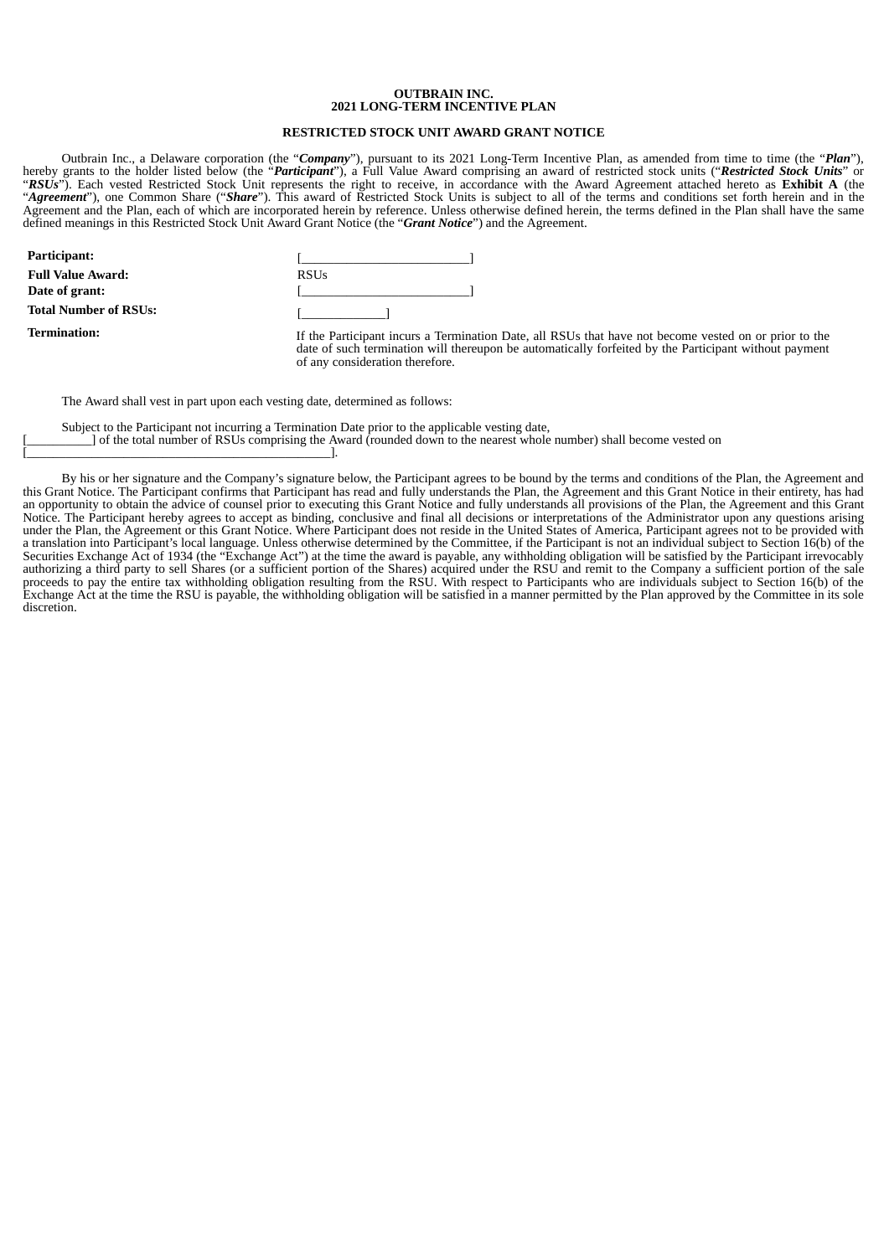## **OUTBRAIN INC. 2021 LONG-TERM INCENTIVE PLAN**

#### **RESTRICTED STOCK UNIT AWARD GRANT NOTICE**

<span id="page-43-0"></span>Outbrain Inc., a Delaware corporation (the "*Company*"), pursuant to its 2021 Long-Term Incentive Plan, as amended from time to time (the "*Plan*"), hereby grants to the holder listed below (the "*Participant*"), a Full Value Award comprising an award of restricted stock units ("*Restricted Stock Units*" or "*RSUs*"). Each vested Restricted Stock Unit represents the right to receive, in accordance with the Award Agreement attached hereto as **Exhibit A** (the "*Agreement*"), one Common Share ("*Share*"). This award of Restricted Stock Units is subject to all of the terms and conditions set forth herein and in the Agreement and the Plan, each of which are incorporated herein by reference. Unless otherwise defined herein, the terms defined in the Plan shall have the same defined meanings in this Restricted Stock Unit Award Grant Notice (the "*Grant Notice*") and the Agreement.

| Participant:                 |                                                                                                                                                                                                                                                   |
|------------------------------|---------------------------------------------------------------------------------------------------------------------------------------------------------------------------------------------------------------------------------------------------|
| <b>Full Value Award:</b>     | <b>RSUs</b>                                                                                                                                                                                                                                       |
| Date of grant:               |                                                                                                                                                                                                                                                   |
| <b>Total Number of RSUs:</b> |                                                                                                                                                                                                                                                   |
| <b>Termination:</b>          | If the Participant incurs a Termination Date, all RSUs that have not become vested on or prior to the<br>date of such termination will thereupon be automatically forfeited by the Participant without payment<br>of any consideration therefore. |

The Award shall vest in part upon each vesting date, determined as follows:

[\_\_\_\_\_\_\_\_\_\_\_\_\_\_\_\_\_\_\_\_\_\_\_\_\_\_\_\_\_\_\_\_\_\_\_\_\_\_\_\_\_\_\_\_\_\_\_].

Subject to the Participant not incurring a Termination Date prior to the applicable vesting date, [**[**[[[[[[[[[[[[[]]]] of the total number of RSUs comprising the Award (rounded down to the nearest whole number) shall become vested on

By his or her signature and the Company's signature below, the Participant agrees to be bound by the terms and conditions of the Plan, the Agreement and this Grant Notice. The Participant confirms that Participant has read and fully understands the Plan, the Agreement and this Grant Notice in their entirety, has had an opportunity to obtain the advice of counsel prior to executing this Grant Notice and fully understands all provisions of the Plan, the Agreement and this Grant Notice. The Participant hereby agrees to accept as binding, conclusive and final all decisions or interpretations of the Administrator upon any questions arising under the Plan, the Agreement or this Grant Notice. Where Participant does not reside in the United States of America, Participant agrees not to be provided with a translation into Participant's local language. Unless otherwise determined by the Committee, if the Participant is not an individual subject to Section 16(b) of the Securities Exchange Act of 1934 (the "Exchange Act") at the time the award is payable, any withholding obligation will be satisfied by the Participant irrevocably authorizing a third party to sell Shares (or a sufficient portion of the Shares) acquired under the RSU and remit to the Company a sufficient portion of the sale proceeds to pay the entire tax withholding obligation resulting from the RSU. With respect to Participants who are individuals subject to Section 16(b) of the Exchange Act at the time the RSU is payable, the withholding obligation will be satisfied in a manner permitted by the Plan approved by the Committee in its sole discretion.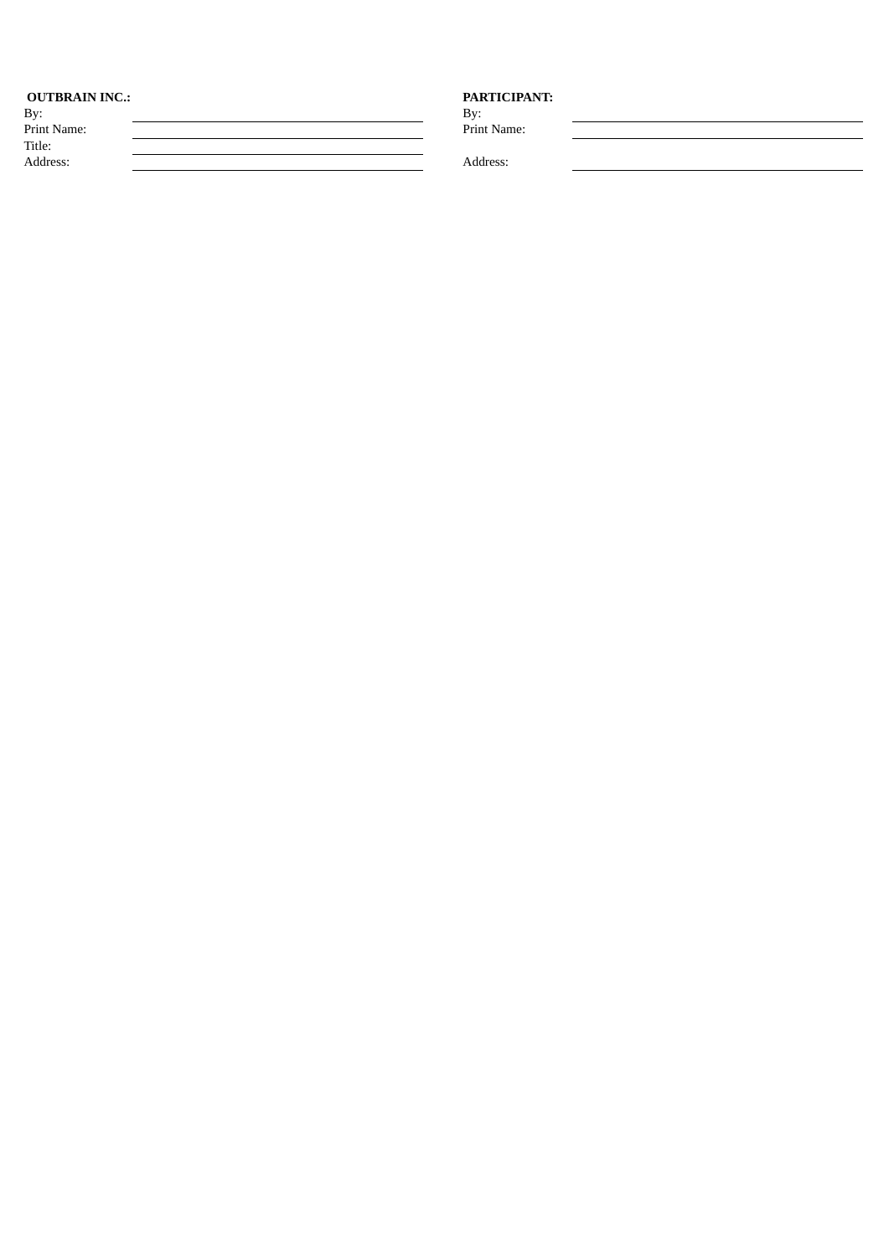#### **OUTBRAIN INC.:**

| By:         | Bv:  |
|-------------|------|
| Print Name: | Prin |
| Title:      |      |
| Address:    | Add  |
|             |      |

# **PARTICIPANT:**<br>By:

- Py:<br>Print Name:

Address: Address: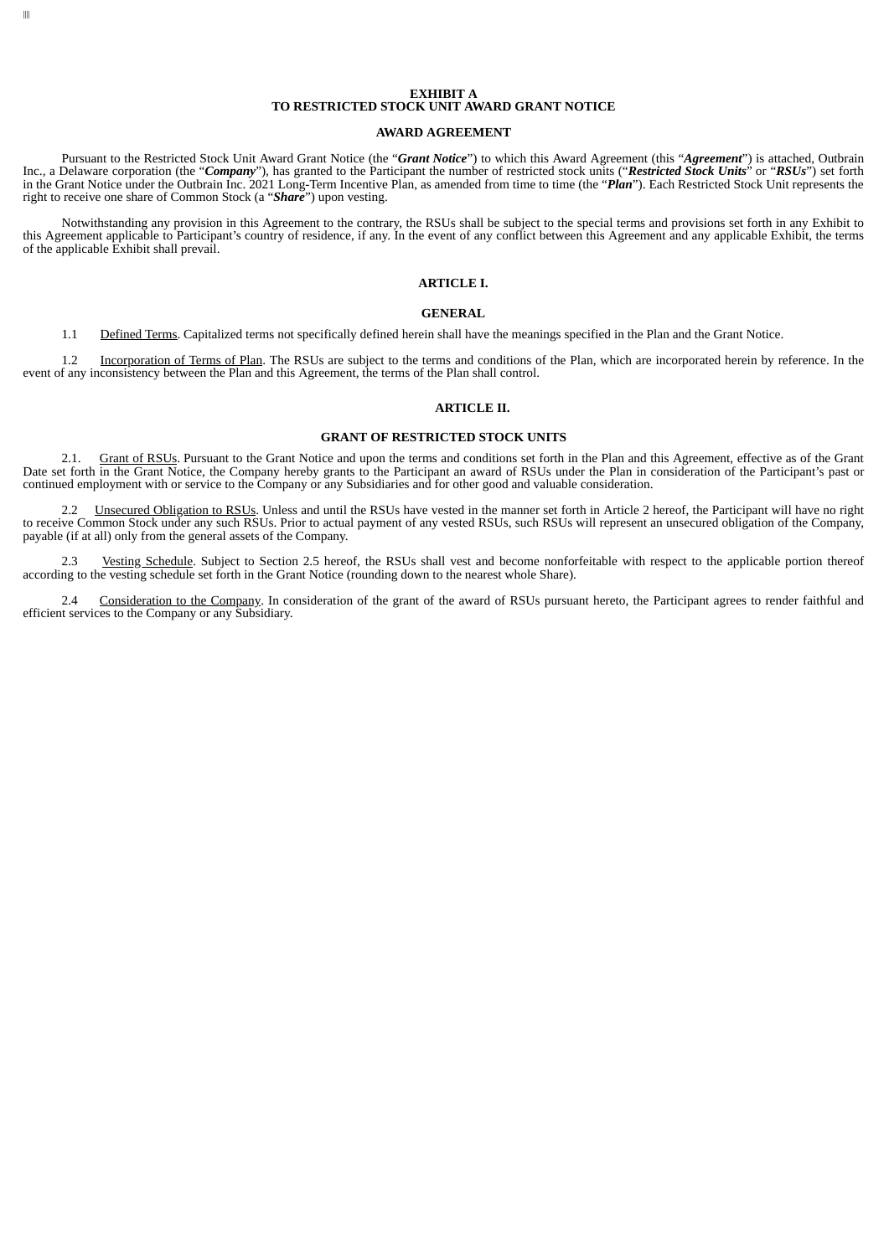#### **EXHIBIT A TO RESTRICTED STOCK UNIT AWARD GRANT NOTICE**

#### **AWARD AGREEMENT**

Pursuant to the Restricted Stock Unit Award Grant Notice (the "*Grant Notice*") to which this Award Agreement (this "*Agreement*") is attached, Outbrain Inc., a Delaware corporation (the "*Company*"), has granted to the Participant the number of restricted stock units ("*Restricted Stock Units*" or "*RSUs*") set forth in the Grant Notice under the Outbrain Inc. 2021 Long-Term Incentive Plan, as amended from time to time (the "*Plan*"). Each Restricted Stock Unit represents the right to receive one share of Common Stock (a "*Share*") upon vesting.

Notwithstanding any provision in this Agreement to the contrary, the RSUs shall be subject to the special terms and provisions set forth in any Exhibit to this Agreement applicable to Participant's country of residence, if any. In the event of any conflict between this Agreement and any applicable Exhibit, the terms of the applicable Exhibit shall prevail.

## **ARTICLE I.**

#### **GENERAL**

1.1 Defined Terms. Capitalized terms not specifically defined herein shall have the meanings specified in the Plan and the Grant Notice.

1.2 Incorporation of Terms of Plan. The RSUs are subject to the terms and conditions of the Plan, which are incorporated herein by reference. In the event of any inconsistency between the Plan and this Agreement, the terms of the Plan shall control.

## **ARTICLE II.**

## **GRANT OF RESTRICTED STOCK UNITS**

2.1. Grant of RSUs. Pursuant to the Grant Notice and upon the terms and conditions set forth in the Plan and this Agreement, effective as of the Grant Date set forth in the Grant Notice, the Company hereby grants to the Participant an award of RSUs under the Plan in consideration of the Participant's past or continued employment with or service to the Company or any Subsidiaries and for other good and valuable consideration.

2.2 Unsecured Obligation to RSUs. Unless and until the RSUs have vested in the manner set forth in Article 2 hereof, the Participant will have no right to receive Common Stock under any such RSUs. Prior to actual payment of any vested RSUs, such RSUs will represent an unsecured obligation of the Company, payable (if at all) only from the general assets of the Company.

2.3 Vesting Schedule. Subject to Section 2.5 hereof, the RSUs shall vest and become nonforfeitable with respect to the applicable portion thereof according to the vesting schedule set forth in the Grant Notice (rounding down to the nearest whole Share).

2.4 Consideration to the Company. In consideration of the grant of the award of RSUs pursuant hereto, the Participant agrees to render faithful and efficient services to the Company or any Subsidiary.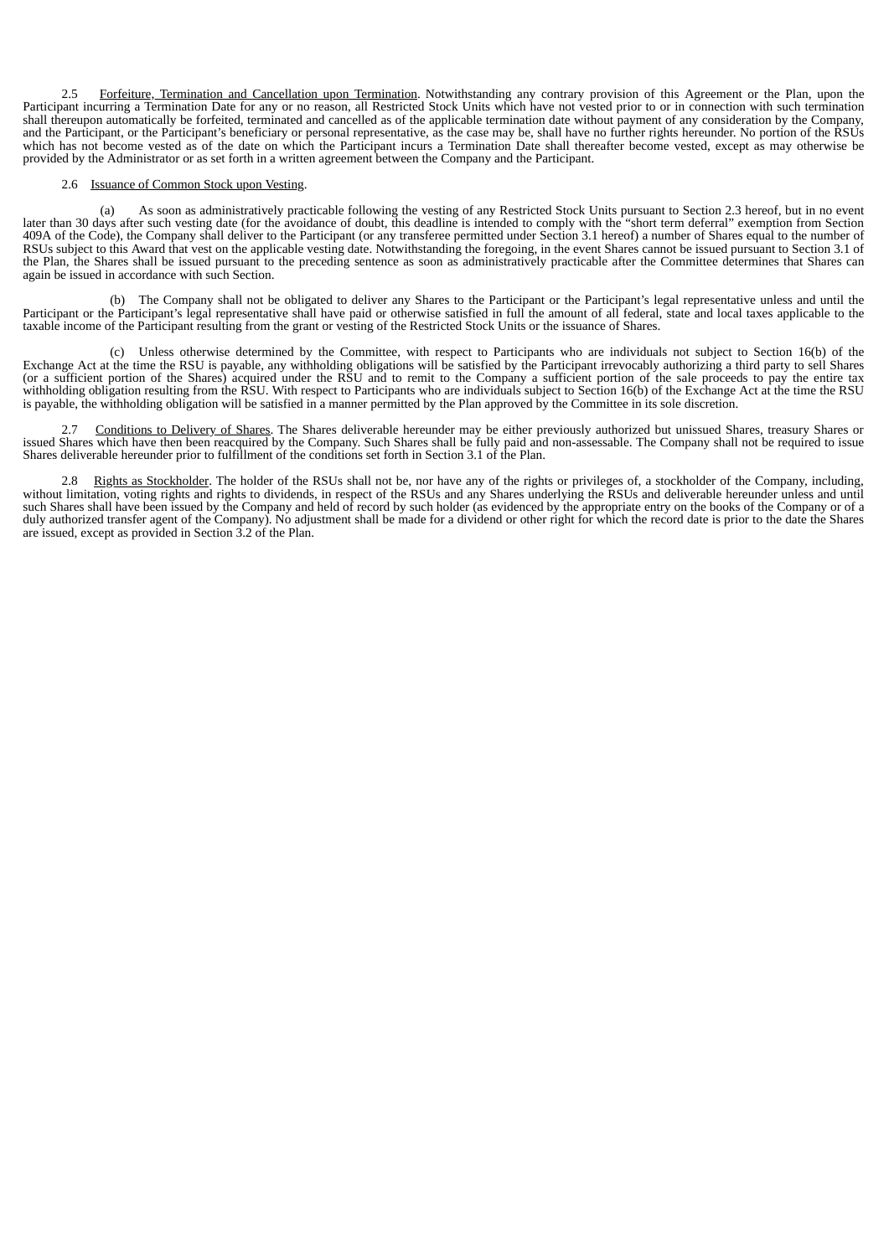2.5 Forfeiture, Termination and Cancellation upon Termination. Notwithstanding any contrary provision of this Agreement or the Plan, upon the Participant incurring a Termination Date for any or no reason, all Restricted Stock Units which have not vested prior to or in connection with such termination shall thereupon automatically be forfeited, terminated and cancelled as of the applicable termination date without payment of any consideration by the Company, and the Participant, or the Participant's beneficiary or personal representative, as the case may be, shall have no further rights hereunder. No portion of the RSUs which has not become vested as of the date on which the Participant incurs a Termination Date shall thereafter become vested, except as may otherwise be provided by the Administrator or as set forth in a written agreement between the Company and the Participant.

## 2.6 Issuance of Common Stock upon Vesting.

(a) As soon as administratively practicable following the vesting of any Restricted Stock Units pursuant to Section 2.3 hereof, but in no event later than 30 days after such vesting date (for the avoidance of doubt, this deadline is intended to comply with the "short term deferral" exemption from Section 409A of the Code), the Company shall deliver to the Participant (or any transferee permitted under Section 3.1 hereof) a number of Shares equal to the number of RSUs subject to this Award that vest on the applicable vesting date. Notwithstanding the foregoing, in the event Shares cannot be issued pursuant to Section 3.1 of the Plan, the Shares shall be issued pursuant to the preceding sentence as soon as administratively practicable after the Committee determines that Shares can again be issued in accordance with such Section.

(b) The Company shall not be obligated to deliver any Shares to the Participant or the Participant's legal representative unless and until the Participant or the Participant's legal representative shall have paid or otherwise satisfied in full the amount of all federal, state and local taxes applicable to the taxable income of the Participant resulting from the grant or vesting of the Restricted Stock Units or the issuance of Shares.

(c) Unless otherwise determined by the Committee, with respect to Participants who are individuals not subject to Section 16(b) of the Exchange Act at the time the RSU is payable, any withholding obligations will be satisfied by the Participant irrevocably authorizing a third party to sell Shares (or a sufficient portion of the Shares) acquired under the RSU and to remit to the Company a sufficient portion of the sale proceeds to pay the entire tax withholding obligation resulting from the RSU. With respect to Participants who are individuals subject to Section 16(b) of the Exchange Act at the time the RSU is payable, the withholding obligation will be satisfied in a manner permitted by the Plan approved by the Committee in its sole discretion.

Conditions to Delivery of Shares. The Shares deliverable hereunder may be either previously authorized but unissued Shares, treasury Shares or issued Shares which have then been reacquired by the Company. Such Shares shall be fully paid and non-assessable. The Company shall not be required to issue Shares deliverable hereunder prior to fulfillment of the conditions set forth in Section 3.1 of the Plan.

2.8 Rights as Stockholder. The holder of the RSUs shall not be, nor have any of the rights or privileges of, a stockholder of the Company, including, without limitation, voting rights and rights to dividends, in respect of the RSUs and any Shares underlying the RSUs and deliverable hereunder unless and until such Shares shall have been issued by the Company and held of record by such holder (as evidenced by the appropriate entry on the books of the Company or of a duly authorized transfer agent of the Company). No adjustment shall be made for a dividend or other right for which the record date is prior to the date the Shares are issued, except as provided in Section 3.2 of the Plan.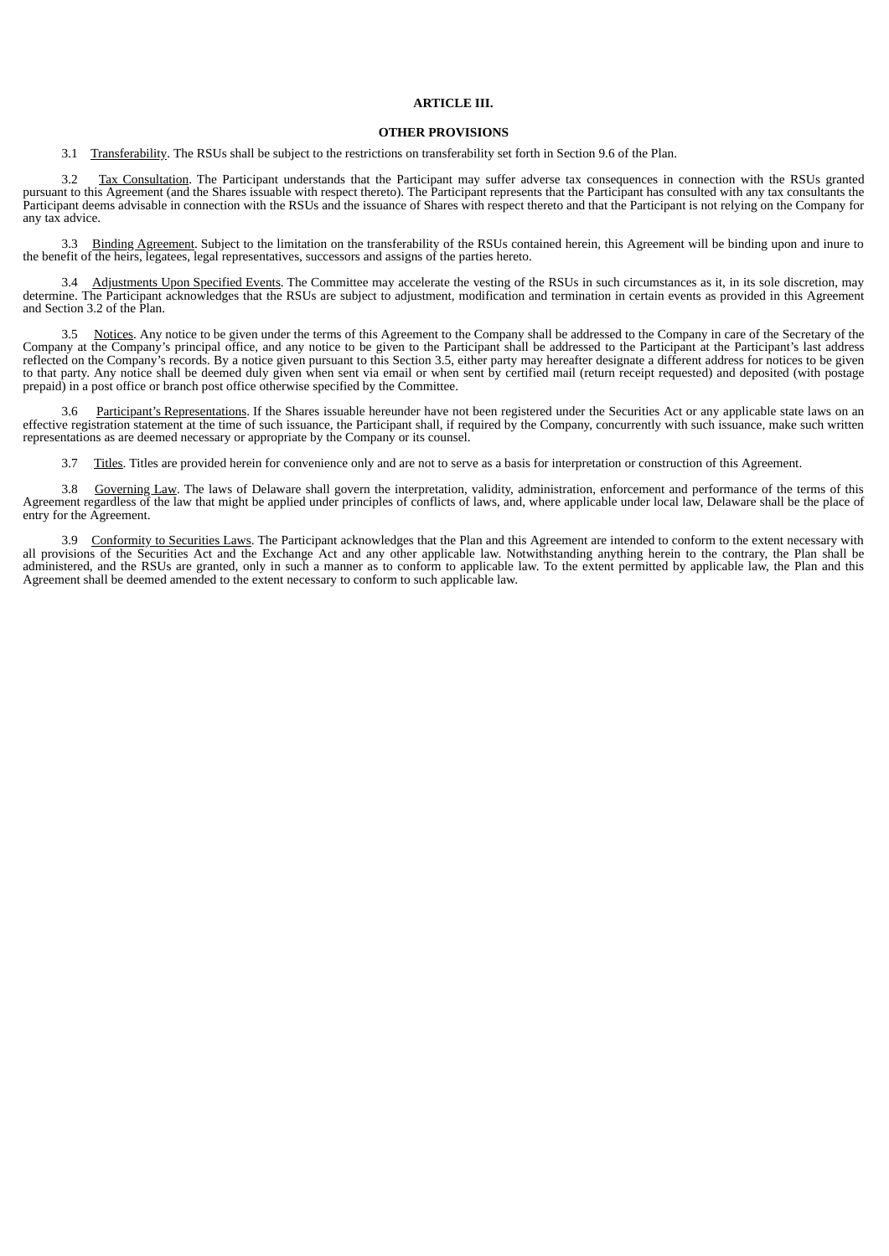#### **ARTICLE III.**

#### **OTHER PROVISIONS**

3.1 Transferability. The RSUs shall be subject to the restrictions on transferability set forth in Section 9.6 of the Plan.

3.2 Tax Consultation. The Participant understands that the Participant may suffer adverse tax consequences in connection with the RSUs granted pursuant to this Agreement (and the Shares issuable with respect thereto). The Participant represents that the Participant has consulted with any tax consultants the Participant deems advisable in connection with the RSUs and the issuance of Shares with respect thereto and that the Participant is not relying on the Company for any tax advice.

3.3 Binding Agreement. Subject to the limitation on the transferability of the RSUs contained herein, this Agreement will be binding upon and inure to the benefit of the heirs, legatees, legal representatives, successors and assigns of the parties hereto.

Adjustments Upon Specified Events. The Committee may accelerate the vesting of the RSUs in such circumstances as it, in its sole discretion, may determine. The Participant acknowledges that the RSUs are subject to adjustment, modification and termination in certain events as provided in this Agreement and Section 3.2 of the Plan.

Notices. Any notice to be given under the terms of this Agreement to the Company shall be addressed to the Company in care of the Secretary of the Company at the Company's principal office, and any notice to be given to the Participant shall be addressed to the Participant at the Participant's last address reflected on the Company's records. By a notice given pursuant to this Section 3.5, either party may hereafter designate a different address for notices to be given to that party. Any notice shall be deemed duly given when sent via email or when sent by certified mail (return receipt requested) and deposited (with postage prepaid) in a post office or branch post office otherwise specified by the Committee.

3.6 Participant's Representations. If the Shares issuable hereunder have not been registered under the Securities Act or any applicable state laws on an effective registration statement at the time of such issuance, the Participant shall, if required by the Company, concurrently with such issuance, make such written representations as are deemed necessary or appropriate by the Company or its counsel.

3.7 Titles. Titles are provided herein for convenience only and are not to serve as a basis for interpretation or construction of this Agreement.

3.8 Governing Law. The laws of Delaware shall govern the interpretation, validity, administration, enforcement and performance of the terms of this Agreement regardless of the law that might be applied under principles of conflicts of laws, and, where applicable under local law, Delaware shall be the place of entry for the Agreement.

3.9 Conformity to Securities Laws. The Participant acknowledges that the Plan and this Agreement are intended to conform to the extent necessary with all provisions of the Securities Act and the Exchange Act and any other applicable law. Notwithstanding anything herein to the contrary, the Plan shall be administered, and the RSUs are granted, only in such a manner as to conform to applicable law. To the extent permitted by applicable law, the Plan and this Agreement shall be deemed amended to the extent necessary to conform to such applicable law.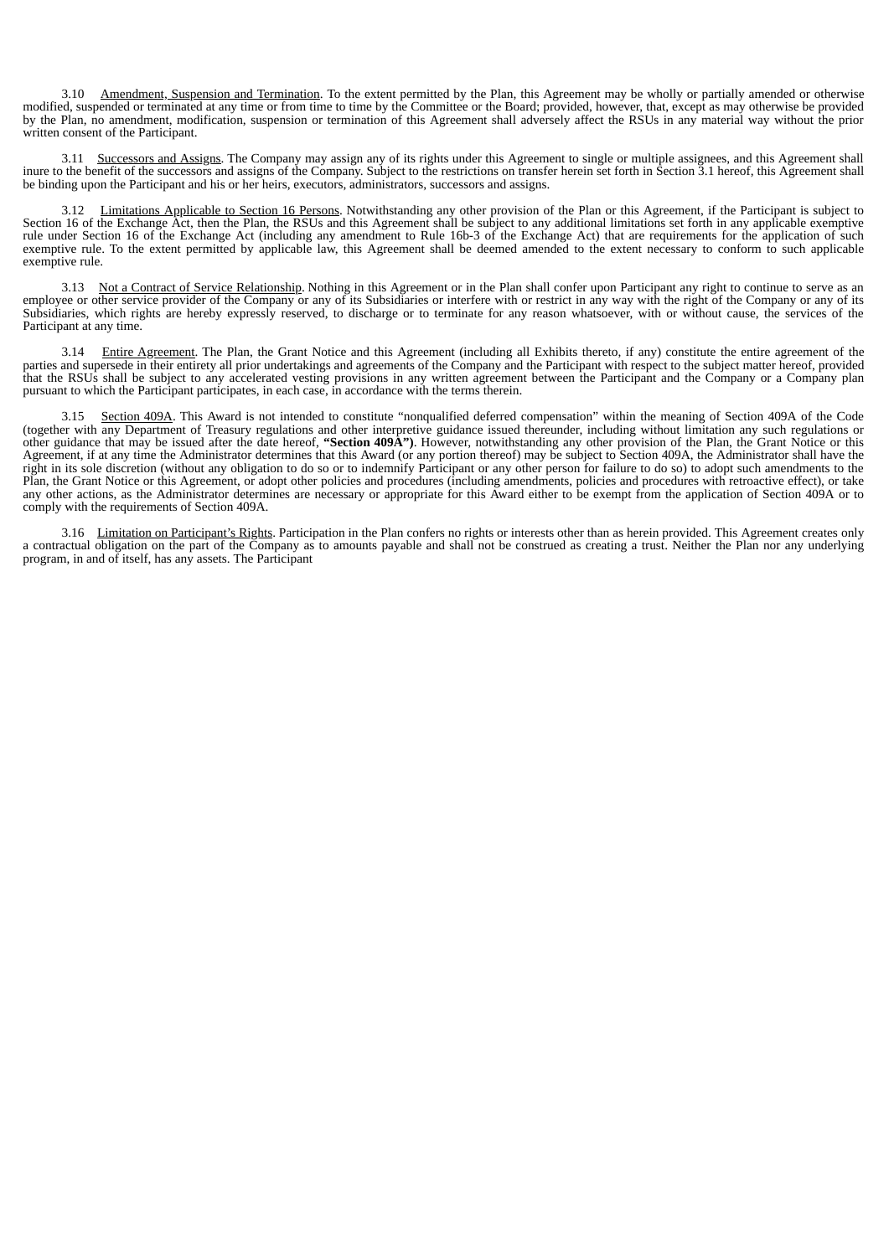3.10 Amendment, Suspension and Termination. To the extent permitted by the Plan, this Agreement may be wholly or partially amended or otherwise modified, suspended or terminated at any time or from time to time by the Committee or the Board; provided, however, that, except as may otherwise be provided by the Plan, no amendment, modification, suspension or termination of this Agreement shall adversely affect the RSUs in any material way without the prior written consent of the Participant.

3.11 Successors and Assigns. The Company may assign any of its rights under this Agreement to single or multiple assignees, and this Agreement shall inure to the benefit of the successors and assigns of the Company. Subject to the restrictions on transfer herein set forth in Section 3.1 hereof, this Agreement shall be binding upon the Participant and his or her heirs, executors, administrators, successors and assigns.

3.12 Limitations Applicable to Section 16 Persons. Notwithstanding any other provision of the Plan or this Agreement, if the Participant is subject to Section 16 of the Exchange Act, then the Plan, the RSUs and this Agreement shall be subject to any additional limitations set forth in any applicable exemptive rule under Section 16 of the Exchange Act (including any amendment to Rule 16b-3 of the Exchange Act) that are requirements for the application of such exemptive rule. To the extent permitted by applicable law, this Agreement shall be deemed amended to the extent necessary to conform to such applicable exemptive rule.

3.13 Not a Contract of Service Relationship. Nothing in this Agreement or in the Plan shall confer upon Participant any right to continue to serve as an employee or other service provider of the Company or any of its Subsidiaries or interfere with or restrict in any way with the right of the Company or any of its Subsidiaries, which rights are hereby expressly reserved, to discharge or to terminate for any reason whatsoever, with or without cause, the services of the Participant at any time.

3.14 Entire Agreement. The Plan, the Grant Notice and this Agreement (including all Exhibits thereto, if any) constitute the entire agreement of the parties and supersede in their entirety all prior undertakings and agreements of the Company and the Participant with respect to the subject matter hereof, provided that the RSUs shall be subject to any accelerated vesting provisions in any written agreement between the Participant and the Company or a Company plan pursuant to which the Participant participates, in each case, in accordance with the terms therein.

3.15 Section 409A. This Award is not intended to constitute "nonqualified deferred compensation" within the meaning of Section 409A of the Code (together with any Department of Treasury regulations and other interpretive guidance issued thereunder, including without limitation any such regulations or other guidance that may be issued after the date hereof, **"Section 409A")**. However, notwithstanding any other provision of the Plan, the Grant Notice or this Agreement, if at any time the Administrator determines that this Award (or any portion thereof) may be subject to Section 409A, the Administrator shall have the right in its sole discretion (without any obligation to do so or to indemnify Participant or any other person for failure to do so) to adopt such amendments to the Plan, the Grant Notice or this Agreement, or adopt other policies and procedures (including amendments, policies and procedures with retroactive effect), or take any other actions, as the Administrator determines are necessary or appropriate for this Award either to be exempt from the application of Section 409A or to comply with the requirements of Section 409A.

3.16 Limitation on Participant's Rights. Participation in the Plan confers no rights or interests other than as herein provided. This Agreement creates only a contractual obligation on the part of the Company as to amounts payable and shall not be construed as creating a trust. Neither the Plan nor any underlying program, in and of itself, has any assets. The Participant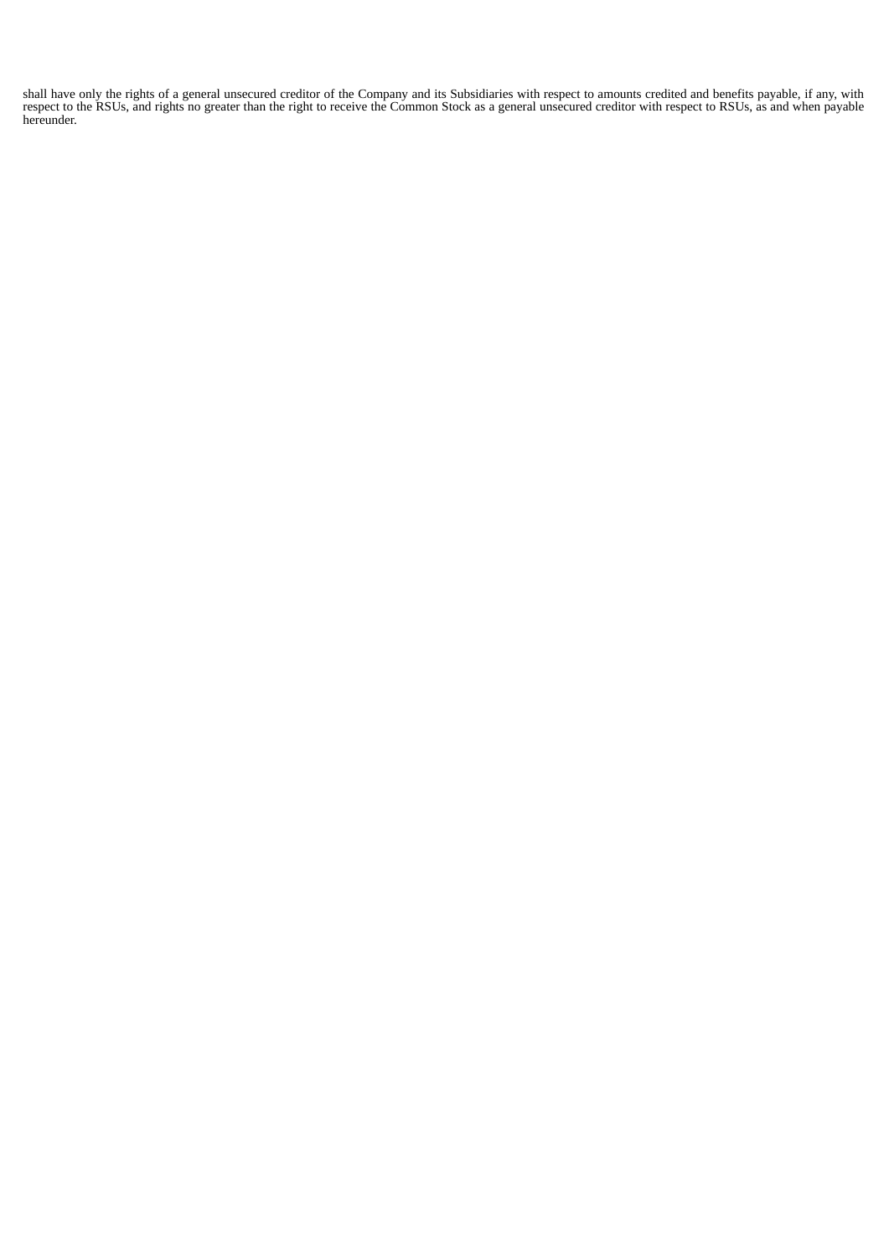shall have only the rights of a general unsecured creditor of the Company and its Subsidiaries with respect to amounts credited and benefits payable, if any, with respect to the RSUs, and rights no greater than the right to receive the Common Stock as a general unsecured creditor with respect to RSUs, as and when payable hereunder.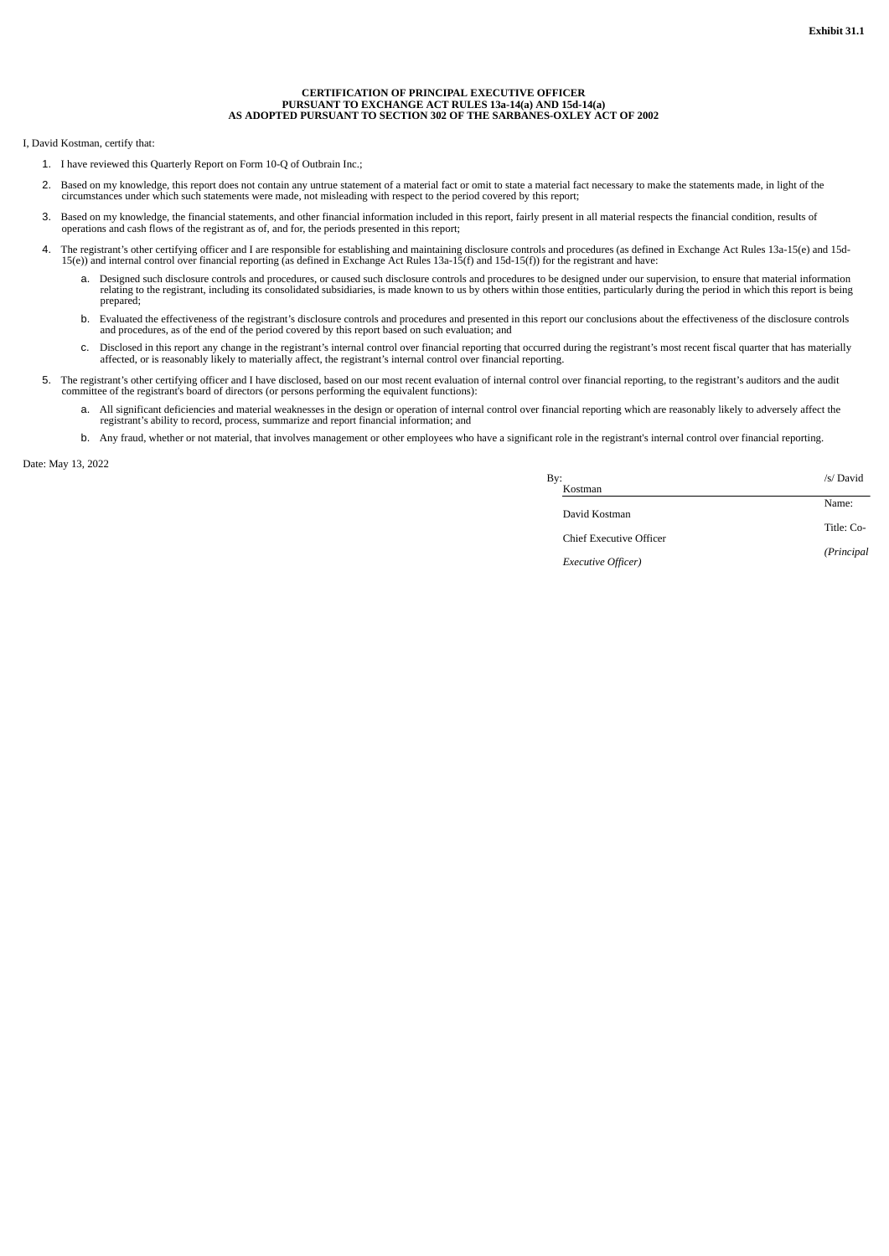#### **CERTIFICATION OF PRINCIPAL EXECUTIVE OFFICER PURSUANT TO EXCHANGE ACT RULES 13a-14(a) AND 15d-14(a) AS ADOPTED PURSUANT TO SECTION 302 OF THE SARBANES-OXLEY ACT OF 2002**

<span id="page-50-0"></span>I, David Kostman, certify that:

- 1. I have reviewed this Quarterly Report on Form 10-Q of Outbrain Inc.;
- 2. Based on my knowledge, this report does not contain any untrue statement of a material fact or omit to state a material fact necessary to make the statements made, in light of the circumstances under which such statements were made, not misleading with respect to the period covered by this report;
- 3. Based on my knowledge, the financial statements, and other financial information included in this report, fairly present in all material respects the financial condition, results of operations and cash flows of the registrant as of, and for, the periods presented in this report;
- 4. The registrant's other certifying officer and I are responsible for establishing and maintaining disclosure controls and procedures (as defined in Exchange Act Rules 13a-15(e) and 15d-<br>15(e)) and internal control over f
	- a. Designed such disclosure controls and procedures, or caused such disclosure controls and procedures to be designed under our supervision, to ensure that material information relating to the registrant, including its con prepared;
	- b. Evaluated the effectiveness of the registrant's disclosure controls and procedures and presented in this report our conclusions about the effectiveness of the disclosure controls and procedures, as of the end of the period covered by this report based on such evaluation; and
	- c. Disclosed in this report any change in the registrant's internal control over financial reporting that occurred during the registrant's most recent fiscal quarter that has materially affected, or is reasonably likely to materially affect, the registrant's internal control over financial reporting.
- 5. The registrant's other certifying officer and I have disclosed, based on our most recent evaluation of internal control over financial reporting, to the registrant's auditors and the audit committee of the registrant's board of directors (or persons performing the equivalent functions):
	- a. All significant deficiencies and material weaknesses in the design or operation of internal control over financial reporting which are reasonably likely to adversely affect the registrant's ability to record, process, summarize and report financial information; and
	- b. Any fraud, whether or not material, that involves management or other employees who have a significant role in the registrant's internal control over financial reporting.

| By:<br>Kostman          | /s/ David  |
|-------------------------|------------|
| David Kostman           | Name:      |
| Chief Executive Officer | Title: Co- |
| Executive Officer)      | (Principal |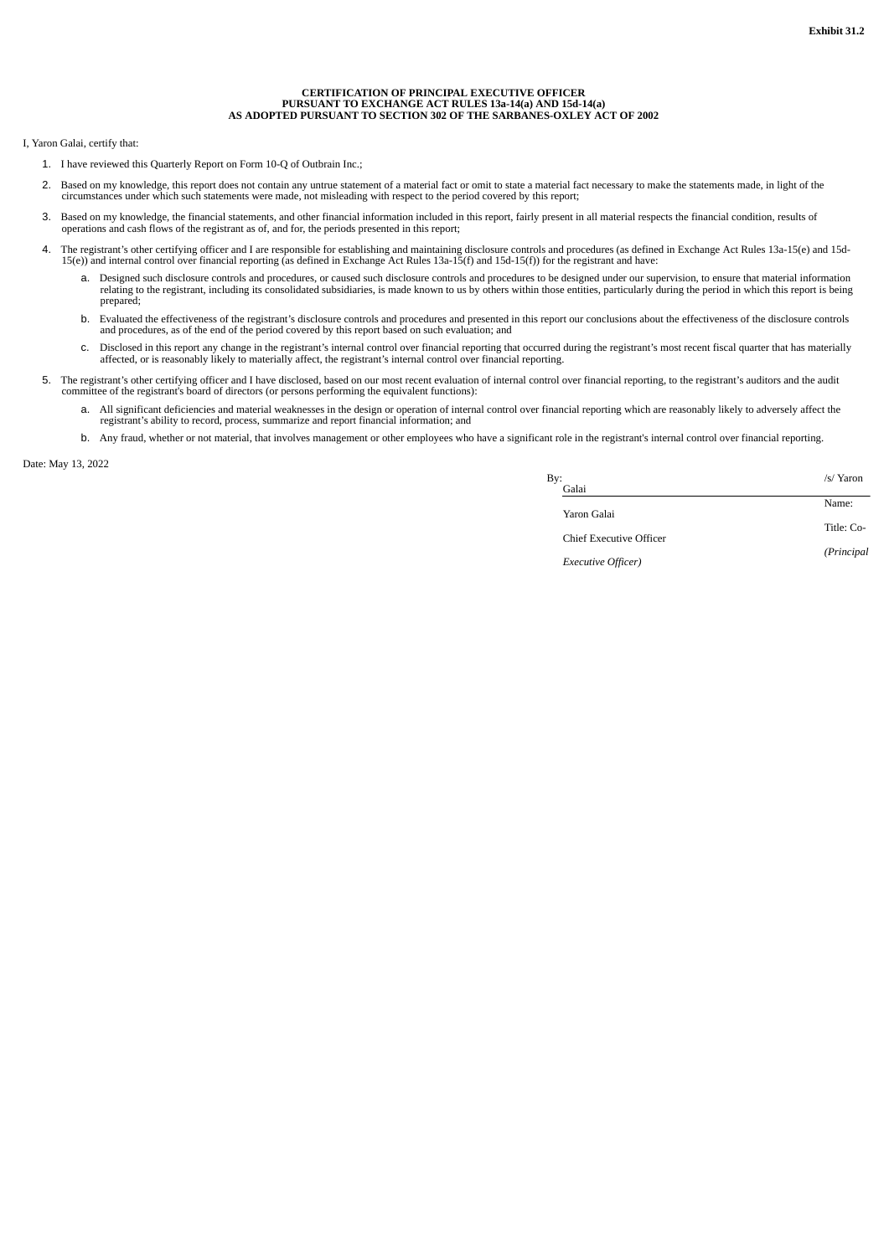#### **CERTIFICATION OF PRINCIPAL EXECUTIVE OFFICER PURSUANT TO EXCHANGE ACT RULES 13a-14(a) AND 15d-14(a) AS ADOPTED PURSUANT TO SECTION 302 OF THE SARBANES-OXLEY ACT OF 2002**

<span id="page-51-0"></span>I, Yaron Galai, certify that:

- 1. I have reviewed this Quarterly Report on Form 10-Q of Outbrain Inc.;
- 2. Based on my knowledge, this report does not contain any untrue statement of a material fact or omit to state a material fact necessary to make the statements made, in light of the circumstances under which such statements were made, not misleading with respect to the period covered by this report;
- 3. Based on my knowledge, the financial statements, and other financial information included in this report, fairly present in all material respects the financial condition, results of operations and cash flows of the registrant as of, and for, the periods presented in this report;
- 4. The registrant's other certifying officer and I are responsible for establishing and maintaining disclosure controls and procedures (as defined in Exchange Act Rules 13a-15(e) and 15d-<br>15(e)) and internal control over f
	- a. Designed such disclosure controls and procedures, or caused such disclosure controls and procedures to be designed under our supervision, to ensure that material information relating to the registrant, including its con prepared;
	- b. Evaluated the effectiveness of the registrant's disclosure controls and procedures and presented in this report our conclusions about the effectiveness of the disclosure controls and procedures, as of the end of the period covered by this report based on such evaluation; and
	- c. Disclosed in this report any change in the registrant's internal control over financial reporting that occurred during the registrant's most recent fiscal quarter that has materially affected, or is reasonably likely to materially affect, the registrant's internal control over financial reporting.
- 5. The registrant's other certifying officer and I have disclosed, based on our most recent evaluation of internal control over financial reporting, to the registrant's auditors and the audit committee of the registrant's board of directors (or persons performing the equivalent functions):
	- a. All significant deficiencies and material weaknesses in the design or operation of internal control over financial reporting which are reasonably likely to adversely affect the registrant's ability to record, process, summarize and report financial information; and
	- b. Any fraud, whether or not material, that involves management or other employees who have a significant role in the registrant's internal control over financial reporting.

| By:<br>Galai            | /s/ Yaron  |
|-------------------------|------------|
| Yaron Galai             | Name:      |
| Chief Executive Officer | Title: Co- |
| Executive Officer)      | (Principal |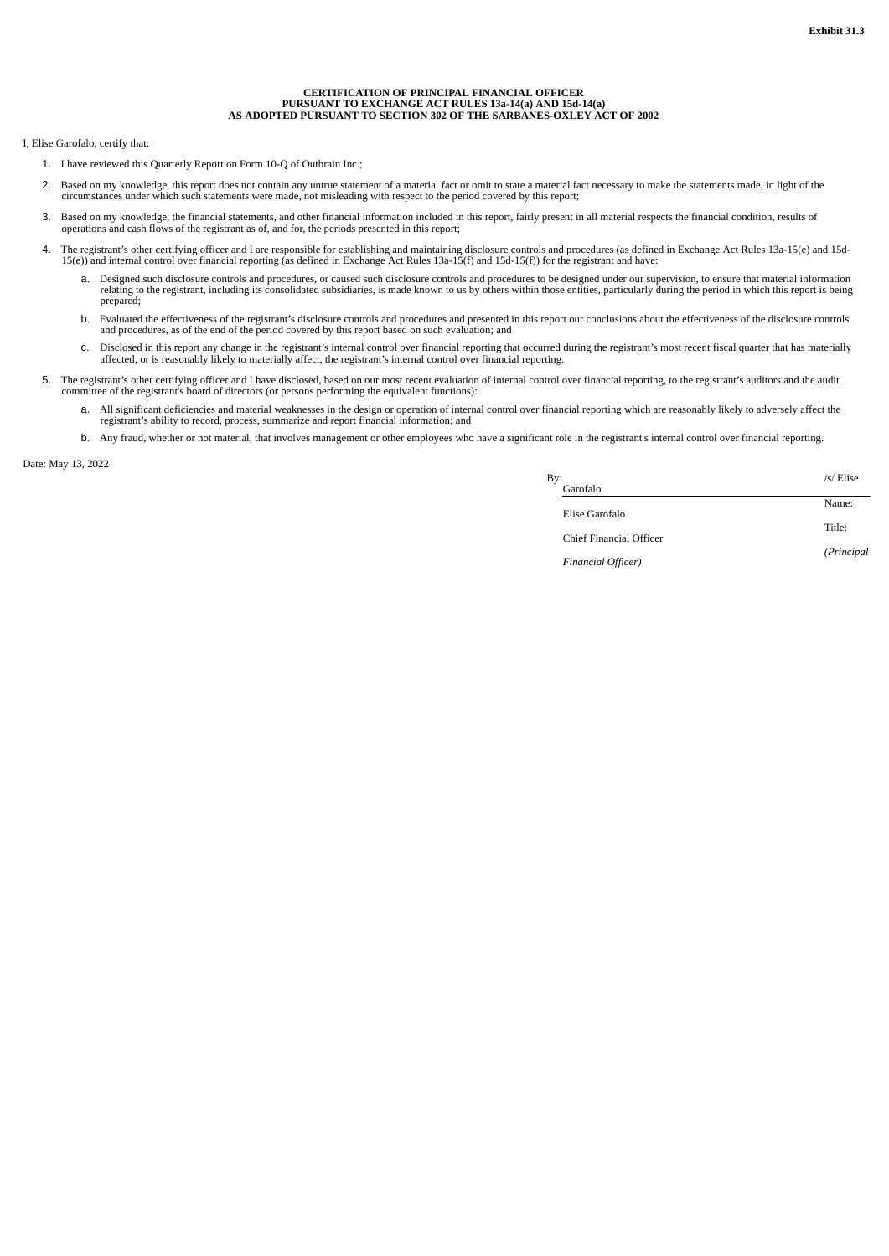#### **CERTIFICATION OF PRINCIPAL FINANCIAL OFFICER PURSUANT TO EXCHANGE ACT RULES 13a-14(a) AND 15d-14(a) AS ADOPTED PURSUANT TO SECTION 302 OF THE SARBANES-OXLEY ACT OF 2002**

<span id="page-52-0"></span>I, Elise Garofalo, certify that:

- 1. I have reviewed this Quarterly Report on Form 10-Q of Outbrain Inc.;
- 2. Based on my knowledge, this report does not contain any untrue statement of a material fact or omit to state a material fact necessary to make the statements made, in light of the circumstances under which such statements were made, not misleading with respect to the period covered by this report;
- 3. Based on my knowledge, the financial statements, and other financial information included in this report, fairly present in all material respects the financial condition, results of operations and cash flows of the registrant as of, and for, the periods presented in this report;
- 4. The registrant's other certifying officer and I are responsible for establishing and maintaining disclosure controls and procedures (as defined in Exchange Act Rules 13a-15(e) and 15d-<br>15(e)) and internal control over f
	- a. Designed such disclosure controls and procedures, or caused such disclosure controls and procedures to be designed under our supervision, to ensure that material information relating to the registrant, including its con prepared;
	- b. Evaluated the effectiveness of the registrant's disclosure controls and procedures and presented in this report our conclusions about the effectiveness of the disclosure controls and procedures, as of the end of the period covered by this report based on such evaluation; and
	- c. Disclosed in this report any change in the registrant's internal control over financial reporting that occurred during the registrant's most recent fiscal quarter that has materially affected, or is reasonably likely to materially affect, the registrant's internal control over financial reporting.
- 5. The registrant's other certifying officer and I have disclosed, based on our most recent evaluation of internal control over financial reporting, to the registrant's auditors and the audit committee of the registrant's board of directors (or persons performing the equivalent functions):
	- a. All significant deficiencies and material weaknesses in the design or operation of internal control over financial reporting which are reasonably likely to adversely affect the registrant's ability to record, process, summarize and report financial information; and
		- b. Any fraud, whether or not material, that involves management or other employees who have a significant role in the registrant's internal control over financial reporting.

| By:<br>Garofalo         | /s/ Elise   |
|-------------------------|-------------|
| Elise Garofalo          | Name:       |
| Chief Financial Officer | Title:      |
| Financial Officer)      | (Principal) |